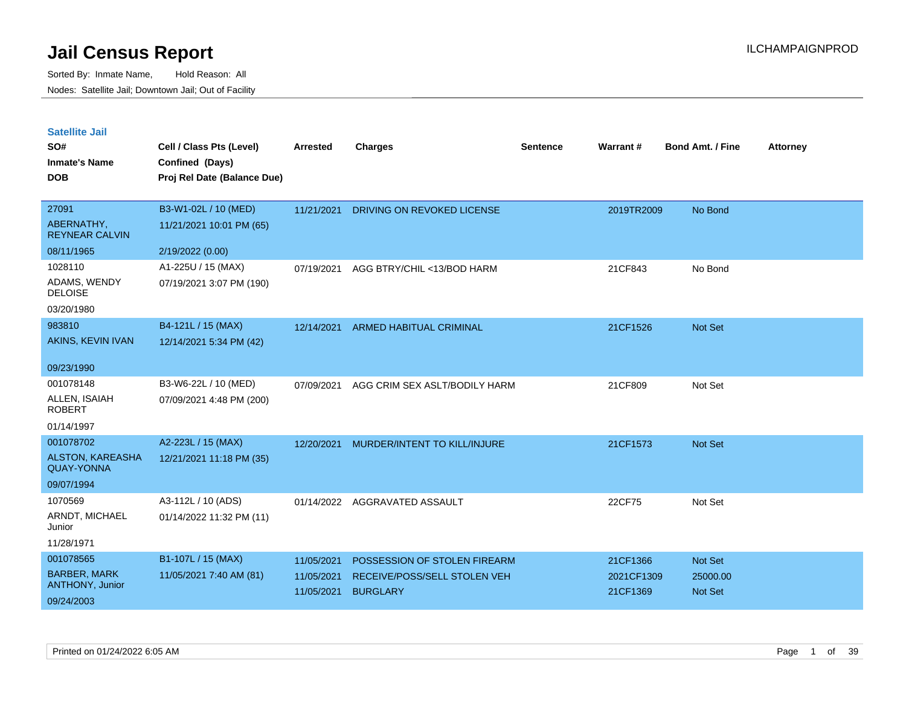| <b>Satellite Jail</b> |  |
|-----------------------|--|
|                       |  |

| SO#<br><b>Inmate's Name</b><br><b>DOB</b> | Cell / Class Pts (Level)<br>Confined (Days)<br>Proj Rel Date (Balance Due) | Arrested   | <b>Charges</b>                 | Sentence | Warrant#   | <b>Bond Amt. / Fine</b> | <b>Attorney</b> |
|-------------------------------------------|----------------------------------------------------------------------------|------------|--------------------------------|----------|------------|-------------------------|-----------------|
| 27091                                     | B3-W1-02L / 10 (MED)                                                       | 11/21/2021 | DRIVING ON REVOKED LICENSE     |          | 2019TR2009 | No Bond                 |                 |
| ABERNATHY,<br><b>REYNEAR CALVIN</b>       | 11/21/2021 10:01 PM (65)                                                   |            |                                |          |            |                         |                 |
| 08/11/1965                                | 2/19/2022 (0.00)                                                           |            |                                |          |            |                         |                 |
| 1028110                                   | A1-225U / 15 (MAX)                                                         | 07/19/2021 | AGG BTRY/CHIL <13/BOD HARM     |          | 21CF843    | No Bond                 |                 |
| ADAMS, WENDY<br><b>DELOISE</b>            | 07/19/2021 3:07 PM (190)                                                   |            |                                |          |            |                         |                 |
| 03/20/1980                                |                                                                            |            |                                |          |            |                         |                 |
| 983810                                    | B4-121L / 15 (MAX)                                                         | 12/14/2021 | <b>ARMED HABITUAL CRIMINAL</b> |          | 21CF1526   | Not Set                 |                 |
| AKINS, KEVIN IVAN                         | 12/14/2021 5:34 PM (42)                                                    |            |                                |          |            |                         |                 |
| 09/23/1990                                |                                                                            |            |                                |          |            |                         |                 |
| 001078148                                 | B3-W6-22L / 10 (MED)                                                       | 07/09/2021 | AGG CRIM SEX ASLT/BODILY HARM  |          | 21CF809    | Not Set                 |                 |
| ALLEN, ISAIAH<br><b>ROBERT</b>            | 07/09/2021 4:48 PM (200)                                                   |            |                                |          |            |                         |                 |
| 01/14/1997                                |                                                                            |            |                                |          |            |                         |                 |
| 001078702                                 | A2-223L / 15 (MAX)                                                         | 12/20/2021 | MURDER/INTENT TO KILL/INJURE   |          | 21CF1573   | <b>Not Set</b>          |                 |
| ALSTON, KAREASHA<br><b>QUAY-YONNA</b>     | 12/21/2021 11:18 PM (35)                                                   |            |                                |          |            |                         |                 |
| 09/07/1994                                |                                                                            |            |                                |          |            |                         |                 |
| 1070569                                   | A3-112L / 10 (ADS)                                                         | 01/14/2022 | AGGRAVATED ASSAULT             |          | 22CF75     | Not Set                 |                 |
| ARNDT, MICHAEL<br>Junior                  | 01/14/2022 11:32 PM (11)                                                   |            |                                |          |            |                         |                 |
| 11/28/1971                                |                                                                            |            |                                |          |            |                         |                 |
| 001078565                                 | B1-107L / 15 (MAX)                                                         | 11/05/2021 | POSSESSION OF STOLEN FIREARM   |          | 21CF1366   | <b>Not Set</b>          |                 |
| <b>BARBER, MARK</b>                       | 11/05/2021 7:40 AM (81)                                                    | 11/05/2021 | RECEIVE/POSS/SELL STOLEN VEH   |          | 2021CF1309 | 25000.00                |                 |
| ANTHONY, Junior<br>09/24/2003             |                                                                            | 11/05/2021 | <b>BURGLARY</b>                |          | 21CF1369   | <b>Not Set</b>          |                 |
|                                           |                                                                            |            |                                |          |            |                         |                 |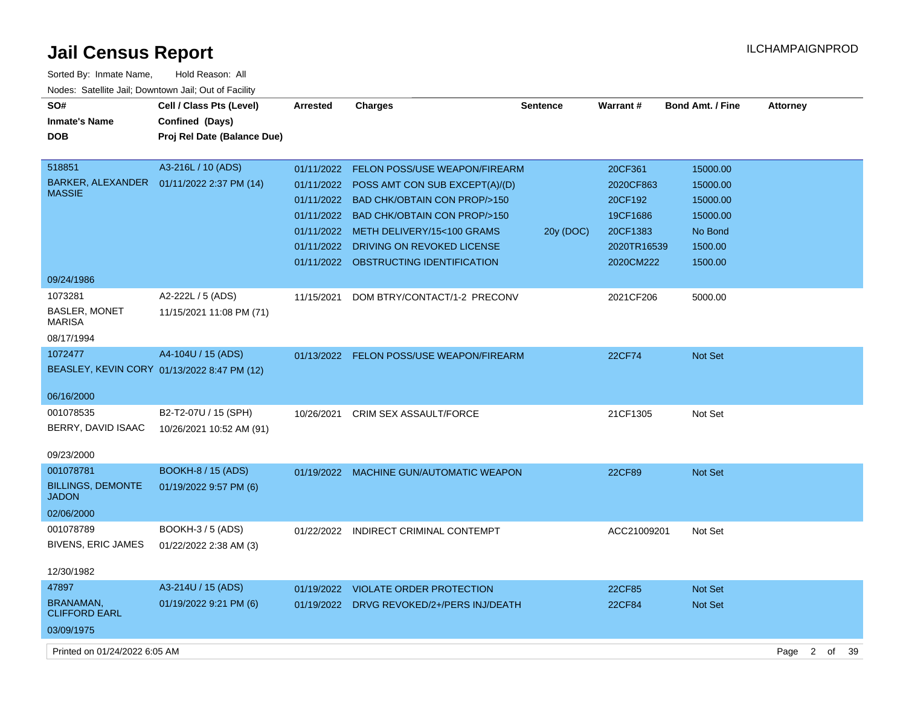| Sorted By: Inmate Name,                               | Hold Reason: All                            |                 |                                           |                 |               |                  |                 |    |    |
|-------------------------------------------------------|---------------------------------------------|-----------------|-------------------------------------------|-----------------|---------------|------------------|-----------------|----|----|
| Nodes: Satellite Jail; Downtown Jail; Out of Facility |                                             |                 |                                           |                 |               |                  |                 |    |    |
| SO#                                                   | Cell / Class Pts (Level)                    | <b>Arrested</b> | <b>Charges</b>                            | <b>Sentence</b> | Warrant#      | Bond Amt. / Fine | <b>Attorney</b> |    |    |
| <b>Inmate's Name</b>                                  | Confined (Days)                             |                 |                                           |                 |               |                  |                 |    |    |
| <b>DOB</b>                                            | Proj Rel Date (Balance Due)                 |                 |                                           |                 |               |                  |                 |    |    |
|                                                       |                                             |                 |                                           |                 |               |                  |                 |    |    |
| 518851                                                | A3-216L / 10 (ADS)                          | 01/11/2022      | <b>FELON POSS/USE WEAPON/FIREARM</b>      |                 | 20CF361       | 15000.00         |                 |    |    |
| BARKER, ALEXANDER<br><b>MASSIE</b>                    | 01/11/2022 2:37 PM (14)                     | 01/11/2022      | POSS AMT CON SUB EXCEPT(A)/(D)            |                 | 2020CF863     | 15000.00         |                 |    |    |
|                                                       |                                             |                 | 01/11/2022 BAD CHK/OBTAIN CON PROP/>150   |                 | 20CF192       | 15000.00         |                 |    |    |
|                                                       |                                             | 01/11/2022      | <b>BAD CHK/OBTAIN CON PROP/&gt;150</b>    |                 | 19CF1686      | 15000.00         |                 |    |    |
|                                                       |                                             |                 | 01/11/2022 METH DELIVERY/15<100 GRAMS     | 20y (DOC)       | 20CF1383      | No Bond          |                 |    |    |
|                                                       |                                             | 01/11/2022      | DRIVING ON REVOKED LICENSE                |                 | 2020TR16539   | 1500.00          |                 |    |    |
|                                                       |                                             |                 | 01/11/2022 OBSTRUCTING IDENTIFICATION     |                 | 2020CM222     | 1500.00          |                 |    |    |
| 09/24/1986                                            |                                             |                 |                                           |                 |               |                  |                 |    |    |
| 1073281                                               | A2-222L / 5 (ADS)                           | 11/15/2021      | DOM BTRY/CONTACT/1-2 PRECONV              |                 | 2021CF206     | 5000.00          |                 |    |    |
| <b>BASLER, MONET</b>                                  | 11/15/2021 11:08 PM (71)                    |                 |                                           |                 |               |                  |                 |    |    |
| <b>MARISA</b>                                         |                                             |                 |                                           |                 |               |                  |                 |    |    |
| 08/17/1994                                            |                                             |                 |                                           |                 |               |                  |                 |    |    |
| 1072477                                               | A4-104U / 15 (ADS)                          |                 | 01/13/2022 FELON POSS/USE WEAPON/FIREARM  |                 | <b>22CF74</b> | Not Set          |                 |    |    |
|                                                       | BEASLEY, KEVIN CORY 01/13/2022 8:47 PM (12) |                 |                                           |                 |               |                  |                 |    |    |
| 06/16/2000                                            |                                             |                 |                                           |                 |               |                  |                 |    |    |
| 001078535                                             | B2-T2-07U / 15 (SPH)                        |                 |                                           |                 |               |                  |                 |    |    |
| BERRY, DAVID ISAAC                                    |                                             | 10/26/2021      | <b>CRIM SEX ASSAULT/FORCE</b>             |                 | 21CF1305      | Not Set          |                 |    |    |
|                                                       | 10/26/2021 10:52 AM (91)                    |                 |                                           |                 |               |                  |                 |    |    |
| 09/23/2000                                            |                                             |                 |                                           |                 |               |                  |                 |    |    |
| 001078781                                             | <b>BOOKH-8 / 15 (ADS)</b>                   |                 | 01/19/2022 MACHINE GUN/AUTOMATIC WEAPON   |                 | 22CF89        | Not Set          |                 |    |    |
| <b>BILLINGS, DEMONTE</b>                              | 01/19/2022 9:57 PM (6)                      |                 |                                           |                 |               |                  |                 |    |    |
| <b>JADON</b>                                          |                                             |                 |                                           |                 |               |                  |                 |    |    |
| 02/06/2000                                            |                                             |                 |                                           |                 |               |                  |                 |    |    |
| 001078789                                             | BOOKH-3 / 5 (ADS)                           |                 | 01/22/2022 INDIRECT CRIMINAL CONTEMPT     |                 | ACC21009201   | Not Set          |                 |    |    |
| BIVENS, ERIC JAMES                                    | 01/22/2022 2:38 AM (3)                      |                 |                                           |                 |               |                  |                 |    |    |
|                                                       |                                             |                 |                                           |                 |               |                  |                 |    |    |
| 12/30/1982                                            |                                             |                 |                                           |                 |               |                  |                 |    |    |
| 47897                                                 | A3-214U / 15 (ADS)                          |                 | 01/19/2022 VIOLATE ORDER PROTECTION       |                 | 22CF85        | <b>Not Set</b>   |                 |    |    |
| BRANAMAN,<br><b>CLIFFORD EARL</b>                     | 01/19/2022 9:21 PM (6)                      |                 | 01/19/2022 DRVG REVOKED/2+/PERS INJ/DEATH |                 | 22CF84        | Not Set          |                 |    |    |
|                                                       |                                             |                 |                                           |                 |               |                  |                 |    |    |
| 03/09/1975                                            |                                             |                 |                                           |                 |               |                  |                 |    |    |
| Printed on 01/24/2022 6:05 AM                         |                                             |                 |                                           |                 |               |                  | 2<br>Page       | of | 39 |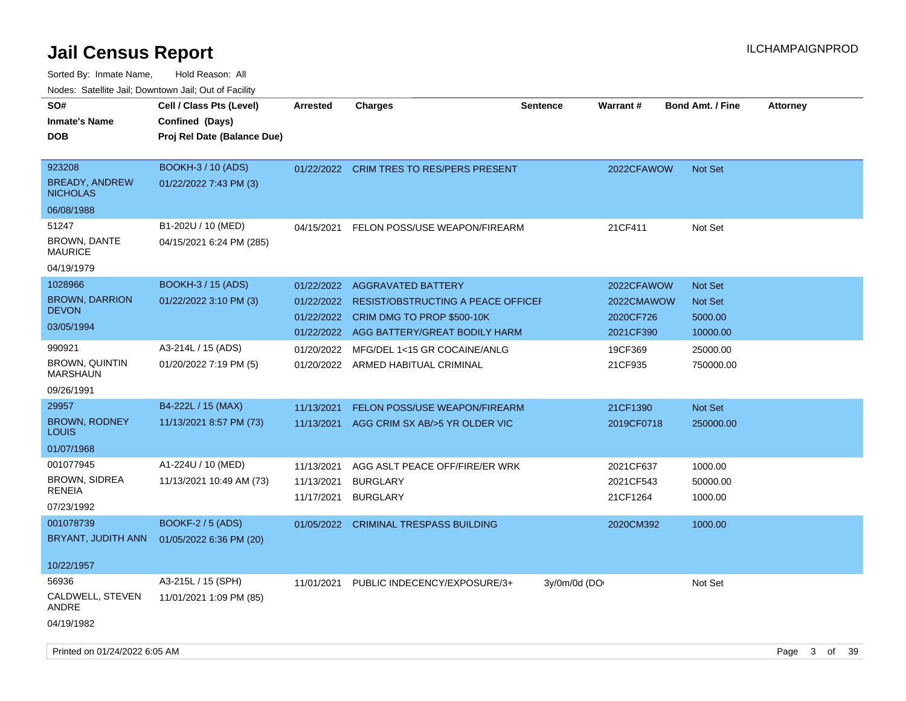| roaco. Catolino dall, Downtown dall, Out of Fability             |                                                                            |                          |                                                                         |                 |                         |                           |                 |
|------------------------------------------------------------------|----------------------------------------------------------------------------|--------------------------|-------------------------------------------------------------------------|-----------------|-------------------------|---------------------------|-----------------|
| SO#<br><b>Inmate's Name</b><br><b>DOB</b>                        | Cell / Class Pts (Level)<br>Confined (Days)<br>Proj Rel Date (Balance Due) | <b>Arrested</b>          | <b>Charges</b>                                                          | <b>Sentence</b> | Warrant#                | <b>Bond Amt. / Fine</b>   | <b>Attorney</b> |
| 923208<br><b>BREADY, ANDREW</b><br><b>NICHOLAS</b><br>06/08/1988 | <b>BOOKH-3 / 10 (ADS)</b><br>01/22/2022 7:43 PM (3)                        | 01/22/2022               | <b>CRIM TRES TO RES/PERS PRESENT</b>                                    |                 | 2022CFAWOW              | Not Set                   |                 |
|                                                                  |                                                                            |                          |                                                                         |                 |                         |                           |                 |
| 51247<br><b>BROWN, DANTE</b><br><b>MAURICE</b>                   | B1-202U / 10 (MED)<br>04/15/2021 6:24 PM (285)                             | 04/15/2021               | FELON POSS/USE WEAPON/FIREARM                                           |                 | 21CF411                 | Not Set                   |                 |
| 04/19/1979                                                       |                                                                            |                          |                                                                         |                 |                         |                           |                 |
| 1028966                                                          | <b>BOOKH-3 / 15 (ADS)</b>                                                  | 01/22/2022               | <b>AGGRAVATED BATTERY</b>                                               |                 | 2022CFAWOW              | Not Set                   |                 |
| <b>BROWN, DARRION</b><br><b>DEVON</b>                            | 01/22/2022 3:10 PM (3)                                                     | 01/22/2022<br>01/22/2022 | <b>RESIST/OBSTRUCTING A PEACE OFFICEL</b><br>CRIM DMG TO PROP \$500-10K |                 | 2022CMAWOW<br>2020CF726 | <b>Not Set</b><br>5000.00 |                 |
| 03/05/1994                                                       |                                                                            |                          | 01/22/2022 AGG BATTERY/GREAT BODILY HARM                                |                 | 2021CF390               | 10000.00                  |                 |
| 990921                                                           | A3-214L / 15 (ADS)                                                         | 01/20/2022               | MFG/DEL 1<15 GR COCAINE/ANLG                                            |                 | 19CF369                 | 25000.00                  |                 |
| <b>BROWN, QUINTIN</b><br><b>MARSHAUN</b>                         | 01/20/2022 7:19 PM (5)                                                     |                          | 01/20/2022 ARMED HABITUAL CRIMINAL                                      |                 | 21CF935                 | 750000.00                 |                 |
| 09/26/1991                                                       |                                                                            |                          |                                                                         |                 |                         |                           |                 |
| 29957                                                            | B4-222L / 15 (MAX)                                                         | 11/13/2021               | FELON POSS/USE WEAPON/FIREARM                                           |                 | 21CF1390                | <b>Not Set</b>            |                 |
| <b>BROWN, RODNEY</b><br><b>LOUIS</b>                             | 11/13/2021 8:57 PM (73)                                                    | 11/13/2021               | AGG CRIM SX AB/>5 YR OLDER VIC                                          |                 | 2019CF0718              | 250000.00                 |                 |
| 01/07/1968                                                       |                                                                            |                          |                                                                         |                 |                         |                           |                 |
| 001077945                                                        | A1-224U / 10 (MED)                                                         | 11/13/2021               | AGG ASLT PEACE OFF/FIRE/ER WRK                                          |                 | 2021CF637               | 1000.00                   |                 |
| <b>BROWN, SIDREA</b>                                             | 11/13/2021 10:49 AM (73)                                                   | 11/13/2021               | <b>BURGLARY</b>                                                         |                 | 2021CF543               | 50000.00                  |                 |
| <b>RENEIA</b><br>07/23/1992                                      |                                                                            | 11/17/2021               | <b>BURGLARY</b>                                                         |                 | 21CF1264                | 1000.00                   |                 |
| 001078739                                                        | <b>BOOKF-2 / 5 (ADS)</b>                                                   |                          | 01/05/2022 CRIMINAL TRESPASS BUILDING                                   |                 | 2020CM392               | 1000.00                   |                 |
| BRYANT, JUDITH ANN                                               | 01/05/2022 6:36 PM (20)                                                    |                          |                                                                         |                 |                         |                           |                 |
| 10/22/1957                                                       |                                                                            |                          |                                                                         |                 |                         |                           |                 |
| 56936                                                            | A3-215L / 15 (SPH)                                                         | 11/01/2021               | PUBLIC INDECENCY/EXPOSURE/3+                                            | 3y/0m/0d (DO    |                         | Not Set                   |                 |
| CALDWELL, STEVEN<br>ANDRE                                        | 11/01/2021 1:09 PM (85)                                                    |                          |                                                                         |                 |                         |                           |                 |
| 04/19/1982                                                       |                                                                            |                          |                                                                         |                 |                         |                           |                 |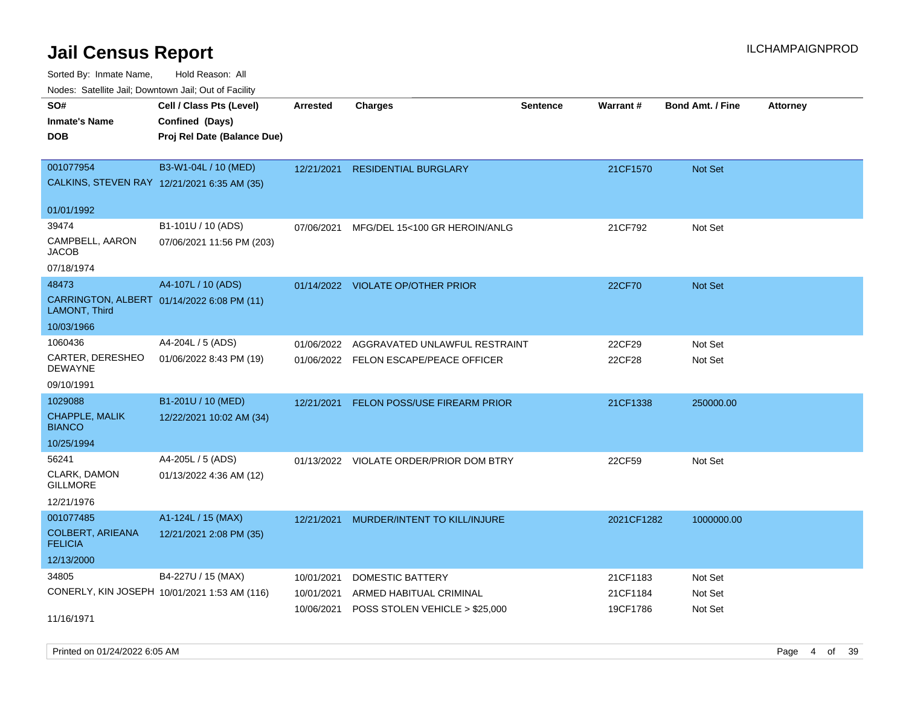Sorted By: Inmate Name, Hold Reason: All

Nodes: Satellite Jail; Downtown Jail; Out of Facility

| SO#                                                         | Cell / Class Pts (Level)                     | <b>Arrested</b> | <b>Charges</b>                          | <b>Sentence</b> | Warrant#   | <b>Bond Amt. / Fine</b> | <b>Attorney</b> |
|-------------------------------------------------------------|----------------------------------------------|-----------------|-----------------------------------------|-----------------|------------|-------------------------|-----------------|
| <b>Inmate's Name</b>                                        | Confined (Days)                              |                 |                                         |                 |            |                         |                 |
| <b>DOB</b>                                                  | Proj Rel Date (Balance Due)                  |                 |                                         |                 |            |                         |                 |
|                                                             |                                              |                 |                                         |                 |            |                         |                 |
| 001077954                                                   | B3-W1-04L / 10 (MED)                         | 12/21/2021      | <b>RESIDENTIAL BURGLARY</b>             |                 | 21CF1570   | Not Set                 |                 |
| CALKINS, STEVEN RAY 12/21/2021 6:35 AM (35)                 |                                              |                 |                                         |                 |            |                         |                 |
|                                                             |                                              |                 |                                         |                 |            |                         |                 |
| 01/01/1992                                                  |                                              |                 |                                         |                 |            |                         |                 |
| 39474                                                       | B1-101U / 10 (ADS)                           | 07/06/2021      | MFG/DEL 15<100 GR HEROIN/ANLG           |                 | 21CF792    | Not Set                 |                 |
| CAMPBELL, AARON<br><b>JACOB</b>                             | 07/06/2021 11:56 PM (203)                    |                 |                                         |                 |            |                         |                 |
| 07/18/1974                                                  |                                              |                 |                                         |                 |            |                         |                 |
| 48473                                                       | A4-107L / 10 (ADS)                           |                 | 01/14/2022 VIOLATE OP/OTHER PRIOR       |                 | 22CF70     | Not Set                 |                 |
| CARRINGTON, ALBERT 01/14/2022 6:08 PM (11)<br>LAMONT, Third |                                              |                 |                                         |                 |            |                         |                 |
| 10/03/1966                                                  |                                              |                 |                                         |                 |            |                         |                 |
| 1060436                                                     | A4-204L / 5 (ADS)                            | 01/06/2022      | AGGRAVATED UNLAWFUL RESTRAINT           |                 | 22CF29     | Not Set                 |                 |
| CARTER, DERESHEO<br><b>DEWAYNE</b>                          | 01/06/2022 8:43 PM (19)                      |                 | 01/06/2022 FELON ESCAPE/PEACE OFFICER   |                 | 22CF28     | Not Set                 |                 |
| 09/10/1991                                                  |                                              |                 |                                         |                 |            |                         |                 |
| 1029088                                                     | B1-201U / 10 (MED)                           | 12/21/2021      | FELON POSS/USE FIREARM PRIOR            |                 | 21CF1338   | 250000.00               |                 |
| <b>CHAPPLE, MALIK</b><br><b>BIANCO</b>                      | 12/22/2021 10:02 AM (34)                     |                 |                                         |                 |            |                         |                 |
| 10/25/1994                                                  |                                              |                 |                                         |                 |            |                         |                 |
| 56241                                                       | A4-205L / 5 (ADS)                            |                 | 01/13/2022 VIOLATE ORDER/PRIOR DOM BTRY |                 | 22CF59     | Not Set                 |                 |
| CLARK, DAMON<br><b>GILLMORE</b>                             | 01/13/2022 4:36 AM (12)                      |                 |                                         |                 |            |                         |                 |
| 12/21/1976                                                  |                                              |                 |                                         |                 |            |                         |                 |
| 001077485                                                   | A1-124L / 15 (MAX)                           |                 | 12/21/2021 MURDER/INTENT TO KILL/INJURE |                 | 2021CF1282 | 1000000.00              |                 |
| <b>COLBERT, ARIEANA</b><br><b>FELICIA</b>                   | 12/21/2021 2:08 PM (35)                      |                 |                                         |                 |            |                         |                 |
| 12/13/2000                                                  |                                              |                 |                                         |                 |            |                         |                 |
| 34805                                                       | B4-227U / 15 (MAX)                           | 10/01/2021      | <b>DOMESTIC BATTERY</b>                 |                 | 21CF1183   | Not Set                 |                 |
|                                                             | CONERLY, KIN JOSEPH 10/01/2021 1:53 AM (116) | 10/01/2021      | ARMED HABITUAL CRIMINAL                 |                 | 21CF1184   | Not Set                 |                 |
| 11/16/1971                                                  |                                              | 10/06/2021      | POSS STOLEN VEHICLE > \$25,000          |                 | 19CF1786   | Not Set                 |                 |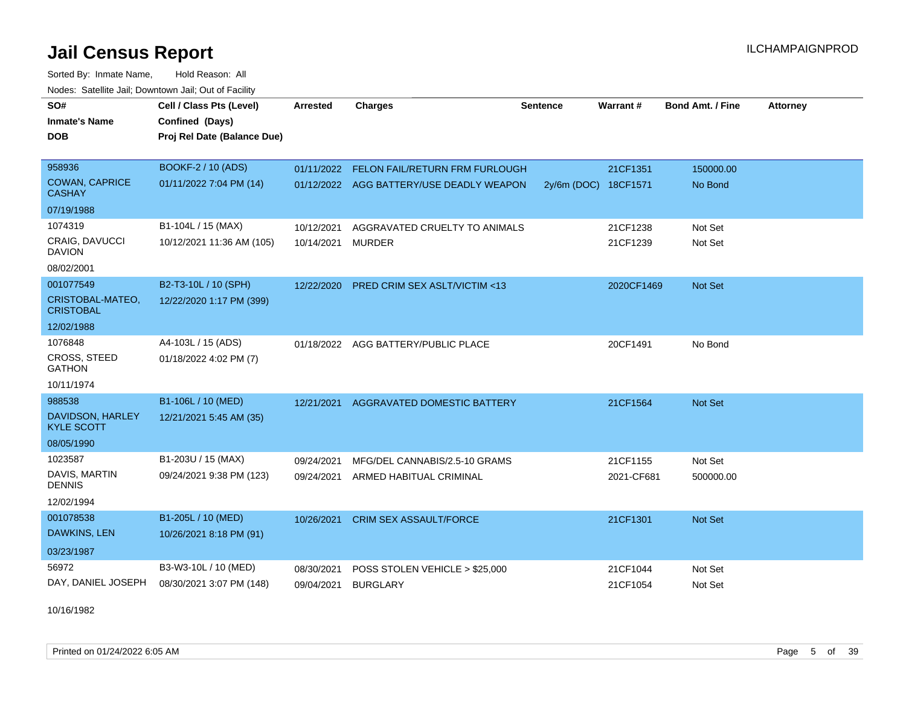Sorted By: Inmate Name, Hold Reason: All Nodes: Satellite Jail; Downtown Jail; Out of Facility

| SO#<br><b>Inmate's Name</b>            | Cell / Class Pts (Level)<br>Confined (Days) | <b>Arrested</b> | <b>Charges</b>                            | <b>Sentence</b> | Warrant#             | <b>Bond Amt. / Fine</b> | <b>Attorney</b> |
|----------------------------------------|---------------------------------------------|-----------------|-------------------------------------------|-----------------|----------------------|-------------------------|-----------------|
| <b>DOB</b>                             | Proj Rel Date (Balance Due)                 |                 |                                           |                 |                      |                         |                 |
| 958936                                 | BOOKF-2 / 10 (ADS)                          |                 | 01/11/2022 FELON FAIL/RETURN FRM FURLOUGH |                 | 21CF1351             | 150000.00               |                 |
| <b>COWAN, CAPRICE</b><br><b>CASHAY</b> | 01/11/2022 7:04 PM (14)                     |                 | 01/12/2022 AGG BATTERY/USE DEADLY WEAPON  |                 | 2y/6m (DOC) 18CF1571 | No Bond                 |                 |
| 07/19/1988                             |                                             |                 |                                           |                 |                      |                         |                 |
| 1074319                                | B1-104L / 15 (MAX)                          | 10/12/2021      | AGGRAVATED CRUELTY TO ANIMALS             |                 | 21CF1238             | Not Set                 |                 |
| CRAIG, DAVUCCI<br><b>DAVION</b>        | 10/12/2021 11:36 AM (105)                   | 10/14/2021      | <b>MURDER</b>                             |                 | 21CF1239             | Not Set                 |                 |
| 08/02/2001                             |                                             |                 |                                           |                 |                      |                         |                 |
| 001077549                              | B2-T3-10L / 10 (SPH)                        | 12/22/2020      | <b>PRED CRIM SEX ASLT/VICTIM &lt;13</b>   |                 | 2020CF1469           | Not Set                 |                 |
| CRISTOBAL-MATEO,<br><b>CRISTOBAL</b>   | 12/22/2020 1:17 PM (399)                    |                 |                                           |                 |                      |                         |                 |
| 12/02/1988                             |                                             |                 |                                           |                 |                      |                         |                 |
| 1076848                                | A4-103L / 15 (ADS)                          |                 | 01/18/2022 AGG BATTERY/PUBLIC PLACE       |                 | 20CF1491             | No Bond                 |                 |
| CROSS, STEED<br><b>GATHON</b>          | 01/18/2022 4:02 PM (7)                      |                 |                                           |                 |                      |                         |                 |
| 10/11/1974                             |                                             |                 |                                           |                 |                      |                         |                 |
| 988538                                 | B1-106L / 10 (MED)                          | 12/21/2021      | AGGRAVATED DOMESTIC BATTERY               |                 | 21CF1564             | <b>Not Set</b>          |                 |
| DAVIDSON, HARLEY<br><b>KYLE SCOTT</b>  | 12/21/2021 5:45 AM (35)                     |                 |                                           |                 |                      |                         |                 |
| 08/05/1990                             |                                             |                 |                                           |                 |                      |                         |                 |
| 1023587                                | B1-203U / 15 (MAX)                          | 09/24/2021      | MFG/DEL CANNABIS/2.5-10 GRAMS             |                 | 21CF1155             | Not Set                 |                 |
| DAVIS, MARTIN<br><b>DENNIS</b>         | 09/24/2021 9:38 PM (123)                    | 09/24/2021      | ARMED HABITUAL CRIMINAL                   |                 | 2021-CF681           | 500000.00               |                 |
| 12/02/1994                             |                                             |                 |                                           |                 |                      |                         |                 |
| 001078538                              | B1-205L / 10 (MED)                          | 10/26/2021      | <b>CRIM SEX ASSAULT/FORCE</b>             |                 | 21CF1301             | <b>Not Set</b>          |                 |
| DAWKINS, LEN                           | 10/26/2021 8:18 PM (91)                     |                 |                                           |                 |                      |                         |                 |
| 03/23/1987                             |                                             |                 |                                           |                 |                      |                         |                 |
| 56972                                  | B3-W3-10L / 10 (MED)                        | 08/30/2021      | POSS STOLEN VEHICLE > \$25,000            |                 | 21CF1044             | Not Set                 |                 |
| DAY, DANIEL JOSEPH                     | 08/30/2021 3:07 PM (148)                    | 09/04/2021      | <b>BURGLARY</b>                           |                 | 21CF1054             | Not Set                 |                 |

10/16/1982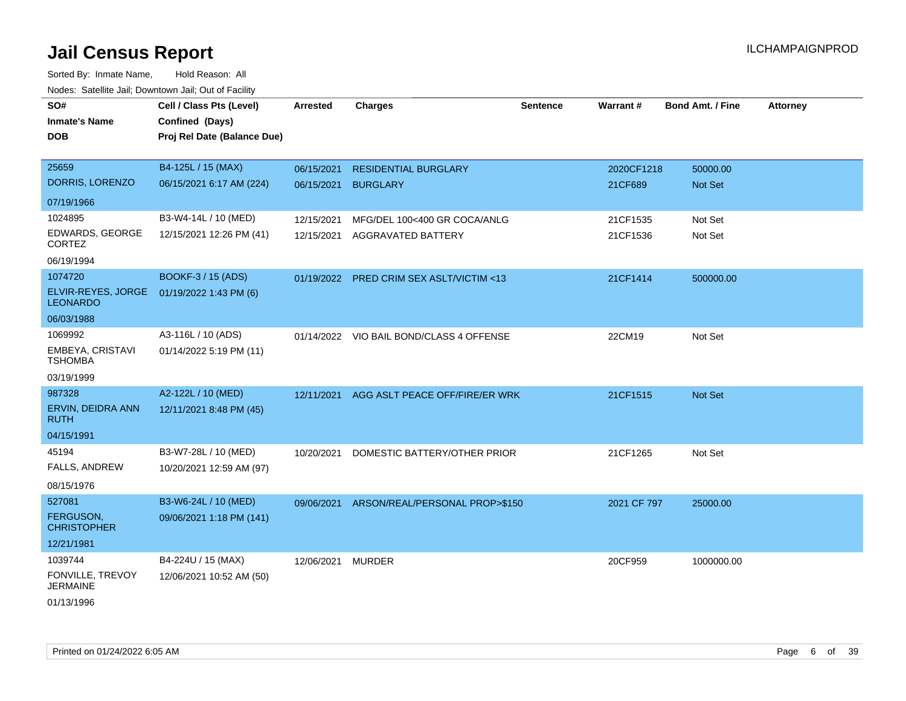| voues. Saleline Jali, Downtown Jali, Out of Facility |                             |                 |                                          |                 |             |                         |                 |
|------------------------------------------------------|-----------------------------|-----------------|------------------------------------------|-----------------|-------------|-------------------------|-----------------|
| SO#                                                  | Cell / Class Pts (Level)    | <b>Arrested</b> | <b>Charges</b>                           | <b>Sentence</b> | Warrant#    | <b>Bond Amt. / Fine</b> | <b>Attorney</b> |
| <b>Inmate's Name</b>                                 | Confined (Days)             |                 |                                          |                 |             |                         |                 |
| <b>DOB</b>                                           | Proj Rel Date (Balance Due) |                 |                                          |                 |             |                         |                 |
|                                                      |                             |                 |                                          |                 |             |                         |                 |
| 25659                                                | B4-125L / 15 (MAX)          | 06/15/2021      | <b>RESIDENTIAL BURGLARY</b>              |                 | 2020CF1218  | 50000.00                |                 |
| DORRIS, LORENZO                                      | 06/15/2021 6:17 AM (224)    | 06/15/2021      | <b>BURGLARY</b>                          |                 | 21CF689     | Not Set                 |                 |
| 07/19/1966                                           |                             |                 |                                          |                 |             |                         |                 |
| 1024895                                              | B3-W4-14L / 10 (MED)        | 12/15/2021      | MFG/DEL 100<400 GR COCA/ANLG             |                 | 21CF1535    | Not Set                 |                 |
| EDWARDS, GEORGE                                      | 12/15/2021 12:26 PM (41)    |                 | 12/15/2021 AGGRAVATED BATTERY            |                 | 21CF1536    | Not Set                 |                 |
| <b>CORTEZ</b>                                        |                             |                 |                                          |                 |             |                         |                 |
| 06/19/1994                                           |                             |                 |                                          |                 |             |                         |                 |
| 1074720                                              | BOOKF-3 / 15 (ADS)          |                 | 01/19/2022 PRED CRIM SEX ASLT/VICTIM <13 |                 | 21CF1414    | 500000.00               |                 |
| ELVIR-REYES, JORGE<br><b>LEONARDO</b>                | 01/19/2022 1:43 PM (6)      |                 |                                          |                 |             |                         |                 |
| 06/03/1988                                           |                             |                 |                                          |                 |             |                         |                 |
| 1069992                                              | A3-116L / 10 (ADS)          |                 | 01/14/2022 VIO BAIL BOND/CLASS 4 OFFENSE |                 | 22CM19      | Not Set                 |                 |
| EMBEYA, CRISTAVI<br><b>TSHOMBA</b>                   | 01/14/2022 5:19 PM (11)     |                 |                                          |                 |             |                         |                 |
| 03/19/1999                                           |                             |                 |                                          |                 |             |                         |                 |
| 987328                                               | A2-122L / 10 (MED)          | 12/11/2021      | AGG ASLT PEACE OFF/FIRE/ER WRK           |                 | 21CF1515    | Not Set                 |                 |
| ERVIN, DEIDRA ANN<br><b>RUTH</b>                     | 12/11/2021 8:48 PM (45)     |                 |                                          |                 |             |                         |                 |
| 04/15/1991                                           |                             |                 |                                          |                 |             |                         |                 |
| 45194                                                | B3-W7-28L / 10 (MED)        | 10/20/2021      | DOMESTIC BATTERY/OTHER PRIOR             |                 | 21CF1265    | Not Set                 |                 |
| <b>FALLS, ANDREW</b>                                 | 10/20/2021 12:59 AM (97)    |                 |                                          |                 |             |                         |                 |
| 08/15/1976                                           |                             |                 |                                          |                 |             |                         |                 |
| 527081                                               | B3-W6-24L / 10 (MED)        | 09/06/2021      | ARSON/REAL/PERSONAL PROP>\$150           |                 | 2021 CF 797 | 25000.00                |                 |
| FERGUSON,<br><b>CHRISTOPHER</b>                      | 09/06/2021 1:18 PM (141)    |                 |                                          |                 |             |                         |                 |
| 12/21/1981                                           |                             |                 |                                          |                 |             |                         |                 |
| 1039744                                              | B4-224U / 15 (MAX)          | 12/06/2021      | <b>MURDER</b>                            |                 | 20CF959     | 1000000.00              |                 |
| FONVILLE, TREVOY<br><b>JERMAINE</b>                  | 12/06/2021 10:52 AM (50)    |                 |                                          |                 |             |                         |                 |
| 01/13/1996                                           |                             |                 |                                          |                 |             |                         |                 |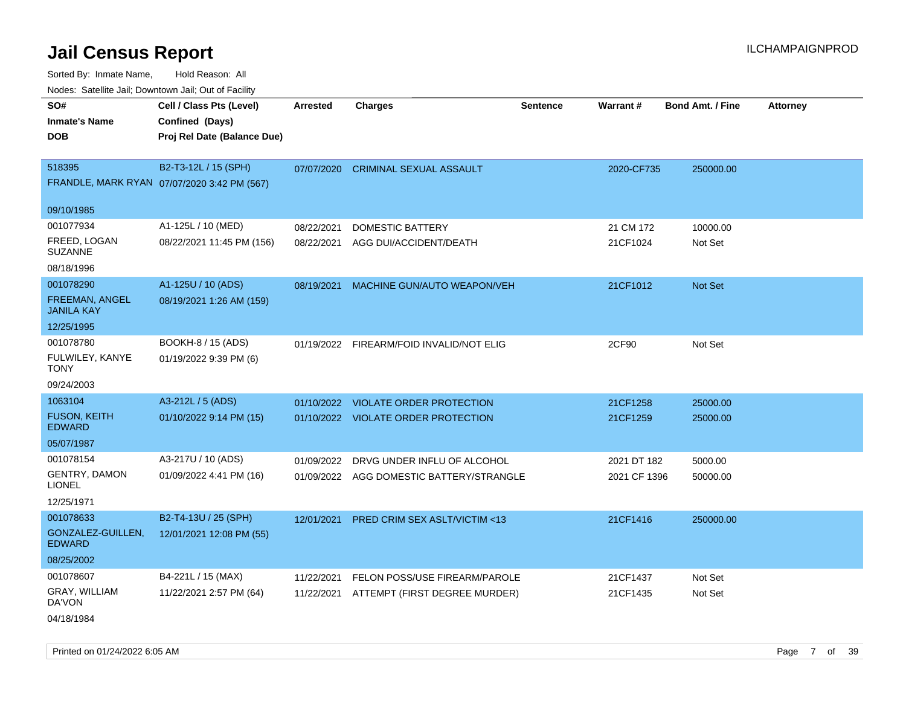Sorted By: Inmate Name, Hold Reason: All Nodes: Satellite Jail; Downtown Jail; Out of Facility

| Youes. Sateme Jan, Downtown Jan, Out or Facility |                                             |            |                                          |          |              |                         |          |
|--------------------------------------------------|---------------------------------------------|------------|------------------------------------------|----------|--------------|-------------------------|----------|
| SO#                                              | Cell / Class Pts (Level)                    | Arrested   | <b>Charges</b>                           | Sentence | Warrant#     | <b>Bond Amt. / Fine</b> | Attorney |
| <b>Inmate's Name</b>                             | Confined (Days)                             |            |                                          |          |              |                         |          |
| <b>DOB</b>                                       | Proj Rel Date (Balance Due)                 |            |                                          |          |              |                         |          |
|                                                  |                                             |            |                                          |          |              |                         |          |
| 518395                                           | B2-T3-12L / 15 (SPH)                        | 07/07/2020 | <b>CRIMINAL SEXUAL ASSAULT</b>           |          | 2020-CF735   | 250000.00               |          |
|                                                  | FRANDLE, MARK RYAN 07/07/2020 3:42 PM (567) |            |                                          |          |              |                         |          |
|                                                  |                                             |            |                                          |          |              |                         |          |
| 09/10/1985                                       |                                             |            |                                          |          |              |                         |          |
| 001077934                                        | A1-125L / 10 (MED)                          | 08/22/2021 | DOMESTIC BATTERY                         |          | 21 CM 172    | 10000.00                |          |
| FREED, LOGAN<br><b>SUZANNE</b>                   | 08/22/2021 11:45 PM (156)                   | 08/22/2021 | AGG DUI/ACCIDENT/DEATH                   |          | 21CF1024     | Not Set                 |          |
| 08/18/1996                                       |                                             |            |                                          |          |              |                         |          |
| 001078290                                        | A1-125U / 10 (ADS)                          | 08/19/2021 | MACHINE GUN/AUTO WEAPON/VEH              |          | 21CF1012     | Not Set                 |          |
| <b>FREEMAN, ANGEL</b><br><b>JANILA KAY</b>       | 08/19/2021 1:26 AM (159)                    |            |                                          |          |              |                         |          |
| 12/25/1995                                       |                                             |            |                                          |          |              |                         |          |
| 001078780                                        | BOOKH-8 / 15 (ADS)                          |            | 01/19/2022 FIREARM/FOID INVALID/NOT ELIG |          | 2CF90        | Not Set                 |          |
| FULWILEY, KANYE<br><b>TONY</b>                   | 01/19/2022 9:39 PM (6)                      |            |                                          |          |              |                         |          |
| 09/24/2003                                       |                                             |            |                                          |          |              |                         |          |
| 1063104                                          | A3-212L / 5 (ADS)                           | 01/10/2022 | <b>VIOLATE ORDER PROTECTION</b>          |          | 21CF1258     | 25000.00                |          |
| <b>FUSON, KEITH</b><br><b>EDWARD</b>             | 01/10/2022 9:14 PM (15)                     |            | 01/10/2022 VIOLATE ORDER PROTECTION      |          | 21CF1259     | 25000.00                |          |
| 05/07/1987                                       |                                             |            |                                          |          |              |                         |          |
| 001078154                                        | A3-217U / 10 (ADS)                          | 01/09/2022 | DRVG UNDER INFLU OF ALCOHOL              |          | 2021 DT 182  | 5000.00                 |          |
| <b>GENTRY, DAMON</b><br><b>LIONEL</b>            | 01/09/2022 4:41 PM (16)                     |            | 01/09/2022 AGG DOMESTIC BATTERY/STRANGLE |          | 2021 CF 1396 | 50000.00                |          |
| 12/25/1971                                       |                                             |            |                                          |          |              |                         |          |
| 001078633                                        | B2-T4-13U / 25 (SPH)                        | 12/01/2021 | PRED CRIM SEX ASLT/VICTIM <13            |          | 21CF1416     | 250000.00               |          |
| GONZALEZ-GUILLEN,<br><b>EDWARD</b>               | 12/01/2021 12:08 PM (55)                    |            |                                          |          |              |                         |          |
| 08/25/2002                                       |                                             |            |                                          |          |              |                         |          |
| 001078607                                        | B4-221L / 15 (MAX)                          | 11/22/2021 | FELON POSS/USE FIREARM/PAROLE            |          | 21CF1437     | Not Set                 |          |
| GRAY, WILLIAM<br>DA'VON                          | 11/22/2021 2:57 PM (64)                     | 11/22/2021 | ATTEMPT (FIRST DEGREE MURDER)            |          | 21CF1435     | Not Set                 |          |
| 04/18/1984                                       |                                             |            |                                          |          |              |                         |          |

Printed on 01/24/2022 6:05 AM Page 7 of 39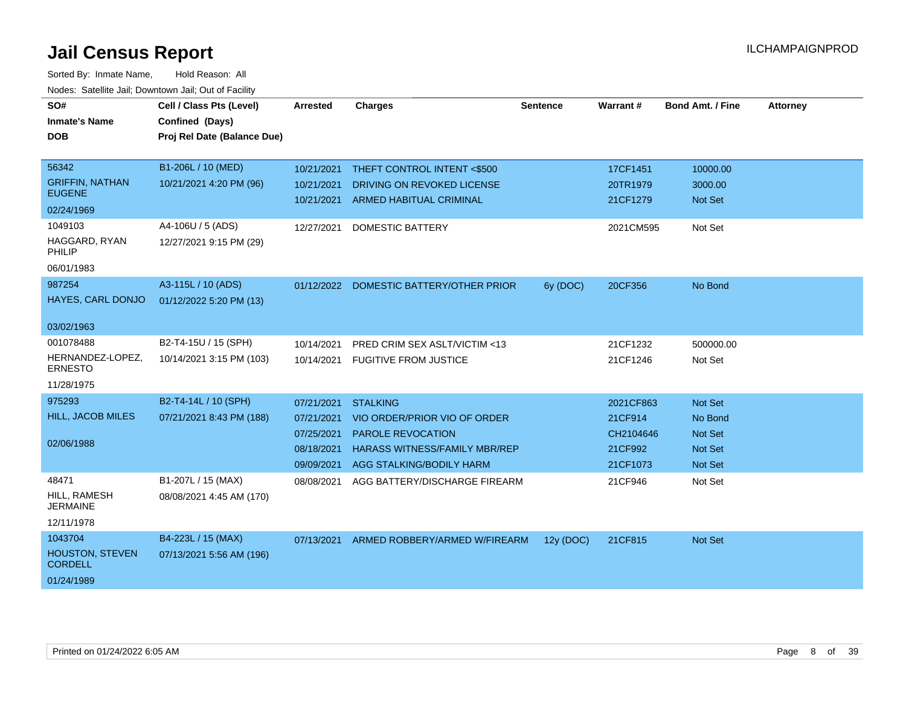| SO#<br><b>Inmate's Name</b><br><b>DOB</b>                                                                          | Cell / Class Pts (Level)<br>Confined (Days)<br>Proj Rel Date (Balance Due)                    | <b>Arrested</b>                                                    | <b>Charges</b>                                                                                                                                  | <b>Sentence</b> | <b>Warrant#</b>                                          | <b>Bond Amt. / Fine</b>                                                  | <b>Attorney</b> |
|--------------------------------------------------------------------------------------------------------------------|-----------------------------------------------------------------------------------------------|--------------------------------------------------------------------|-------------------------------------------------------------------------------------------------------------------------------------------------|-----------------|----------------------------------------------------------|--------------------------------------------------------------------------|-----------------|
| 56342<br><b>GRIFFIN, NATHAN</b><br><b>EUGENE</b><br>02/24/1969<br>1049103<br>HAGGARD, RYAN<br>PHILIP<br>06/01/1983 | B1-206L / 10 (MED)<br>10/21/2021 4:20 PM (96)<br>A4-106U / 5 (ADS)<br>12/27/2021 9:15 PM (29) | 10/21/2021<br>10/21/2021<br>10/21/2021<br>12/27/2021               | THEFT CONTROL INTENT <\$500<br>DRIVING ON REVOKED LICENSE<br><b>ARMED HABITUAL CRIMINAL</b><br><b>DOMESTIC BATTERY</b>                          |                 | 17CF1451<br>20TR1979<br>21CF1279<br>2021CM595            | 10000.00<br>3000.00<br><b>Not Set</b><br>Not Set                         |                 |
| 987254<br>HAYES, CARL DONJO<br>03/02/1963                                                                          | A3-115L / 10 (ADS)<br>01/12/2022 5:20 PM (13)                                                 | 01/12/2022                                                         | DOMESTIC BATTERY/OTHER PRIOR                                                                                                                    | 6y (DOC)        | 20CF356                                                  | No Bond                                                                  |                 |
| 001078488<br>HERNANDEZ-LOPEZ,<br><b>ERNESTO</b><br>11/28/1975                                                      | B2-T4-15U / 15 (SPH)<br>10/14/2021 3:15 PM (103)                                              | 10/14/2021<br>10/14/2021                                           | PRED CRIM SEX ASLT/VICTIM <13<br><b>FUGITIVE FROM JUSTICE</b>                                                                                   |                 | 21CF1232<br>21CF1246                                     | 500000.00<br>Not Set                                                     |                 |
| 975293<br>HILL, JACOB MILES<br>02/06/1988                                                                          | B2-T4-14L / 10 (SPH)<br>07/21/2021 8:43 PM (188)                                              | 07/21/2021<br>07/21/2021<br>07/25/2021<br>08/18/2021<br>09/09/2021 | <b>STALKING</b><br>VIO ORDER/PRIOR VIO OF ORDER<br><b>PAROLE REVOCATION</b><br><b>HARASS WITNESS/FAMILY MBR/REP</b><br>AGG STALKING/BODILY HARM |                 | 2021CF863<br>21CF914<br>CH2104646<br>21CF992<br>21CF1073 | Not Set<br>No Bond<br><b>Not Set</b><br><b>Not Set</b><br><b>Not Set</b> |                 |
| 48471<br>HILL, RAMESH<br><b>JERMAINE</b><br>12/11/1978                                                             | B1-207L / 15 (MAX)<br>08/08/2021 4:45 AM (170)                                                | 08/08/2021                                                         | AGG BATTERY/DISCHARGE FIREARM                                                                                                                   |                 | 21CF946                                                  | Not Set                                                                  |                 |
| 1043704<br>HOUSTON, STEVEN<br><b>CORDELL</b><br>01/24/1989                                                         | B4-223L / 15 (MAX)<br>07/13/2021 5:56 AM (196)                                                | 07/13/2021                                                         | ARMED ROBBERY/ARMED W/FIREARM                                                                                                                   | 12y (DOC)       | 21CF815                                                  | Not Set                                                                  |                 |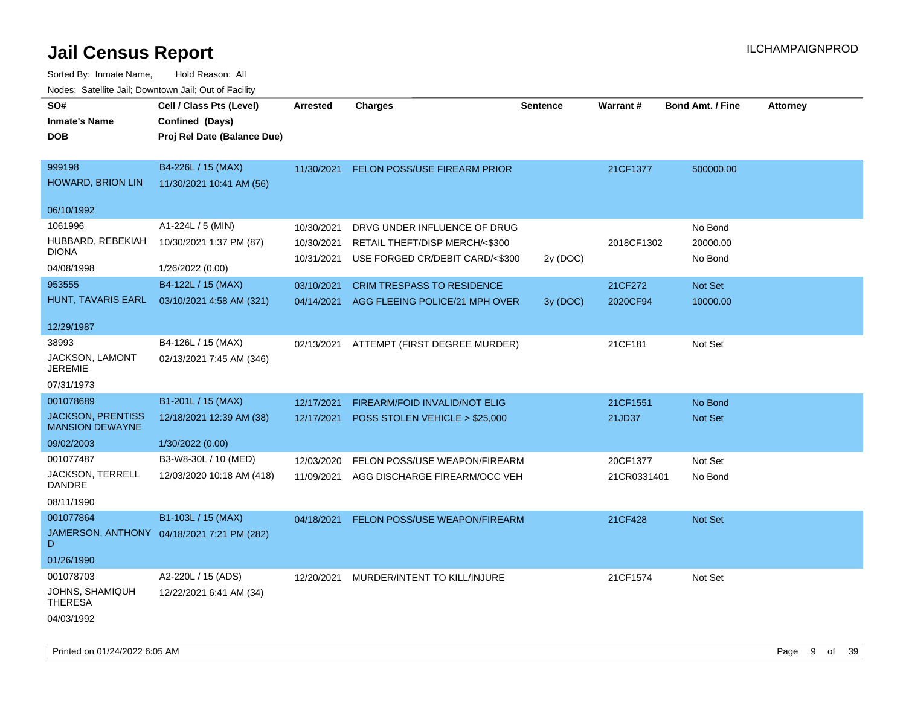| roaco. Oatomto dan, Downtown dan, Oat or Fability  |                                            |            |                                   |                 |             |                         |                 |
|----------------------------------------------------|--------------------------------------------|------------|-----------------------------------|-----------------|-------------|-------------------------|-----------------|
| SO#                                                | Cell / Class Pts (Level)                   | Arrested   | <b>Charges</b>                    | <b>Sentence</b> | Warrant#    | <b>Bond Amt. / Fine</b> | <b>Attorney</b> |
| <b>Inmate's Name</b>                               | Confined (Days)                            |            |                                   |                 |             |                         |                 |
| <b>DOB</b>                                         | Proj Rel Date (Balance Due)                |            |                                   |                 |             |                         |                 |
|                                                    |                                            |            |                                   |                 |             |                         |                 |
| 999198                                             | B4-226L / 15 (MAX)                         | 11/30/2021 | FELON POSS/USE FIREARM PRIOR      |                 | 21CF1377    | 500000.00               |                 |
| HOWARD, BRION LIN                                  | 11/30/2021 10:41 AM (56)                   |            |                                   |                 |             |                         |                 |
|                                                    |                                            |            |                                   |                 |             |                         |                 |
| 06/10/1992                                         |                                            |            |                                   |                 |             |                         |                 |
| 1061996                                            | A1-224L / 5 (MIN)                          | 10/30/2021 | DRVG UNDER INFLUENCE OF DRUG      |                 |             | No Bond                 |                 |
| HUBBARD, REBEKIAH                                  | 10/30/2021 1:37 PM (87)                    | 10/30/2021 | RETAIL THEFT/DISP MERCH/<\$300    |                 | 2018CF1302  | 20000.00                |                 |
| <b>DIONA</b>                                       |                                            | 10/31/2021 | USE FORGED CR/DEBIT CARD/<\$300   | 2y (DOC)        |             | No Bond                 |                 |
| 04/08/1998                                         | 1/26/2022 (0.00)                           |            |                                   |                 |             |                         |                 |
| 953555                                             | B4-122L / 15 (MAX)                         | 03/10/2021 | <b>CRIM TRESPASS TO RESIDENCE</b> |                 | 21CF272     | <b>Not Set</b>          |                 |
| HUNT, TAVARIS EARL                                 | 03/10/2021 4:58 AM (321)                   | 04/14/2021 | AGG FLEEING POLICE/21 MPH OVER    | 3y (DOC)        | 2020CF94    | 10000.00                |                 |
|                                                    |                                            |            |                                   |                 |             |                         |                 |
| 12/29/1987                                         |                                            |            |                                   |                 |             |                         |                 |
| 38993                                              | B4-126L / 15 (MAX)                         | 02/13/2021 | ATTEMPT (FIRST DEGREE MURDER)     |                 | 21CF181     | Not Set                 |                 |
| JACKSON, LAMONT<br><b>JEREMIE</b>                  | 02/13/2021 7:45 AM (346)                   |            |                                   |                 |             |                         |                 |
| 07/31/1973                                         |                                            |            |                                   |                 |             |                         |                 |
| 001078689                                          | B1-201L / 15 (MAX)                         | 12/17/2021 | FIREARM/FOID INVALID/NOT ELIG     |                 | 21CF1551    | No Bond                 |                 |
| <b>JACKSON, PRENTISS</b><br><b>MANSION DEWAYNE</b> | 12/18/2021 12:39 AM (38)                   | 12/17/2021 | POSS STOLEN VEHICLE > \$25,000    |                 | 21JD37      | <b>Not Set</b>          |                 |
| 09/02/2003                                         | 1/30/2022 (0.00)                           |            |                                   |                 |             |                         |                 |
| 001077487                                          | B3-W8-30L / 10 (MED)                       | 12/03/2020 | FELON POSS/USE WEAPON/FIREARM     |                 | 20CF1377    | Not Set                 |                 |
| <b>JACKSON, TERRELL</b><br>DANDRE                  | 12/03/2020 10:18 AM (418)                  | 11/09/2021 | AGG DISCHARGE FIREARM/OCC VEH     |                 | 21CR0331401 | No Bond                 |                 |
| 08/11/1990                                         |                                            |            |                                   |                 |             |                         |                 |
| 001077864                                          | B1-103L / 15 (MAX)                         | 04/18/2021 | FELON POSS/USE WEAPON/FIREARM     |                 | 21CF428     | Not Set                 |                 |
| D                                                  | JAMERSON, ANTHONY 04/18/2021 7:21 PM (282) |            |                                   |                 |             |                         |                 |
| 01/26/1990                                         |                                            |            |                                   |                 |             |                         |                 |
| 001078703                                          | A2-220L / 15 (ADS)                         | 12/20/2021 | MURDER/INTENT TO KILL/INJURE      |                 | 21CF1574    | Not Set                 |                 |
| JOHNS, SHAMIQUH<br><b>THERESA</b>                  | 12/22/2021 6:41 AM (34)                    |            |                                   |                 |             |                         |                 |
| 04/03/1992                                         |                                            |            |                                   |                 |             |                         |                 |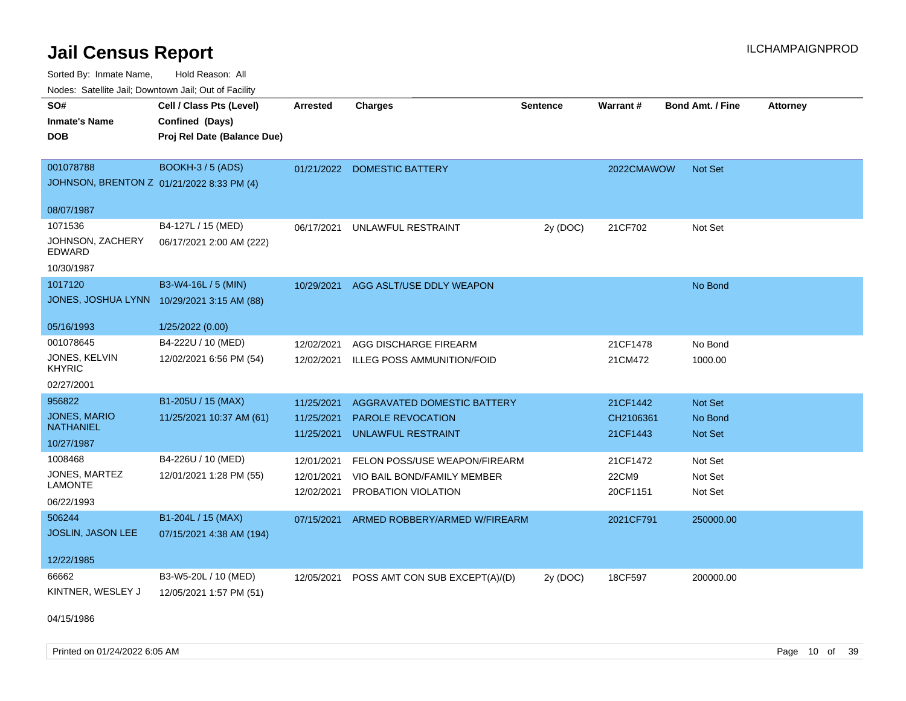Sorted By: Inmate Name, Hold Reason: All Nodes: Satellite Jail; Downtown Jail; Out of Facility

| ivodes. Satellite Jali, Downtown Jali, Out of Facility |                                            |            |                                    |                 |                 |                         |                 |
|--------------------------------------------------------|--------------------------------------------|------------|------------------------------------|-----------------|-----------------|-------------------------|-----------------|
| SO#                                                    | Cell / Class Pts (Level)                   | Arrested   | <b>Charges</b>                     | <b>Sentence</b> | <b>Warrant#</b> | <b>Bond Amt. / Fine</b> | <b>Attorney</b> |
| <b>Inmate's Name</b>                                   | Confined (Days)                            |            |                                    |                 |                 |                         |                 |
| <b>DOB</b>                                             | Proj Rel Date (Balance Due)                |            |                                    |                 |                 |                         |                 |
|                                                        |                                            |            |                                    |                 |                 |                         |                 |
| 001078788                                              | <b>BOOKH-3/5 (ADS)</b>                     |            | 01/21/2022 DOMESTIC BATTERY        |                 | 2022CMAWOW      | Not Set                 |                 |
| JOHNSON, BRENTON Z 01/21/2022 8:33 PM (4)              |                                            |            |                                    |                 |                 |                         |                 |
| 08/07/1987                                             |                                            |            |                                    |                 |                 |                         |                 |
| 1071536                                                | B4-127L / 15 (MED)                         | 06/17/2021 | UNLAWFUL RESTRAINT                 | 2y (DOC)        | 21CF702         | Not Set                 |                 |
| JOHNSON, ZACHERY<br><b>EDWARD</b>                      | 06/17/2021 2:00 AM (222)                   |            |                                    |                 |                 |                         |                 |
| 10/30/1987                                             |                                            |            |                                    |                 |                 |                         |                 |
| 1017120                                                | B3-W4-16L / 5 (MIN)                        | 10/29/2021 | AGG ASLT/USE DDLY WEAPON           |                 |                 | No Bond                 |                 |
|                                                        | JONES, JOSHUA LYNN 10/29/2021 3:15 AM (88) |            |                                    |                 |                 |                         |                 |
|                                                        |                                            |            |                                    |                 |                 |                         |                 |
| 05/16/1993                                             | 1/25/2022 (0.00)                           |            |                                    |                 |                 |                         |                 |
| 001078645                                              | B4-222U / 10 (MED)                         | 12/02/2021 | AGG DISCHARGE FIREARM              |                 | 21CF1478        | No Bond                 |                 |
| JONES, KELVIN<br><b>KHYRIC</b>                         | 12/02/2021 6:56 PM (54)                    | 12/02/2021 | ILLEG POSS AMMUNITION/FOID         |                 | 21CM472         | 1000.00                 |                 |
| 02/27/2001                                             |                                            |            |                                    |                 |                 |                         |                 |
| 956822                                                 | B1-205U / 15 (MAX)                         | 11/25/2021 | <b>AGGRAVATED DOMESTIC BATTERY</b> |                 | 21CF1442        | Not Set                 |                 |
| <b>JONES, MARIO</b>                                    | 11/25/2021 10:37 AM (61)                   | 11/25/2021 | <b>PAROLE REVOCATION</b>           |                 | CH2106361       | No Bond                 |                 |
| <b>NATHANIEL</b>                                       |                                            | 11/25/2021 | <b>UNLAWFUL RESTRAINT</b>          |                 | 21CF1443        | <b>Not Set</b>          |                 |
| 10/27/1987                                             |                                            |            |                                    |                 |                 |                         |                 |
| 1008468                                                | B4-226U / 10 (MED)                         | 12/01/2021 | FELON POSS/USE WEAPON/FIREARM      |                 | 21CF1472        | Not Set                 |                 |
| JONES, MARTEZ<br>LAMONTE                               | 12/01/2021 1:28 PM (55)                    | 12/01/2021 | VIO BAIL BOND/FAMILY MEMBER        |                 | 22CM9           | Not Set                 |                 |
| 06/22/1993                                             |                                            | 12/02/2021 | PROBATION VIOLATION                |                 | 20CF1151        | Not Set                 |                 |
| 506244                                                 | B1-204L / 15 (MAX)                         | 07/15/2021 | ARMED ROBBERY/ARMED W/FIREARM      |                 | 2021CF791       | 250000.00               |                 |
| JOSLIN, JASON LEE                                      | 07/15/2021 4:38 AM (194)                   |            |                                    |                 |                 |                         |                 |
|                                                        |                                            |            |                                    |                 |                 |                         |                 |
| 12/22/1985                                             |                                            |            |                                    |                 |                 |                         |                 |
| 66662                                                  | B3-W5-20L / 10 (MED)                       | 12/05/2021 | POSS AMT CON SUB EXCEPT(A)/(D)     | 2y (DOC)        | 18CF597         | 200000.00               |                 |
| KINTNER, WESLEY J                                      | 12/05/2021 1:57 PM (51)                    |            |                                    |                 |                 |                         |                 |
|                                                        |                                            |            |                                    |                 |                 |                         |                 |

04/15/1986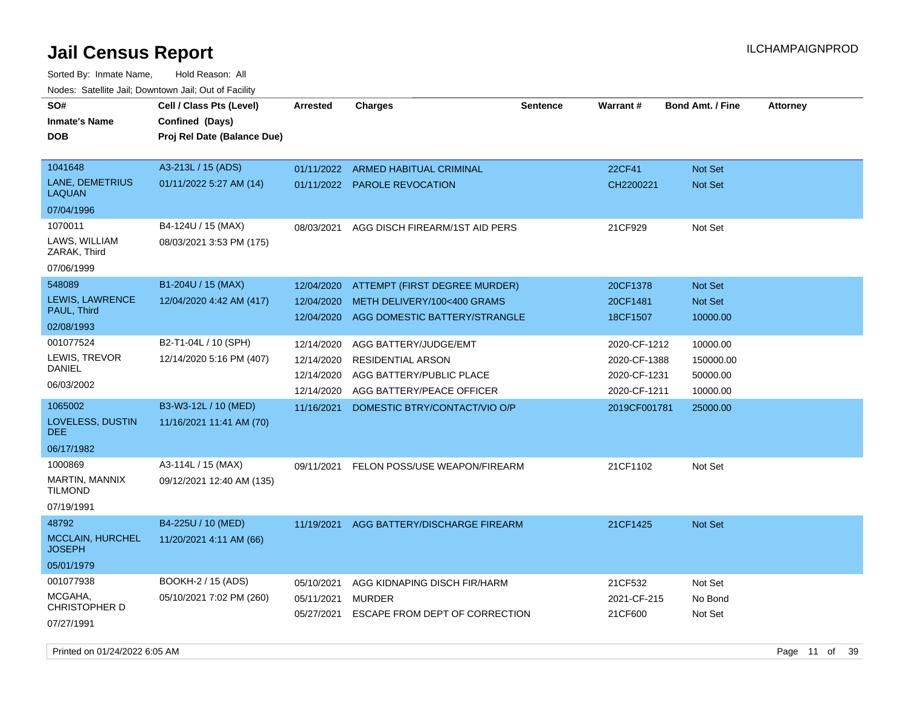Sorted By: Inmate Name, Hold Reason: All Nodes: Satellite Jail; Downtown Jail; Out of Facility

| SO#<br><b>Inmate's Name</b><br><b>DOB</b> | Cell / Class Pts (Level)<br>Confined (Days)<br>Proj Rel Date (Balance Due) | <b>Arrested</b> | <b>Charges</b>                     | <b>Sentence</b> | <b>Warrant#</b> | <b>Bond Amt. / Fine</b> | <b>Attorney</b> |
|-------------------------------------------|----------------------------------------------------------------------------|-----------------|------------------------------------|-----------------|-----------------|-------------------------|-----------------|
|                                           |                                                                            |                 |                                    |                 |                 |                         |                 |
| 1041648                                   | A3-213L / 15 (ADS)                                                         |                 | 01/11/2022 ARMED HABITUAL CRIMINAL |                 | 22CF41          | <b>Not Set</b>          |                 |
| LANE, DEMETRIUS<br><b>LAQUAN</b>          | 01/11/2022 5:27 AM (14)                                                    |                 | 01/11/2022 PAROLE REVOCATION       |                 | CH2200221       | <b>Not Set</b>          |                 |
| 07/04/1996                                |                                                                            |                 |                                    |                 |                 |                         |                 |
| 1070011                                   | B4-124U / 15 (MAX)                                                         | 08/03/2021      | AGG DISCH FIREARM/1ST AID PERS     |                 | 21CF929         | Not Set                 |                 |
| LAWS, WILLIAM<br>ZARAK, Third             | 08/03/2021 3:53 PM (175)                                                   |                 |                                    |                 |                 |                         |                 |
| 07/06/1999                                |                                                                            |                 |                                    |                 |                 |                         |                 |
| 548089                                    | B1-204U / 15 (MAX)                                                         | 12/04/2020      | ATTEMPT (FIRST DEGREE MURDER)      |                 | 20CF1378        | Not Set                 |                 |
| LEWIS, LAWRENCE                           | 12/04/2020 4:42 AM (417)                                                   | 12/04/2020      | METH DELIVERY/100<400 GRAMS        |                 | 20CF1481        | Not Set                 |                 |
| PAUL, Third                               |                                                                            | 12/04/2020      | AGG DOMESTIC BATTERY/STRANGLE      |                 | 18CF1507        | 10000.00                |                 |
| 02/08/1993                                |                                                                            |                 |                                    |                 |                 |                         |                 |
| 001077524                                 | B2-T1-04L / 10 (SPH)                                                       | 12/14/2020      | AGG BATTERY/JUDGE/EMT              |                 | 2020-CF-1212    | 10000.00                |                 |
| LEWIS, TREVOR<br><b>DANIEL</b>            | 12/14/2020 5:16 PM (407)                                                   | 12/14/2020      | <b>RESIDENTIAL ARSON</b>           |                 | 2020-CF-1388    | 150000.00               |                 |
| 06/03/2002                                |                                                                            | 12/14/2020      | AGG BATTERY/PUBLIC PLACE           |                 | 2020-CF-1231    | 50000.00                |                 |
|                                           |                                                                            | 12/14/2020      | AGG BATTERY/PEACE OFFICER          |                 | 2020-CF-1211    | 10000.00                |                 |
| 1065002                                   | B3-W3-12L / 10 (MED)                                                       | 11/16/2021      | DOMESTIC BTRY/CONTACT/VIO O/P      |                 | 2019CF001781    | 25000.00                |                 |
| LOVELESS, DUSTIN<br><b>DEE</b>            | 11/16/2021 11:41 AM (70)                                                   |                 |                                    |                 |                 |                         |                 |
| 06/17/1982                                |                                                                            |                 |                                    |                 |                 |                         |                 |
| 1000869                                   | A3-114L / 15 (MAX)                                                         | 09/11/2021      | FELON POSS/USE WEAPON/FIREARM      |                 | 21CF1102        | Not Set                 |                 |
| MARTIN, MANNIX<br><b>TILMOND</b>          | 09/12/2021 12:40 AM (135)                                                  |                 |                                    |                 |                 |                         |                 |
| 07/19/1991                                |                                                                            |                 |                                    |                 |                 |                         |                 |
| 48792                                     | B4-225U / 10 (MED)                                                         | 11/19/2021      | AGG BATTERY/DISCHARGE FIREARM      |                 | 21CF1425        | Not Set                 |                 |
| <b>MCCLAIN, HURCHEL</b><br><b>JOSEPH</b>  | 11/20/2021 4:11 AM (66)                                                    |                 |                                    |                 |                 |                         |                 |
| 05/01/1979                                |                                                                            |                 |                                    |                 |                 |                         |                 |
| 001077938                                 | <b>BOOKH-2 / 15 (ADS)</b>                                                  | 05/10/2021      | AGG KIDNAPING DISCH FIR/HARM       |                 | 21CF532         | Not Set                 |                 |
| MCGAHA,                                   | 05/10/2021 7:02 PM (260)                                                   | 05/11/2021      | <b>MURDER</b>                      |                 | 2021-CF-215     | No Bond                 |                 |
| CHRISTOPHER D                             |                                                                            | 05/27/2021      | ESCAPE FROM DEPT OF CORRECTION     |                 | 21CF600         | Not Set                 |                 |
| 07/27/1991                                |                                                                            |                 |                                    |                 |                 |                         |                 |

Printed on 01/24/2022 6:05 AM Page 11 of 39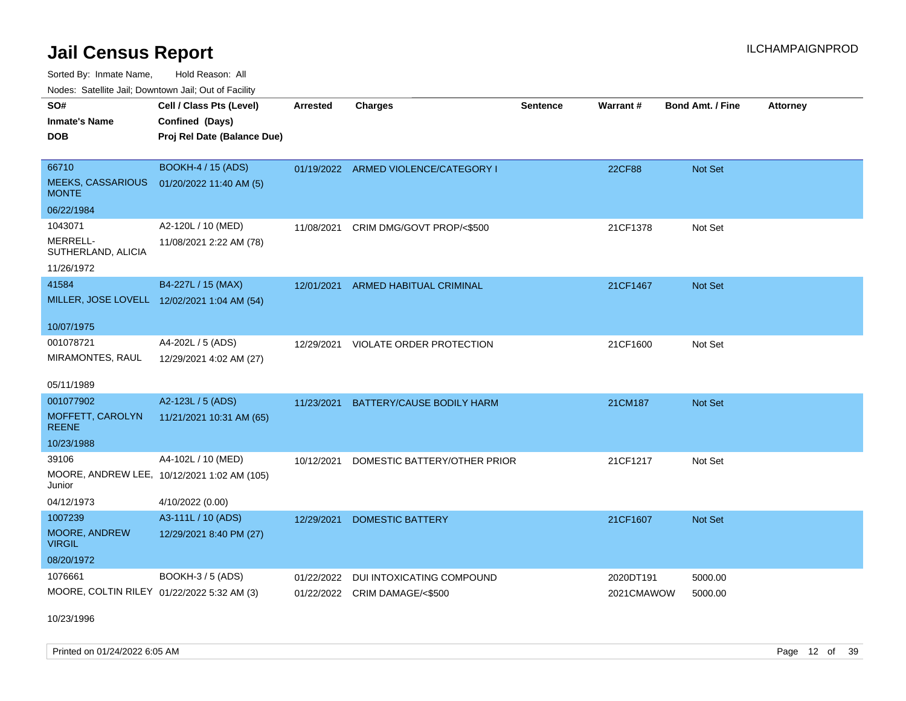Sorted By: Inmate Name, Hold Reason: All

| Nodes: Satellite Jail; Downtown Jail; Out of Facility |
|-------------------------------------------------------|
|-------------------------------------------------------|

| SO#<br><b>Inmate's Name</b><br><b>DOB</b> | Cell / Class Pts (Level)<br>Confined (Days)<br>Proj Rel Date (Balance Due) | <b>Arrested</b> | <b>Charges</b>                       | <b>Sentence</b> | Warrant#   | Bond Amt. / Fine | <b>Attorney</b> |
|-------------------------------------------|----------------------------------------------------------------------------|-----------------|--------------------------------------|-----------------|------------|------------------|-----------------|
| 66710                                     | <b>BOOKH-4 / 15 (ADS)</b>                                                  |                 | 01/19/2022 ARMED VIOLENCE/CATEGORY I |                 | 22CF88     | Not Set          |                 |
| <b>MEEKS, CASSARIOUS</b><br><b>MONTE</b>  | 01/20/2022 11:40 AM (5)                                                    |                 |                                      |                 |            |                  |                 |
| 06/22/1984                                |                                                                            |                 |                                      |                 |            |                  |                 |
| 1043071                                   | A2-120L / 10 (MED)                                                         | 11/08/2021      | CRIM DMG/GOVT PROP/<\$500            |                 | 21CF1378   | Not Set          |                 |
| MERRELL-<br>SUTHERLAND, ALICIA            | 11/08/2021 2:22 AM (78)                                                    |                 |                                      |                 |            |                  |                 |
| 11/26/1972                                |                                                                            |                 |                                      |                 |            |                  |                 |
| 41584                                     | B4-227L / 15 (MAX)                                                         |                 | 12/01/2021 ARMED HABITUAL CRIMINAL   |                 | 21CF1467   | Not Set          |                 |
|                                           | MILLER, JOSE LOVELL 12/02/2021 1:04 AM (54)                                |                 |                                      |                 |            |                  |                 |
| 10/07/1975                                |                                                                            |                 |                                      |                 |            |                  |                 |
| 001078721                                 | A4-202L / 5 (ADS)                                                          | 12/29/2021      | VIOLATE ORDER PROTECTION             |                 | 21CF1600   | Not Set          |                 |
| MIRAMONTES, RAUL                          | 12/29/2021 4:02 AM (27)                                                    |                 |                                      |                 |            |                  |                 |
| 05/11/1989                                |                                                                            |                 |                                      |                 |            |                  |                 |
| 001077902                                 | A2-123L / 5 (ADS)                                                          | 11/23/2021      | BATTERY/CAUSE BODILY HARM            |                 | 21CM187    | Not Set          |                 |
| MOFFETT, CAROLYN<br><b>REENE</b>          | 11/21/2021 10:31 AM (65)                                                   |                 |                                      |                 |            |                  |                 |
| 10/23/1988                                |                                                                            |                 |                                      |                 |            |                  |                 |
| 39106                                     | A4-102L / 10 (MED)                                                         | 10/12/2021      | DOMESTIC BATTERY/OTHER PRIOR         |                 | 21CF1217   | Not Set          |                 |
| Junior                                    | MOORE, ANDREW LEE, 10/12/2021 1:02 AM (105)                                |                 |                                      |                 |            |                  |                 |
| 04/12/1973                                | 4/10/2022 (0.00)                                                           |                 |                                      |                 |            |                  |                 |
| 1007239                                   | A3-111L / 10 (ADS)                                                         | 12/29/2021      | <b>DOMESTIC BATTERY</b>              |                 | 21CF1607   | <b>Not Set</b>   |                 |
| MOORE, ANDREW<br><b>VIRGIL</b>            | 12/29/2021 8:40 PM (27)                                                    |                 |                                      |                 |            |                  |                 |
| 08/20/1972                                |                                                                            |                 |                                      |                 |            |                  |                 |
| 1076661                                   | BOOKH-3 / 5 (ADS)                                                          | 01/22/2022      | DUI INTOXICATING COMPOUND            |                 | 2020DT191  | 5000.00          |                 |
|                                           | MOORE, COLTIN RILEY 01/22/2022 5:32 AM (3)                                 |                 | 01/22/2022 CRIM DAMAGE/<\$500        |                 | 2021CMAWOW | 5000.00          |                 |

10/23/1996

Printed on 01/24/2022 6:05 AM Page 12 of 39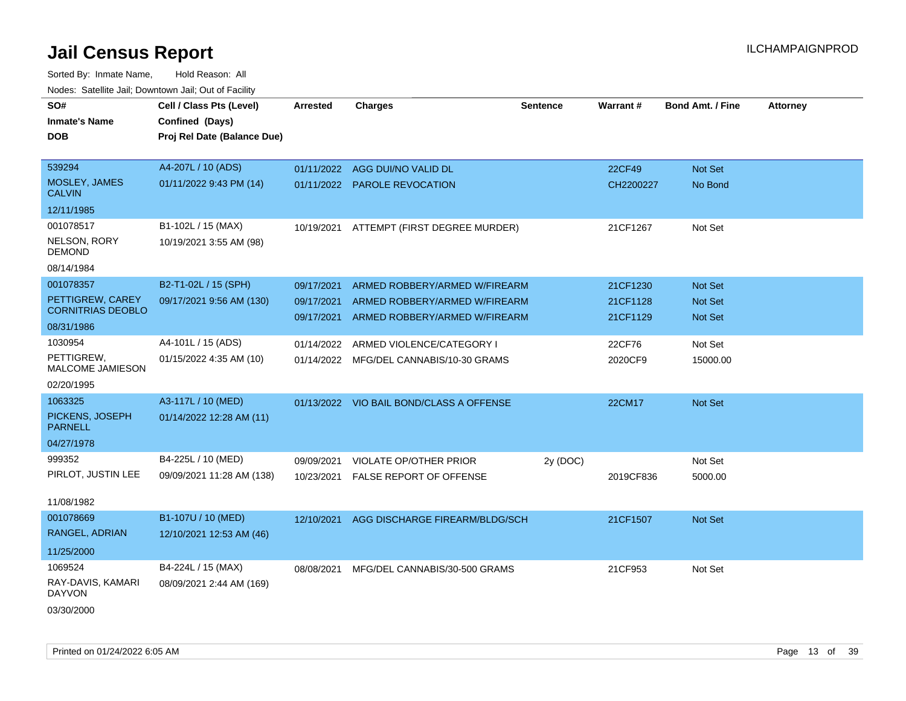| SO#                                | Cell / Class Pts (Level)    | <b>Arrested</b> | <b>Charges</b>                           | <b>Sentence</b> | Warrant#      | <b>Bond Amt. / Fine</b> | <b>Attorney</b> |
|------------------------------------|-----------------------------|-----------------|------------------------------------------|-----------------|---------------|-------------------------|-----------------|
| <b>Inmate's Name</b>               | Confined (Days)             |                 |                                          |                 |               |                         |                 |
| <b>DOB</b>                         | Proj Rel Date (Balance Due) |                 |                                          |                 |               |                         |                 |
|                                    |                             |                 |                                          |                 |               |                         |                 |
| 539294                             | A4-207L / 10 (ADS)          | 01/11/2022      | AGG DUI/NO VALID DL                      |                 | <b>22CF49</b> | Not Set                 |                 |
| MOSLEY, JAMES<br><b>CALVIN</b>     | 01/11/2022 9:43 PM (14)     |                 | 01/11/2022 PAROLE REVOCATION             |                 | CH2200227     | No Bond                 |                 |
| 12/11/1985                         |                             |                 |                                          |                 |               |                         |                 |
| 001078517                          | B1-102L / 15 (MAX)          |                 | 10/19/2021 ATTEMPT (FIRST DEGREE MURDER) |                 | 21CF1267      | Not Set                 |                 |
| NELSON, RORY<br>DEMOND             | 10/19/2021 3:55 AM (98)     |                 |                                          |                 |               |                         |                 |
| 08/14/1984                         |                             |                 |                                          |                 |               |                         |                 |
| 001078357                          | B2-T1-02L / 15 (SPH)        | 09/17/2021      | ARMED ROBBERY/ARMED W/FIREARM            |                 | 21CF1230      | <b>Not Set</b>          |                 |
| PETTIGREW, CAREY                   | 09/17/2021 9:56 AM (130)    | 09/17/2021      | ARMED ROBBERY/ARMED W/FIREARM            |                 | 21CF1128      | <b>Not Set</b>          |                 |
| <b>CORNITRIAS DEOBLO</b>           |                             | 09/17/2021      | ARMED ROBBERY/ARMED W/FIREARM            |                 | 21CF1129      | <b>Not Set</b>          |                 |
| 08/31/1986                         |                             |                 |                                          |                 |               |                         |                 |
| 1030954                            | A4-101L / 15 (ADS)          | 01/14/2022      | ARMED VIOLENCE/CATEGORY I                |                 | 22CF76        | Not Set                 |                 |
| PETTIGREW,<br>MALCOME JAMIESON     | 01/15/2022 4:35 AM (10)     |                 | 01/14/2022 MFG/DEL CANNABIS/10-30 GRAMS  |                 | 2020CF9       | 15000.00                |                 |
| 02/20/1995                         |                             |                 |                                          |                 |               |                         |                 |
| 1063325                            | A3-117L / 10 (MED)          |                 | 01/13/2022 VIO BAIL BOND/CLASS A OFFENSE |                 | 22CM17        | Not Set                 |                 |
| PICKENS, JOSEPH<br><b>PARNELL</b>  | 01/14/2022 12:28 AM (11)    |                 |                                          |                 |               |                         |                 |
| 04/27/1978                         |                             |                 |                                          |                 |               |                         |                 |
| 999352                             | B4-225L / 10 (MED)          | 09/09/2021      | VIOLATE OP/OTHER PRIOR                   | 2y (DOC)        |               | Not Set                 |                 |
| PIRLOT, JUSTIN LEE                 | 09/09/2021 11:28 AM (138)   | 10/23/2021      | <b>FALSE REPORT OF OFFENSE</b>           |                 | 2019CF836     | 5000.00                 |                 |
|                                    |                             |                 |                                          |                 |               |                         |                 |
| 11/08/1982                         |                             |                 |                                          |                 |               |                         |                 |
| 001078669                          | B1-107U / 10 (MED)          | 12/10/2021      | AGG DISCHARGE FIREARM/BLDG/SCH           |                 | 21CF1507      | <b>Not Set</b>          |                 |
| RANGEL, ADRIAN                     | 12/10/2021 12:53 AM (46)    |                 |                                          |                 |               |                         |                 |
| 11/25/2000                         |                             |                 |                                          |                 |               |                         |                 |
| 1069524                            | B4-224L / 15 (MAX)          | 08/08/2021      | MFG/DEL CANNABIS/30-500 GRAMS            |                 | 21CF953       | Not Set                 |                 |
| RAY-DAVIS, KAMARI<br><b>DAYVON</b> | 08/09/2021 2:44 AM (169)    |                 |                                          |                 |               |                         |                 |
| 03/30/2000                         |                             |                 |                                          |                 |               |                         |                 |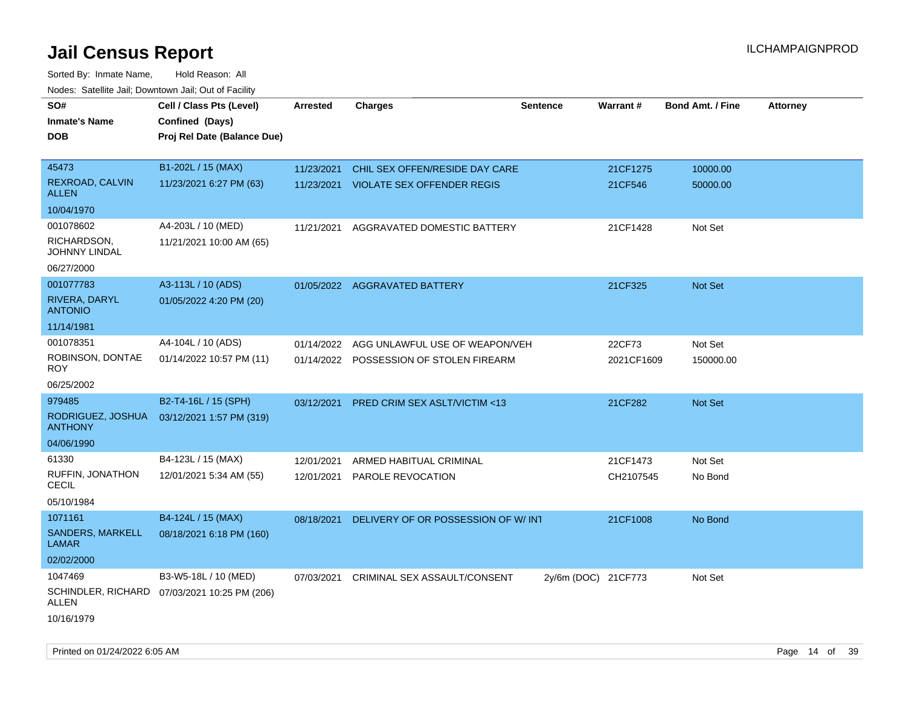| SO#<br><b>Inmate's Name</b><br><b>DOB</b> | Cell / Class Pts (Level)<br>Confined (Days)<br>Proj Rel Date (Balance Due) | Arrested   | <b>Charges</b>                          | <b>Sentence</b>     | Warrant#   | <b>Bond Amt. / Fine</b> | <b>Attorney</b> |
|-------------------------------------------|----------------------------------------------------------------------------|------------|-----------------------------------------|---------------------|------------|-------------------------|-----------------|
| 45473<br>REXROAD, CALVIN                  | B1-202L / 15 (MAX)                                                         | 11/23/2021 | CHIL SEX OFFEN/RESIDE DAY CARE          |                     | 21CF1275   | 10000.00                |                 |
| ALLEN                                     | 11/23/2021 6:27 PM (63)                                                    |            | 11/23/2021 VIOLATE SEX OFFENDER REGIS   |                     | 21CF546    | 50000.00                |                 |
| 10/04/1970                                |                                                                            |            |                                         |                     |            |                         |                 |
| 001078602                                 | A4-203L / 10 (MED)                                                         | 11/21/2021 | AGGRAVATED DOMESTIC BATTERY             |                     | 21CF1428   | Not Set                 |                 |
| RICHARDSON,<br>JOHNNY LINDAL              | 11/21/2021 10:00 AM (65)                                                   |            |                                         |                     |            |                         |                 |
| 06/27/2000                                |                                                                            |            |                                         |                     |            |                         |                 |
| 001077783                                 | A3-113L / 10 (ADS)                                                         |            | 01/05/2022 AGGRAVATED BATTERY           |                     | 21CF325    | Not Set                 |                 |
| RIVERA, DARYL<br><b>ANTONIO</b>           | 01/05/2022 4:20 PM (20)                                                    |            |                                         |                     |            |                         |                 |
| 11/14/1981                                |                                                                            |            |                                         |                     |            |                         |                 |
| 001078351                                 | A4-104L / 10 (ADS)                                                         | 01/14/2022 | AGG UNLAWFUL USE OF WEAPON/VEH          |                     | 22CF73     | Not Set                 |                 |
| ROBINSON, DONTAE<br>ROY                   | 01/14/2022 10:57 PM (11)                                                   |            | 01/14/2022 POSSESSION OF STOLEN FIREARM |                     | 2021CF1609 | 150000.00               |                 |
| 06/25/2002                                |                                                                            |            |                                         |                     |            |                         |                 |
| 979485                                    | B2-T4-16L / 15 (SPH)                                                       | 03/12/2021 | <b>PRED CRIM SEX ASLT/VICTIM &lt;13</b> |                     | 21CF282    | <b>Not Set</b>          |                 |
| RODRIGUEZ, JOSHUA<br><b>ANTHONY</b>       | 03/12/2021 1:57 PM (319)                                                   |            |                                         |                     |            |                         |                 |
| 04/06/1990                                |                                                                            |            |                                         |                     |            |                         |                 |
| 61330                                     | B4-123L / 15 (MAX)                                                         | 12/01/2021 | ARMED HABITUAL CRIMINAL                 |                     | 21CF1473   | Not Set                 |                 |
| RUFFIN, JONATHON<br>CECIL                 | 12/01/2021 5:34 AM (55)                                                    | 12/01/2021 | PAROLE REVOCATION                       |                     | CH2107545  | No Bond                 |                 |
| 05/10/1984                                |                                                                            |            |                                         |                     |            |                         |                 |
| 1071161                                   | B4-124L / 15 (MAX)                                                         | 08/18/2021 | DELIVERY OF OR POSSESSION OF W/INT      |                     | 21CF1008   | No Bond                 |                 |
| <b>SANDERS, MARKELL</b><br>LAMAR          | 08/18/2021 6:18 PM (160)                                                   |            |                                         |                     |            |                         |                 |
| 02/02/2000                                |                                                                            |            |                                         |                     |            |                         |                 |
| 1047469                                   | B3-W5-18L / 10 (MED)                                                       | 07/03/2021 | CRIMINAL SEX ASSAULT/CONSENT            | 2y/6m (DOC) 21CF773 |            | Not Set                 |                 |
| SCHINDLER, RICHARD<br>ALLEN               | 07/03/2021 10:25 PM (206)                                                  |            |                                         |                     |            |                         |                 |
| 10/16/1979                                |                                                                            |            |                                         |                     |            |                         |                 |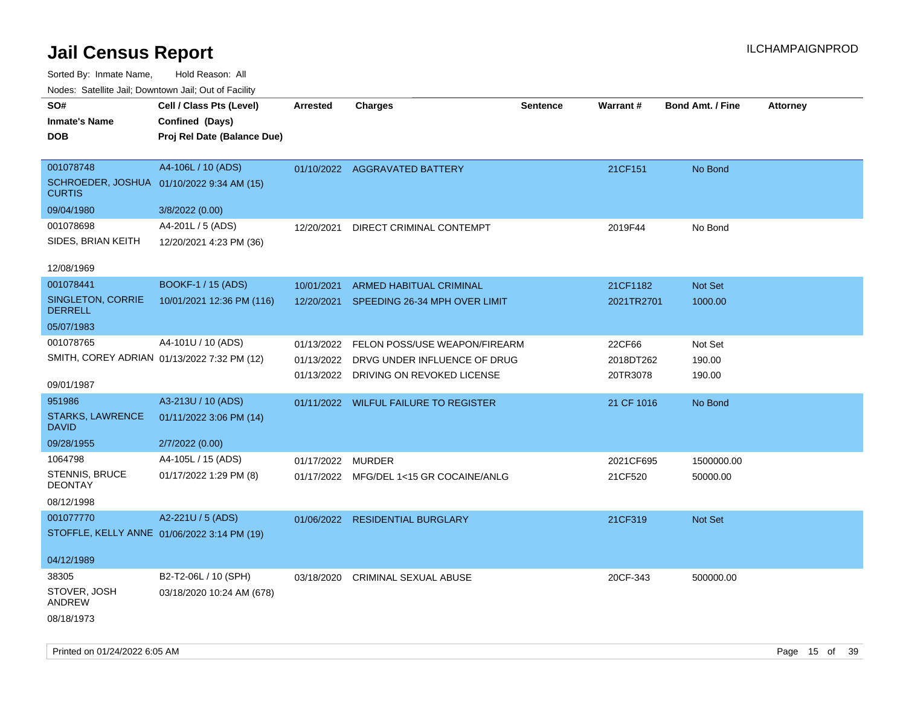| rouce. Calcillic Jali, Downtown Jali, Out of Facility      |                             |                 |                                          |                 |            |                         |                 |
|------------------------------------------------------------|-----------------------------|-----------------|------------------------------------------|-----------------|------------|-------------------------|-----------------|
| SO#                                                        | Cell / Class Pts (Level)    | <b>Arrested</b> | <b>Charges</b>                           | <b>Sentence</b> | Warrant#   | <b>Bond Amt. / Fine</b> | <b>Attorney</b> |
| <b>Inmate's Name</b>                                       | Confined (Days)             |                 |                                          |                 |            |                         |                 |
| <b>DOB</b>                                                 | Proj Rel Date (Balance Due) |                 |                                          |                 |            |                         |                 |
|                                                            |                             |                 |                                          |                 |            |                         |                 |
| 001078748                                                  | A4-106L / 10 (ADS)          |                 | 01/10/2022 AGGRAVATED BATTERY            |                 | 21CF151    | No Bond                 |                 |
| SCHROEDER, JOSHUA 01/10/2022 9:34 AM (15)<br><b>CURTIS</b> |                             |                 |                                          |                 |            |                         |                 |
| 09/04/1980                                                 | 3/8/2022 (0.00)             |                 |                                          |                 |            |                         |                 |
| 001078698                                                  | A4-201L / 5 (ADS)           | 12/20/2021      | DIRECT CRIMINAL CONTEMPT                 |                 | 2019F44    | No Bond                 |                 |
| SIDES, BRIAN KEITH                                         | 12/20/2021 4:23 PM (36)     |                 |                                          |                 |            |                         |                 |
|                                                            |                             |                 |                                          |                 |            |                         |                 |
| 12/08/1969                                                 |                             |                 |                                          |                 |            |                         |                 |
| 001078441                                                  | <b>BOOKF-1 / 15 (ADS)</b>   | 10/01/2021      | ARMED HABITUAL CRIMINAL                  |                 | 21CF1182   | Not Set                 |                 |
| SINGLETON, CORRIE<br><b>DERRELL</b>                        | 10/01/2021 12:36 PM (116)   | 12/20/2021      | SPEEDING 26-34 MPH OVER LIMIT            |                 | 2021TR2701 | 1000.00                 |                 |
| 05/07/1983                                                 |                             |                 |                                          |                 |            |                         |                 |
| 001078765                                                  | A4-101U / 10 (ADS)          |                 | 01/13/2022 FELON POSS/USE WEAPON/FIREARM |                 | 22CF66     | Not Set                 |                 |
| SMITH, COREY ADRIAN 01/13/2022 7:32 PM (12)                |                             | 01/13/2022      | DRVG UNDER INFLUENCE OF DRUG             |                 | 2018DT262  | 190.00                  |                 |
|                                                            |                             |                 | 01/13/2022 DRIVING ON REVOKED LICENSE    |                 | 20TR3078   | 190.00                  |                 |
| 09/01/1987                                                 |                             |                 |                                          |                 |            |                         |                 |
| 951986                                                     | A3-213U / 10 (ADS)          |                 | 01/11/2022 WILFUL FAILURE TO REGISTER    |                 | 21 CF 1016 | No Bond                 |                 |
| STARKS, LAWRENCE<br><b>DAVID</b>                           | 01/11/2022 3:06 PM (14)     |                 |                                          |                 |            |                         |                 |
| 09/28/1955                                                 | 2/7/2022 (0.00)             |                 |                                          |                 |            |                         |                 |
| 1064798                                                    | A4-105L / 15 (ADS)          | 01/17/2022      | <b>MURDER</b>                            |                 | 2021CF695  | 1500000.00              |                 |
| STENNIS, BRUCE<br><b>DEONTAY</b>                           | 01/17/2022 1:29 PM (8)      |                 | 01/17/2022 MFG/DEL 1<15 GR COCAINE/ANLG  |                 | 21CF520    | 50000.00                |                 |
| 08/12/1998                                                 |                             |                 |                                          |                 |            |                         |                 |
| 001077770                                                  | A2-221U / 5 (ADS)           |                 | 01/06/2022 RESIDENTIAL BURGLARY          |                 | 21CF319    | Not Set                 |                 |
| STOFFLE, KELLY ANNE 01/06/2022 3:14 PM (19)                |                             |                 |                                          |                 |            |                         |                 |
|                                                            |                             |                 |                                          |                 |            |                         |                 |
| 04/12/1989                                                 |                             |                 |                                          |                 |            |                         |                 |
| 38305                                                      | B2-T2-06L / 10 (SPH)        | 03/18/2020      | CRIMINAL SEXUAL ABUSE                    |                 | 20CF-343   | 500000.00               |                 |
| STOVER, JOSH<br>ANDREW                                     | 03/18/2020 10:24 AM (678)   |                 |                                          |                 |            |                         |                 |
| 08/18/1973                                                 |                             |                 |                                          |                 |            |                         |                 |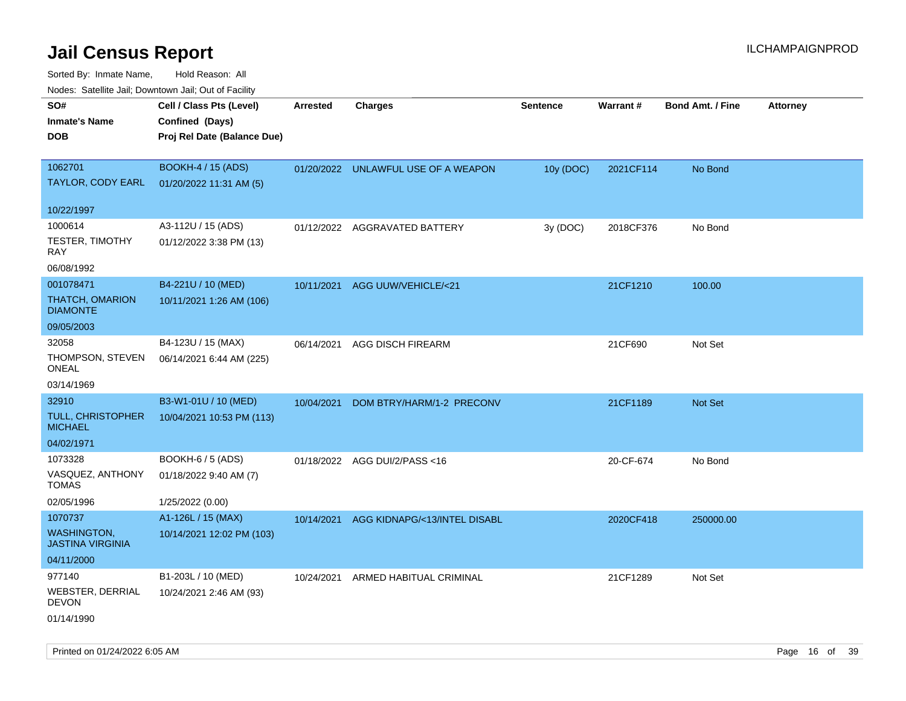|                                               | Nodes: Satellite Jail; Downtown Jail; Out of Facility |                 |                                     |                 |           |                         |                 |
|-----------------------------------------------|-------------------------------------------------------|-----------------|-------------------------------------|-----------------|-----------|-------------------------|-----------------|
| SO#                                           | Cell / Class Pts (Level)                              | <b>Arrested</b> | <b>Charges</b>                      | <b>Sentence</b> | Warrant#  | <b>Bond Amt. / Fine</b> | <b>Attorney</b> |
| <b>Inmate's Name</b>                          | Confined (Days)                                       |                 |                                     |                 |           |                         |                 |
| <b>DOB</b>                                    | Proj Rel Date (Balance Due)                           |                 |                                     |                 |           |                         |                 |
|                                               |                                                       |                 |                                     |                 |           |                         |                 |
| 1062701                                       | <b>BOOKH-4 / 15 (ADS)</b>                             |                 | 01/20/2022 UNLAWFUL USE OF A WEAPON | 10y (DOC)       | 2021CF114 | No Bond                 |                 |
| TAYLOR, CODY EARL                             | 01/20/2022 11:31 AM (5)                               |                 |                                     |                 |           |                         |                 |
|                                               |                                                       |                 |                                     |                 |           |                         |                 |
| 10/22/1997                                    |                                                       |                 |                                     |                 |           |                         |                 |
| 1000614                                       | A3-112U / 15 (ADS)                                    |                 | 01/12/2022 AGGRAVATED BATTERY       | 3y (DOC)        | 2018CF376 | No Bond                 |                 |
| TESTER, TIMOTHY<br><b>RAY</b>                 | 01/12/2022 3:38 PM (13)                               |                 |                                     |                 |           |                         |                 |
| 06/08/1992                                    |                                                       |                 |                                     |                 |           |                         |                 |
| 001078471                                     | B4-221U / 10 (MED)                                    | 10/11/2021      | AGG UUW/VEHICLE/<21                 |                 | 21CF1210  | 100.00                  |                 |
| THATCH, OMARION<br><b>DIAMONTE</b>            | 10/11/2021 1:26 AM (106)                              |                 |                                     |                 |           |                         |                 |
| 09/05/2003                                    |                                                       |                 |                                     |                 |           |                         |                 |
| 32058                                         | B4-123U / 15 (MAX)                                    | 06/14/2021      | AGG DISCH FIREARM                   |                 | 21CF690   | Not Set                 |                 |
| THOMPSON, STEVEN<br><b>ONEAL</b>              | 06/14/2021 6:44 AM (225)                              |                 |                                     |                 |           |                         |                 |
| 03/14/1969                                    |                                                       |                 |                                     |                 |           |                         |                 |
| 32910                                         | B3-W1-01U / 10 (MED)                                  | 10/04/2021      | DOM BTRY/HARM/1-2 PRECONV           |                 | 21CF1189  | Not Set                 |                 |
| TULL, CHRISTOPHER                             | 10/04/2021 10:53 PM (113)                             |                 |                                     |                 |           |                         |                 |
| <b>MICHAEL</b>                                |                                                       |                 |                                     |                 |           |                         |                 |
| 04/02/1971                                    |                                                       |                 |                                     |                 |           |                         |                 |
| 1073328                                       | BOOKH-6 / 5 (ADS)                                     |                 | 01/18/2022 AGG DUI/2/PASS <16       |                 | 20-CF-674 | No Bond                 |                 |
| VASQUEZ, ANTHONY<br><b>TOMAS</b>              | 01/18/2022 9:40 AM (7)                                |                 |                                     |                 |           |                         |                 |
| 02/05/1996                                    | 1/25/2022 (0.00)                                      |                 |                                     |                 |           |                         |                 |
| 1070737                                       | A1-126L / 15 (MAX)                                    | 10/14/2021      | AGG KIDNAPG/<13/INTEL DISABL        |                 | 2020CF418 | 250000.00               |                 |
| <b>WASHINGTON,</b><br><b>JASTINA VIRGINIA</b> | 10/14/2021 12:02 PM (103)                             |                 |                                     |                 |           |                         |                 |
| 04/11/2000                                    |                                                       |                 |                                     |                 |           |                         |                 |
| 977140                                        | B1-203L / 10 (MED)                                    | 10/24/2021      | ARMED HABITUAL CRIMINAL             |                 | 21CF1289  | Not Set                 |                 |
| WEBSTER, DERRIAL<br><b>DEVON</b>              | 10/24/2021 2:46 AM (93)                               |                 |                                     |                 |           |                         |                 |
| 01/14/1990                                    |                                                       |                 |                                     |                 |           |                         |                 |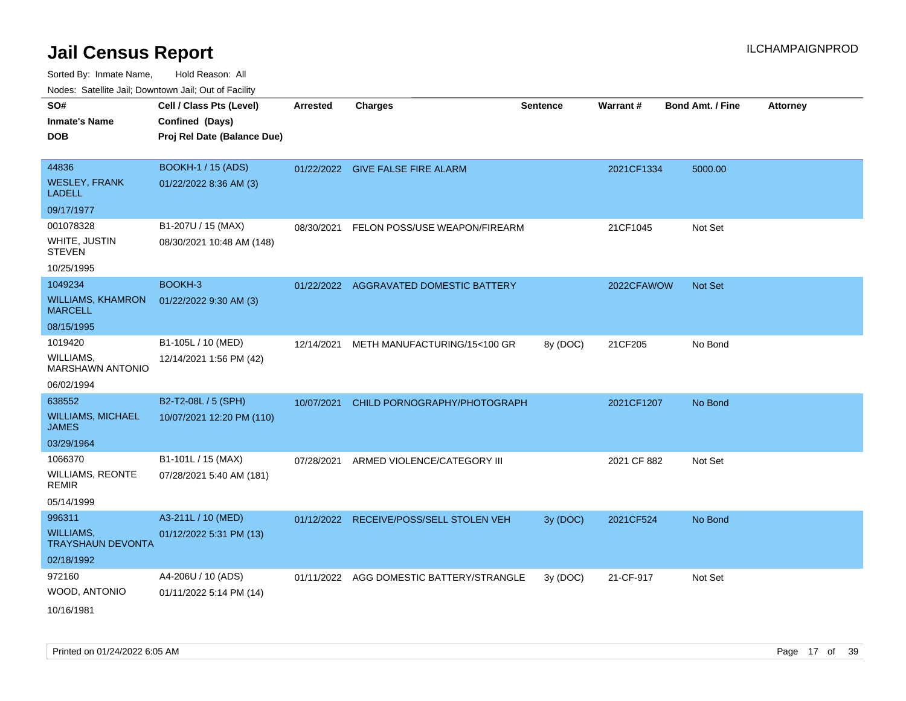| roaco. Calcinio dan, Downtown dan, Oal or Fability |                                                                            |                 |                                          |                 |             |                         |                 |
|----------------------------------------------------|----------------------------------------------------------------------------|-----------------|------------------------------------------|-----------------|-------------|-------------------------|-----------------|
| SO#<br>Inmate's Name<br><b>DOB</b>                 | Cell / Class Pts (Level)<br>Confined (Days)<br>Proj Rel Date (Balance Due) | <b>Arrested</b> | <b>Charges</b>                           | <b>Sentence</b> | Warrant#    | <b>Bond Amt. / Fine</b> | <b>Attorney</b> |
| 44836                                              | <b>BOOKH-1 / 15 (ADS)</b>                                                  |                 | 01/22/2022 GIVE FALSE FIRE ALARM         |                 | 2021CF1334  | 5000.00                 |                 |
| WESLEY, FRANK<br>LADELL                            | 01/22/2022 8:36 AM (3)                                                     |                 |                                          |                 |             |                         |                 |
| 09/17/1977                                         |                                                                            |                 |                                          |                 |             |                         |                 |
| 001078328                                          | B1-207U / 15 (MAX)                                                         | 08/30/2021      | FELON POSS/USE WEAPON/FIREARM            |                 | 21CF1045    | Not Set                 |                 |
| WHITE, JUSTIN<br>STEVEN                            | 08/30/2021 10:48 AM (148)                                                  |                 |                                          |                 |             |                         |                 |
| 10/25/1995                                         |                                                                            |                 |                                          |                 |             |                         |                 |
| 1049234                                            | BOOKH-3                                                                    | 01/22/2022      | AGGRAVATED DOMESTIC BATTERY              |                 | 2022CFAWOW  | <b>Not Set</b>          |                 |
| <b>WILLIAMS, KHAMRON</b><br>MARCELL                | 01/22/2022 9:30 AM (3)                                                     |                 |                                          |                 |             |                         |                 |
| 08/15/1995                                         |                                                                            |                 |                                          |                 |             |                         |                 |
| 1019420                                            | B1-105L / 10 (MED)                                                         | 12/14/2021      | METH MANUFACTURING/15<100 GR             | 8y (DOC)        | 21CF205     | No Bond                 |                 |
| WILLIAMS,<br><b>MARSHAWN ANTONIO</b>               | 12/14/2021 1:56 PM (42)                                                    |                 |                                          |                 |             |                         |                 |
| 06/02/1994                                         |                                                                            |                 |                                          |                 |             |                         |                 |
| 638552                                             | B2-T2-08L / 5 (SPH)                                                        | 10/07/2021      | CHILD PORNOGRAPHY/PHOTOGRAPH             |                 | 2021CF1207  | No Bond                 |                 |
| <b>WILLIAMS, MICHAEL</b><br>JAMES                  | 10/07/2021 12:20 PM (110)                                                  |                 |                                          |                 |             |                         |                 |
| 03/29/1964                                         |                                                                            |                 |                                          |                 |             |                         |                 |
| 1066370                                            | B1-101L / 15 (MAX)                                                         | 07/28/2021      | ARMED VIOLENCE/CATEGORY III              |                 | 2021 CF 882 | Not Set                 |                 |
| WILLIAMS, REONTE<br>REMIR                          | 07/28/2021 5:40 AM (181)                                                   |                 |                                          |                 |             |                         |                 |
| 05/14/1999                                         |                                                                            |                 |                                          |                 |             |                         |                 |
| 996311                                             | A3-211L / 10 (MED)                                                         |                 | 01/12/2022 RECEIVE/POSS/SELL STOLEN VEH  | 3y (DOC)        | 2021CF524   | No Bond                 |                 |
| WILLIAMS,<br><b>TRAYSHAUN DEVONTA</b>              | 01/12/2022 5:31 PM (13)                                                    |                 |                                          |                 |             |                         |                 |
| 02/18/1992                                         |                                                                            |                 |                                          |                 |             |                         |                 |
| 972160                                             | A4-206U / 10 (ADS)                                                         |                 | 01/11/2022 AGG DOMESTIC BATTERY/STRANGLE | 3y(DOC)         | 21-CF-917   | Not Set                 |                 |
| WOOD, ANTONIO                                      | 01/11/2022 5:14 PM (14)                                                    |                 |                                          |                 |             |                         |                 |
| 10/16/1981                                         |                                                                            |                 |                                          |                 |             |                         |                 |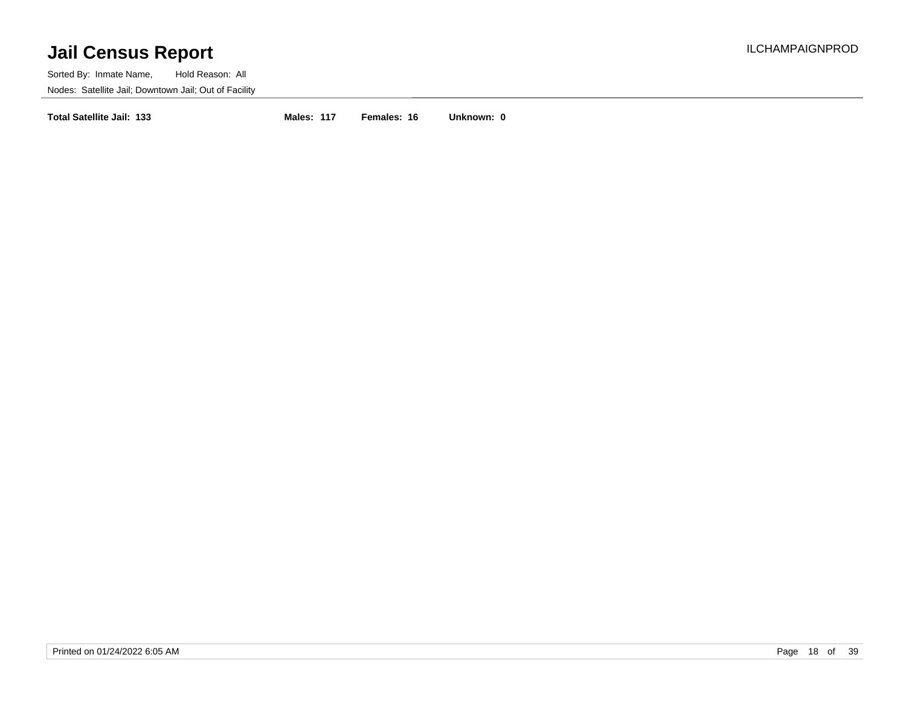Sorted By: Inmate Name, Hold Reason: All Nodes: Satellite Jail; Downtown Jail; Out of Facility

**Total Satellite Jail: 133 Males: 117 Females: 16 Unknown: 0**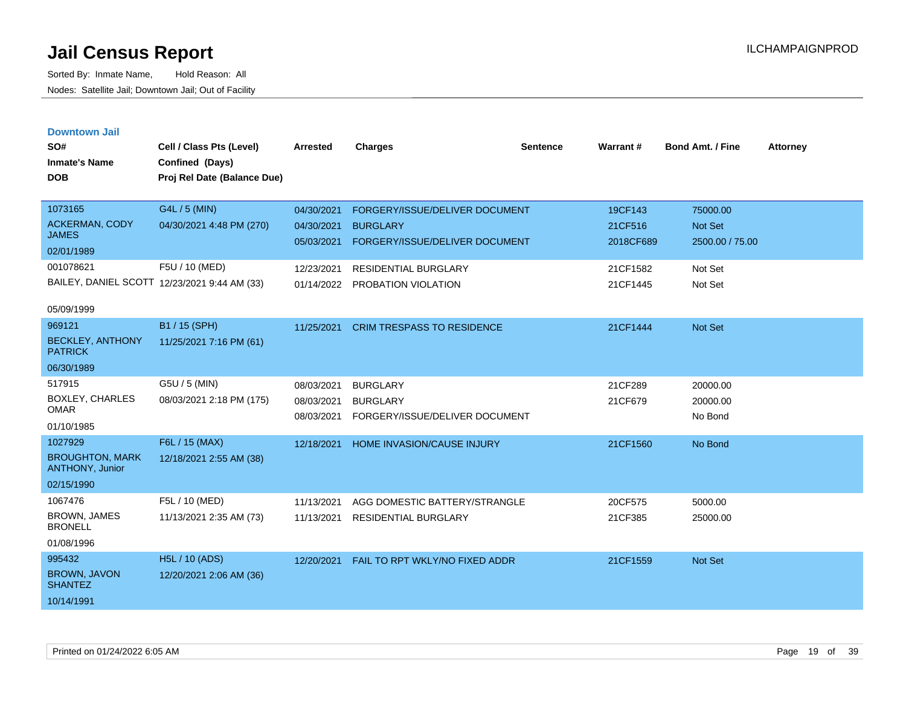| <b>Downtown Jail</b> |  |
|----------------------|--|
|                      |  |
|                      |  |

| SO#<br><b>Inmate's Name</b><br><b>DOB</b> | Cell / Class Pts (Level)<br>Confined (Days)<br>Proj Rel Date (Balance Due) | <b>Arrested</b> | <b>Charges</b>                    | <b>Sentence</b> | Warrant#  | Bond Amt. / Fine | <b>Attorney</b> |
|-------------------------------------------|----------------------------------------------------------------------------|-----------------|-----------------------------------|-----------------|-----------|------------------|-----------------|
| 1073165                                   | G4L / 5 (MIN)                                                              | 04/30/2021      | FORGERY/ISSUE/DELIVER DOCUMENT    |                 | 19CF143   | 75000.00         |                 |
| <b>ACKERMAN, CODY</b><br><b>JAMES</b>     | 04/30/2021 4:48 PM (270)                                                   | 04/30/2021      | <b>BURGLARY</b>                   |                 | 21CF516   | <b>Not Set</b>   |                 |
| 02/01/1989                                |                                                                            | 05/03/2021      | FORGERY/ISSUE/DELIVER DOCUMENT    |                 | 2018CF689 | 2500.00 / 75.00  |                 |
| 001078621                                 | F5U / 10 (MED)                                                             | 12/23/2021      | <b>RESIDENTIAL BURGLARY</b>       |                 | 21CF1582  | Not Set          |                 |
|                                           | BAILEY, DANIEL SCOTT 12/23/2021 9:44 AM (33)                               |                 | 01/14/2022 PROBATION VIOLATION    |                 | 21CF1445  | Not Set          |                 |
| 05/09/1999                                |                                                                            |                 |                                   |                 |           |                  |                 |
| 969121                                    | B1 / 15 (SPH)                                                              | 11/25/2021      | <b>CRIM TRESPASS TO RESIDENCE</b> |                 | 21CF1444  | Not Set          |                 |
| <b>BECKLEY, ANTHONY</b><br><b>PATRICK</b> | 11/25/2021 7:16 PM (61)                                                    |                 |                                   |                 |           |                  |                 |
| 06/30/1989                                |                                                                            |                 |                                   |                 |           |                  |                 |
| 517915                                    | G5U / 5 (MIN)                                                              | 08/03/2021      | <b>BURGLARY</b>                   |                 | 21CF289   | 20000.00         |                 |
| <b>BOXLEY, CHARLES</b><br><b>OMAR</b>     | 08/03/2021 2:18 PM (175)                                                   | 08/03/2021      | <b>BURGLARY</b>                   |                 | 21CF679   | 20000.00         |                 |
| 01/10/1985                                |                                                                            | 08/03/2021      | FORGERY/ISSUE/DELIVER DOCUMENT    |                 |           | No Bond          |                 |
| 1027929                                   | F6L / 15 (MAX)                                                             | 12/18/2021      | HOME INVASION/CAUSE INJURY        |                 | 21CF1560  | No Bond          |                 |
| <b>BROUGHTON, MARK</b><br>ANTHONY, Junior | 12/18/2021 2:55 AM (38)                                                    |                 |                                   |                 |           |                  |                 |
| 02/15/1990                                |                                                                            |                 |                                   |                 |           |                  |                 |
| 1067476                                   | F5L / 10 (MED)                                                             | 11/13/2021      | AGG DOMESTIC BATTERY/STRANGLE     |                 | 20CF575   | 5000.00          |                 |
| BROWN, JAMES<br><b>BRONELL</b>            | 11/13/2021 2:35 AM (73)                                                    | 11/13/2021      | <b>RESIDENTIAL BURGLARY</b>       |                 | 21CF385   | 25000.00         |                 |
| 01/08/1996                                |                                                                            |                 |                                   |                 |           |                  |                 |
| 995432                                    | <b>H5L / 10 (ADS)</b>                                                      | 12/20/2021      | FAIL TO RPT WKLY/NO FIXED ADDR    |                 | 21CF1559  | <b>Not Set</b>   |                 |
| <b>BROWN, JAVON</b><br><b>SHANTEZ</b>     | 12/20/2021 2:06 AM (36)                                                    |                 |                                   |                 |           |                  |                 |
| 10/14/1991                                |                                                                            |                 |                                   |                 |           |                  |                 |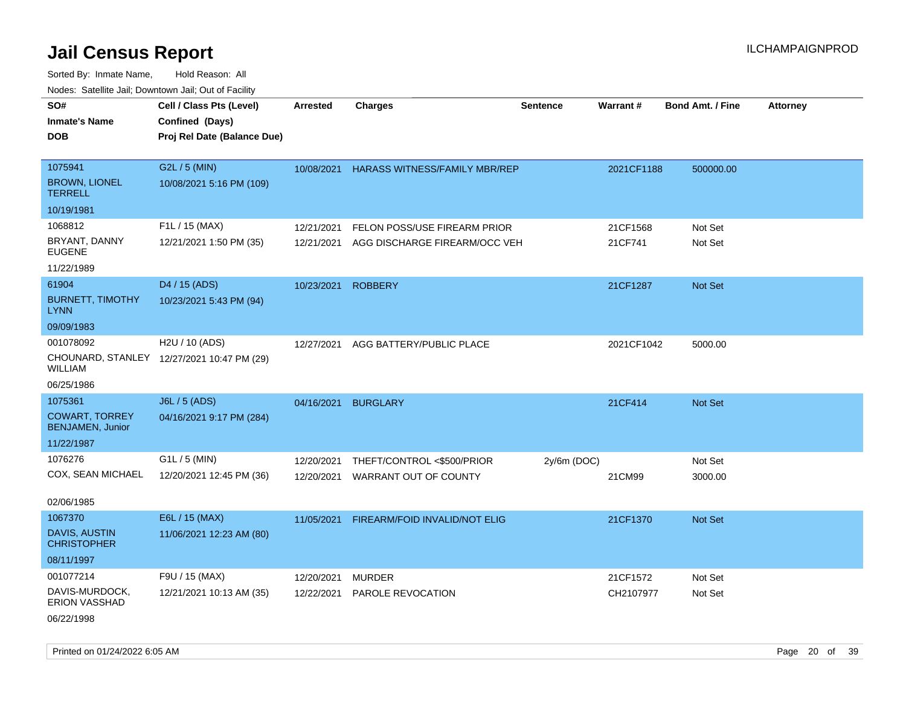Sorted By: Inmate Name, Hold Reason: All Nodes: Satellite Jail; Downtown Jail; Out of Facility

| rougs. Calcing Jan, Downtown Jan, Out of Facility |                                            |                 |                                      |                 |            |                         |                 |
|---------------------------------------------------|--------------------------------------------|-----------------|--------------------------------------|-----------------|------------|-------------------------|-----------------|
| SO#                                               | Cell / Class Pts (Level)                   | <b>Arrested</b> | <b>Charges</b>                       | <b>Sentence</b> | Warrant#   | <b>Bond Amt. / Fine</b> | <b>Attorney</b> |
| <b>Inmate's Name</b>                              | Confined (Days)                            |                 |                                      |                 |            |                         |                 |
| <b>DOB</b>                                        | Proj Rel Date (Balance Due)                |                 |                                      |                 |            |                         |                 |
|                                                   |                                            |                 |                                      |                 |            |                         |                 |
| 1075941                                           | G2L / 5 (MIN)                              | 10/08/2021      | <b>HARASS WITNESS/FAMILY MBR/REP</b> |                 | 2021CF1188 | 500000.00               |                 |
| <b>BROWN, LIONEL</b><br><b>TERRELL</b>            | 10/08/2021 5:16 PM (109)                   |                 |                                      |                 |            |                         |                 |
| 10/19/1981                                        |                                            |                 |                                      |                 |            |                         |                 |
| 1068812                                           | F1L / 15 (MAX)                             | 12/21/2021      | FELON POSS/USE FIREARM PRIOR         |                 | 21CF1568   | Not Set                 |                 |
| BRYANT, DANNY<br><b>EUGENE</b>                    | 12/21/2021 1:50 PM (35)                    | 12/21/2021      | AGG DISCHARGE FIREARM/OCC VEH        |                 | 21CF741    | Not Set                 |                 |
| 11/22/1989                                        |                                            |                 |                                      |                 |            |                         |                 |
| 61904                                             | D4 / 15 (ADS)                              | 10/23/2021      | <b>ROBBERY</b>                       |                 | 21CF1287   | Not Set                 |                 |
| <b>BURNETT, TIMOTHY</b><br><b>LYNN</b>            | 10/23/2021 5:43 PM (94)                    |                 |                                      |                 |            |                         |                 |
| 09/09/1983                                        |                                            |                 |                                      |                 |            |                         |                 |
| 001078092                                         | H2U / 10 (ADS)                             | 12/27/2021      | AGG BATTERY/PUBLIC PLACE             |                 | 2021CF1042 | 5000.00                 |                 |
| WILLIAM                                           | CHOUNARD, STANLEY 12/27/2021 10:47 PM (29) |                 |                                      |                 |            |                         |                 |
| 06/25/1986                                        |                                            |                 |                                      |                 |            |                         |                 |
| 1075361                                           | <b>J6L / 5 (ADS)</b>                       | 04/16/2021      | <b>BURGLARY</b>                      |                 | 21CF414    | <b>Not Set</b>          |                 |
| <b>COWART, TORREY</b><br><b>BENJAMEN, Junior</b>  | 04/16/2021 9:17 PM (284)                   |                 |                                      |                 |            |                         |                 |
| 11/22/1987                                        |                                            |                 |                                      |                 |            |                         |                 |
| 1076276                                           | $G1L / 5$ (MIN)                            | 12/20/2021      | THEFT/CONTROL <\$500/PRIOR           | $2y/6m$ (DOC)   |            | Not Set                 |                 |
| COX, SEAN MICHAEL                                 | 12/20/2021 12:45 PM (36)                   | 12/20/2021      | WARRANT OUT OF COUNTY                |                 | 21CM99     | 3000.00                 |                 |
| 02/06/1985                                        |                                            |                 |                                      |                 |            |                         |                 |
| 1067370                                           | E6L / 15 (MAX)                             | 11/05/2021      | FIREARM/FOID INVALID/NOT ELIG        |                 | 21CF1370   | <b>Not Set</b>          |                 |
| DAVIS, AUSTIN<br><b>CHRISTOPHER</b>               | 11/06/2021 12:23 AM (80)                   |                 |                                      |                 |            |                         |                 |
| 08/11/1997                                        |                                            |                 |                                      |                 |            |                         |                 |
| 001077214                                         | F9U / 15 (MAX)                             | 12/20/2021      | <b>MURDER</b>                        |                 | 21CF1572   | Not Set                 |                 |
| DAVIS-MURDOCK,<br><b>ERION VASSHAD</b>            | 12/21/2021 10:13 AM (35)                   | 12/22/2021      | PAROLE REVOCATION                    |                 | CH2107977  | Not Set                 |                 |
|                                                   |                                            |                 |                                      |                 |            |                         |                 |

06/22/1998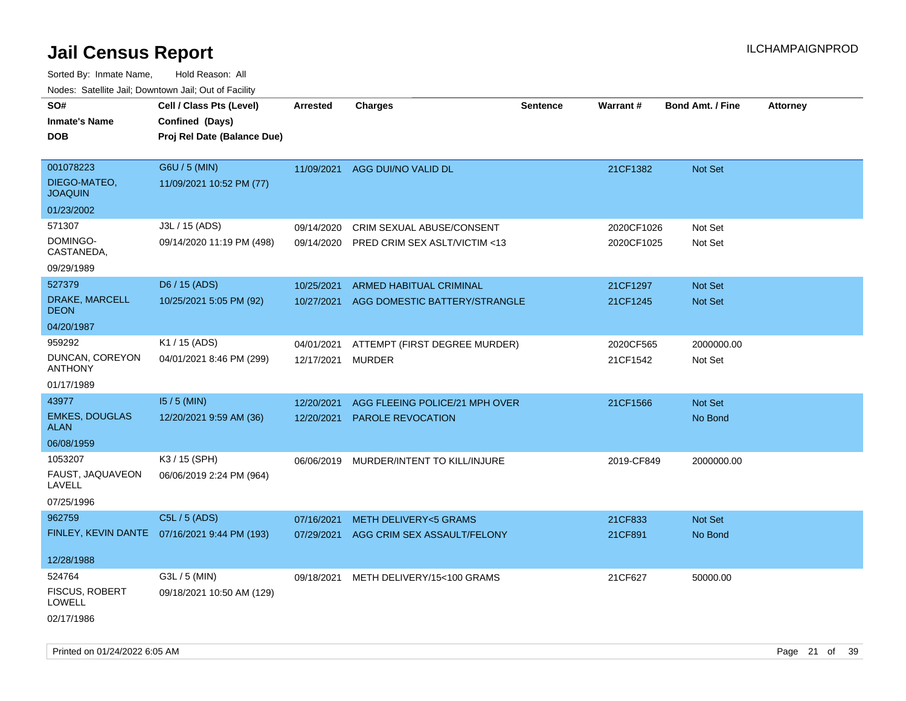Sorted By: Inmate Name, Hold Reason: All Nodes: Satellite Jail; Downtown Jail; Out of Facility

| Noues. Salemie Jan, Downlown Jan, Out of Facility |                                              |            |                                 |                 |                 |                         |                 |
|---------------------------------------------------|----------------------------------------------|------------|---------------------------------|-----------------|-----------------|-------------------------|-----------------|
| SO#                                               | Cell / Class Pts (Level)                     | Arrested   | <b>Charges</b>                  | <b>Sentence</b> | <b>Warrant#</b> | <b>Bond Amt. / Fine</b> | <b>Attorney</b> |
| <b>Inmate's Name</b>                              | Confined (Days)                              |            |                                 |                 |                 |                         |                 |
| DOB                                               | Proj Rel Date (Balance Due)                  |            |                                 |                 |                 |                         |                 |
|                                                   |                                              |            |                                 |                 |                 |                         |                 |
| 001078223                                         | G6U / 5 (MIN)                                | 11/09/2021 | AGG DUI/NO VALID DL             |                 | 21CF1382        | Not Set                 |                 |
| DIEGO-MATEO,<br><b>JOAQUIN</b>                    | 11/09/2021 10:52 PM (77)                     |            |                                 |                 |                 |                         |                 |
| 01/23/2002                                        |                                              |            |                                 |                 |                 |                         |                 |
| 571307                                            | J3L / 15 (ADS)                               | 09/14/2020 | CRIM SEXUAL ABUSE/CONSENT       |                 | 2020CF1026      | Not Set                 |                 |
| DOMINGO-<br>CASTANEDA,                            | 09/14/2020 11:19 PM (498)                    | 09/14/2020 | PRED CRIM SEX ASLT/VICTIM <13   |                 | 2020CF1025      | Not Set                 |                 |
| 09/29/1989                                        |                                              |            |                                 |                 |                 |                         |                 |
| 527379                                            | D6 / 15 (ADS)                                | 10/25/2021 | ARMED HABITUAL CRIMINAL         |                 | 21CF1297        | Not Set                 |                 |
| DRAKE, MARCELL<br>DEON                            | 10/25/2021 5:05 PM (92)                      | 10/27/2021 | AGG DOMESTIC BATTERY/STRANGLE   |                 | 21CF1245        | Not Set                 |                 |
| 04/20/1987                                        |                                              |            |                                 |                 |                 |                         |                 |
| 959292                                            | K1 / 15 (ADS)                                | 04/01/2021 | ATTEMPT (FIRST DEGREE MURDER)   |                 | 2020CF565       | 2000000.00              |                 |
| DUNCAN, COREYON<br><b>ANTHONY</b>                 | 04/01/2021 8:46 PM (299)                     | 12/17/2021 | <b>MURDER</b>                   |                 | 21CF1542        | Not Set                 |                 |
| 01/17/1989                                        |                                              |            |                                 |                 |                 |                         |                 |
| 43977                                             | 15 / 5 (MIN)                                 | 12/20/2021 | AGG FLEEING POLICE/21 MPH OVER  |                 | 21CF1566        | Not Set                 |                 |
| <b>EMKES, DOUGLAS</b><br><b>ALAN</b>              | 12/20/2021 9:59 AM (36)                      | 12/20/2021 | <b>PAROLE REVOCATION</b>        |                 |                 | No Bond                 |                 |
| 06/08/1959                                        |                                              |            |                                 |                 |                 |                         |                 |
| 1053207                                           | K3 / 15 (SPH)                                | 06/06/2019 | MURDER/INTENT TO KILL/INJURE    |                 | 2019-CF849      | 2000000.00              |                 |
| FAUST, JAQUAVEON<br>LAVELL                        | 06/06/2019 2:24 PM (964)                     |            |                                 |                 |                 |                         |                 |
| 07/25/1996                                        |                                              |            |                                 |                 |                 |                         |                 |
| 962759                                            | C5L / 5 (ADS)                                | 07/16/2021 | <b>METH DELIVERY&lt;5 GRAMS</b> |                 | 21CF833         | Not Set                 |                 |
|                                                   | FINLEY, KEVIN DANTE 07/16/2021 9:44 PM (193) | 07/29/2021 | AGG CRIM SEX ASSAULT/FELONY     |                 | 21CF891         | No Bond                 |                 |
|                                                   |                                              |            |                                 |                 |                 |                         |                 |
| 12/28/1988                                        |                                              |            |                                 |                 |                 |                         |                 |
| 524764                                            | G3L / 5 (MIN)                                | 09/18/2021 | METH DELIVERY/15<100 GRAMS      |                 | 21CF627         | 50000.00                |                 |
| <b>FISCUS, ROBERT</b><br>LOWELL                   | 09/18/2021 10:50 AM (129)                    |            |                                 |                 |                 |                         |                 |
| 02/17/1986                                        |                                              |            |                                 |                 |                 |                         |                 |

Printed on 01/24/2022 6:05 AM Page 21 of 39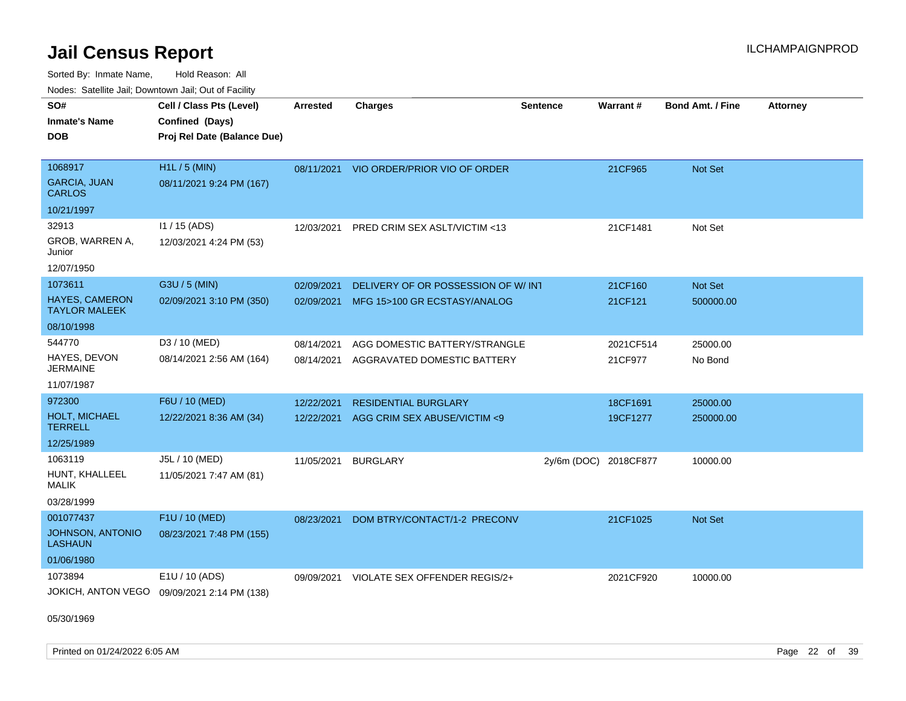Sorted By: Inmate Name, Hold Reason: All Nodes: Satellite Jail; Downtown Jail; Out of Facility

| rouco. Calcinic Jan, Downtown Jan, Out of Facility |                                             |                 |                                         |                       |           |                         |                 |
|----------------------------------------------------|---------------------------------------------|-----------------|-----------------------------------------|-----------------------|-----------|-------------------------|-----------------|
| SO#                                                | Cell / Class Pts (Level)                    | <b>Arrested</b> | <b>Charges</b>                          | <b>Sentence</b>       | Warrant#  | <b>Bond Amt. / Fine</b> | <b>Attorney</b> |
| Inmate's Name                                      | Confined (Days)                             |                 |                                         |                       |           |                         |                 |
| DOB                                                | Proj Rel Date (Balance Due)                 |                 |                                         |                       |           |                         |                 |
|                                                    |                                             |                 |                                         |                       |           |                         |                 |
| 1068917                                            | H1L / 5 (MIN)                               |                 | 08/11/2021 VIO ORDER/PRIOR VIO OF ORDER |                       | 21CF965   | <b>Not Set</b>          |                 |
| <b>GARCIA, JUAN</b><br>CARLOS                      | 08/11/2021 9:24 PM (167)                    |                 |                                         |                       |           |                         |                 |
| 10/21/1997                                         |                                             |                 |                                         |                       |           |                         |                 |
| 32913                                              | $11 / 15$ (ADS)                             | 12/03/2021      | PRED CRIM SEX ASLT/VICTIM <13           |                       | 21CF1481  | Not Set                 |                 |
| GROB, WARREN A,<br>Junior                          | 12/03/2021 4:24 PM (53)                     |                 |                                         |                       |           |                         |                 |
| 12/07/1950                                         |                                             |                 |                                         |                       |           |                         |                 |
| 1073611                                            | G3U / 5 (MIN)                               | 02/09/2021      | DELIVERY OF OR POSSESSION OF W/INT      |                       | 21CF160   | Not Set                 |                 |
| <b>HAYES, CAMERON</b><br>TAYLOR MALEEK             | 02/09/2021 3:10 PM (350)                    | 02/09/2021      | MFG 15>100 GR ECSTASY/ANALOG            |                       | 21CF121   | 500000.00               |                 |
| 08/10/1998                                         |                                             |                 |                                         |                       |           |                         |                 |
| 544770                                             | D3 / 10 (MED)                               | 08/14/2021      | AGG DOMESTIC BATTERY/STRANGLE           |                       | 2021CF514 | 25000.00                |                 |
| HAYES, DEVON<br>JERMAINE                           | 08/14/2021 2:56 AM (164)                    | 08/14/2021      | AGGRAVATED DOMESTIC BATTERY             |                       | 21CF977   | No Bond                 |                 |
| 11/07/1987                                         |                                             |                 |                                         |                       |           |                         |                 |
| 972300                                             | F6U / 10 (MED)                              | 12/22/2021      | <b>RESIDENTIAL BURGLARY</b>             |                       | 18CF1691  | 25000.00                |                 |
| <b>HOLT, MICHAEL</b><br>TERRELL                    | 12/22/2021 8:36 AM (34)                     | 12/22/2021      | AGG CRIM SEX ABUSE/VICTIM <9            |                       | 19CF1277  | 250000.00               |                 |
| 12/25/1989                                         |                                             |                 |                                         |                       |           |                         |                 |
| 1063119                                            | J5L / 10 (MED)                              | 11/05/2021      | <b>BURGLARY</b>                         | 2y/6m (DOC) 2018CF877 |           | 10000.00                |                 |
| HUNT, KHALLEEL<br>MALIK                            | 11/05/2021 7:47 AM (81)                     |                 |                                         |                       |           |                         |                 |
| 03/28/1999                                         |                                             |                 |                                         |                       |           |                         |                 |
| 001077437                                          | F1U / 10 (MED)                              | 08/23/2021      | DOM BTRY/CONTACT/1-2 PRECONV            |                       | 21CF1025  | <b>Not Set</b>          |                 |
| JOHNSON, ANTONIO<br>LASHAUN                        | 08/23/2021 7:48 PM (155)                    |                 |                                         |                       |           |                         |                 |
| 01/06/1980                                         |                                             |                 |                                         |                       |           |                         |                 |
| 1073894                                            | E1U / 10 (ADS)                              | 09/09/2021      | VIOLATE SEX OFFENDER REGIS/2+           |                       | 2021CF920 | 10000.00                |                 |
|                                                    | JOKICH, ANTON VEGO 09/09/2021 2:14 PM (138) |                 |                                         |                       |           |                         |                 |

05/30/1969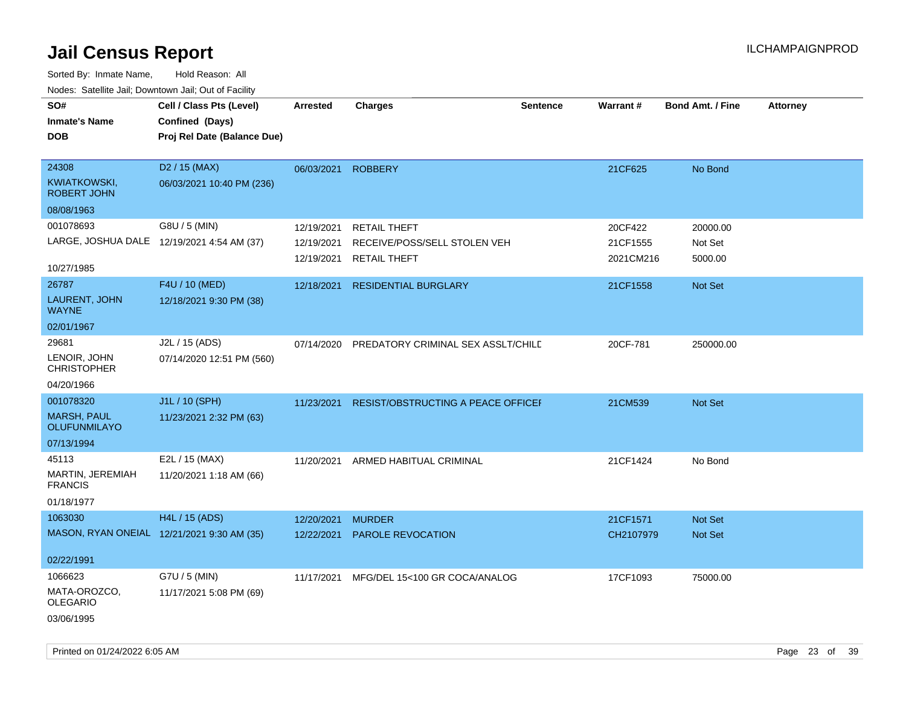| roaco. Catolino dall, Downtown dall, Out of Fability |                             |                 |                                          |                 |           |                         |                 |
|------------------------------------------------------|-----------------------------|-----------------|------------------------------------------|-----------------|-----------|-------------------------|-----------------|
| SO#                                                  | Cell / Class Pts (Level)    | <b>Arrested</b> | <b>Charges</b>                           | <b>Sentence</b> | Warrant#  | <b>Bond Amt. / Fine</b> | <b>Attorney</b> |
| <b>Inmate's Name</b>                                 | Confined (Days)             |                 |                                          |                 |           |                         |                 |
| <b>DOB</b>                                           | Proj Rel Date (Balance Due) |                 |                                          |                 |           |                         |                 |
|                                                      |                             |                 |                                          |                 |           |                         |                 |
| 24308                                                | D <sub>2</sub> / 15 (MAX)   | 06/03/2021      | <b>ROBBERY</b>                           |                 | 21CF625   | No Bond                 |                 |
| KWIATKOWSKI,<br>ROBERT JOHN                          | 06/03/2021 10:40 PM (236)   |                 |                                          |                 |           |                         |                 |
| 08/08/1963                                           |                             |                 |                                          |                 |           |                         |                 |
| 001078693                                            | G8U / 5 (MIN)               | 12/19/2021      | <b>RETAIL THEFT</b>                      |                 | 20CF422   | 20000.00                |                 |
| LARGE, JOSHUA DALE 12/19/2021 4:54 AM (37)           |                             | 12/19/2021      | RECEIVE/POSS/SELL STOLEN VEH             |                 | 21CF1555  | Not Set                 |                 |
|                                                      |                             | 12/19/2021      | <b>RETAIL THEFT</b>                      |                 | 2021CM216 | 5000.00                 |                 |
| 10/27/1985                                           |                             |                 |                                          |                 |           |                         |                 |
| 26787                                                | F4U / 10 (MED)              | 12/18/2021      | <b>RESIDENTIAL BURGLARY</b>              |                 | 21CF1558  | Not Set                 |                 |
| LAURENT, JOHN<br><b>WAYNE</b>                        | 12/18/2021 9:30 PM (38)     |                 |                                          |                 |           |                         |                 |
| 02/01/1967                                           |                             |                 |                                          |                 |           |                         |                 |
| 29681                                                | J2L / 15 (ADS)              | 07/14/2020      | PREDATORY CRIMINAL SEX ASSLT/CHILE       |                 | 20CF-781  | 250000.00               |                 |
| LENOIR, JOHN<br><b>CHRISTOPHER</b>                   | 07/14/2020 12:51 PM (560)   |                 |                                          |                 |           |                         |                 |
| 04/20/1966                                           |                             |                 |                                          |                 |           |                         |                 |
| 001078320                                            | J1L / 10 (SPH)              | 11/23/2021      | RESIST/OBSTRUCTING A PEACE OFFICEF       |                 | 21CM539   | Not Set                 |                 |
| <b>MARSH, PAUL</b><br>OLUFUNMILAYO                   | 11/23/2021 2:32 PM (63)     |                 |                                          |                 |           |                         |                 |
| 07/13/1994                                           |                             |                 |                                          |                 |           |                         |                 |
| 45113                                                | E2L / 15 (MAX)              |                 | 11/20/2021 ARMED HABITUAL CRIMINAL       |                 | 21CF1424  | No Bond                 |                 |
| MARTIN, JEREMIAH<br><b>FRANCIS</b>                   | 11/20/2021 1:18 AM (66)     |                 |                                          |                 |           |                         |                 |
| 01/18/1977                                           |                             |                 |                                          |                 |           |                         |                 |
| 1063030                                              | H4L / 15 (ADS)              | 12/20/2021      | <b>MURDER</b>                            |                 | 21CF1571  | Not Set                 |                 |
| MASON, RYAN ONEIAL 12/21/2021 9:30 AM (35)           |                             | 12/22/2021      | PAROLE REVOCATION                        |                 | CH2107979 | Not Set                 |                 |
|                                                      |                             |                 |                                          |                 |           |                         |                 |
| 02/22/1991                                           |                             |                 |                                          |                 |           |                         |                 |
| 1066623                                              | G7U / 5 (MIN)               |                 | 11/17/2021 MFG/DEL 15<100 GR COCA/ANALOG |                 | 17CF1093  | 75000.00                |                 |
| MATA-OROZCO,<br><b>OLEGARIO</b>                      | 11/17/2021 5:08 PM (69)     |                 |                                          |                 |           |                         |                 |
| 03/06/1995                                           |                             |                 |                                          |                 |           |                         |                 |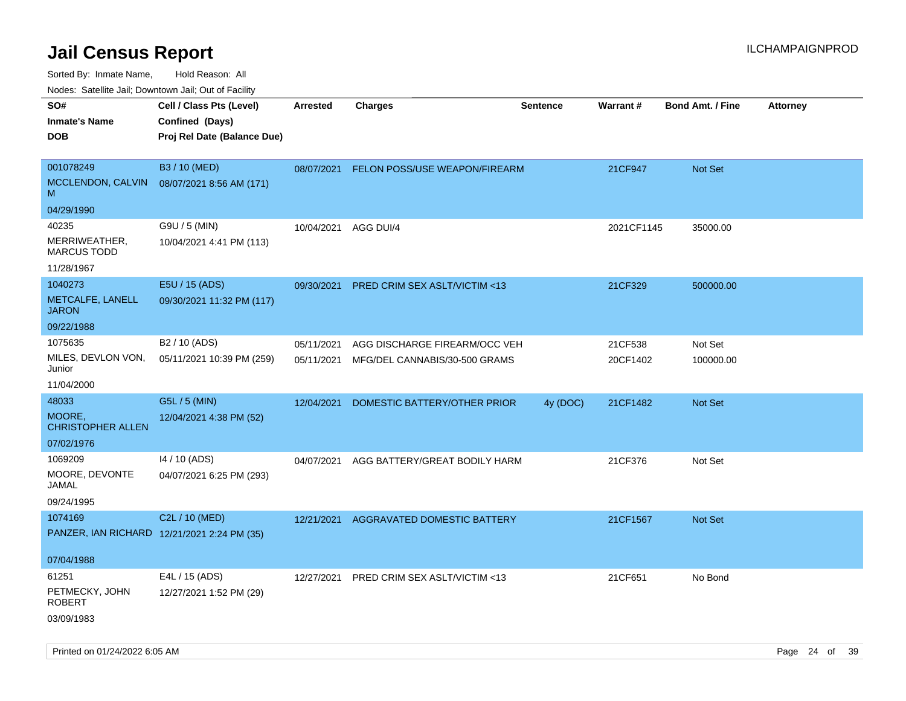Sorted By: Inmate Name, Hold Reason: All

Nodes: Satellite Jail; Downtown Jail; Out of Facility

| roaco. Catolino dall, Downtown dall, Out of Fability |                             |                 |                                          |                 |            |                         |                 |
|------------------------------------------------------|-----------------------------|-----------------|------------------------------------------|-----------------|------------|-------------------------|-----------------|
| SO#                                                  | Cell / Class Pts (Level)    | <b>Arrested</b> | <b>Charges</b>                           | <b>Sentence</b> | Warrant#   | <b>Bond Amt. / Fine</b> | <b>Attorney</b> |
| <b>Inmate's Name</b>                                 | Confined (Days)             |                 |                                          |                 |            |                         |                 |
| <b>DOB</b>                                           | Proj Rel Date (Balance Due) |                 |                                          |                 |            |                         |                 |
|                                                      |                             |                 |                                          |                 |            |                         |                 |
| 001078249                                            | B3 / 10 (MED)               | 08/07/2021      | FELON POSS/USE WEAPON/FIREARM            |                 | 21CF947    | Not Set                 |                 |
| MCCLENDON, CALVIN<br>M                               | 08/07/2021 8:56 AM (171)    |                 |                                          |                 |            |                         |                 |
| 04/29/1990                                           |                             |                 |                                          |                 |            |                         |                 |
| 40235                                                | G9U / 5 (MIN)               | 10/04/2021      | AGG DUI/4                                |                 | 2021CF1145 | 35000.00                |                 |
| MERRIWEATHER,<br><b>MARCUS TODD</b>                  | 10/04/2021 4:41 PM (113)    |                 |                                          |                 |            |                         |                 |
| 11/28/1967                                           |                             |                 |                                          |                 |            |                         |                 |
| 1040273                                              | E5U / 15 (ADS)              | 09/30/2021      | PRED CRIM SEX ASLT/VICTIM <13            |                 | 21CF329    | 500000.00               |                 |
| METCALFE, LANELL<br><b>JARON</b>                     | 09/30/2021 11:32 PM (117)   |                 |                                          |                 |            |                         |                 |
| 09/22/1988                                           |                             |                 |                                          |                 |            |                         |                 |
| 1075635                                              | B <sub>2</sub> / 10 (ADS)   | 05/11/2021      | AGG DISCHARGE FIREARM/OCC VEH            |                 | 21CF538    | Not Set                 |                 |
| MILES, DEVLON VON,<br>Junior                         | 05/11/2021 10:39 PM (259)   |                 | 05/11/2021 MFG/DEL CANNABIS/30-500 GRAMS |                 | 20CF1402   | 100000.00               |                 |
| 11/04/2000                                           |                             |                 |                                          |                 |            |                         |                 |
| 48033                                                | G5L / 5 (MIN)               | 12/04/2021      | DOMESTIC BATTERY/OTHER PRIOR             | 4y (DOC)        | 21CF1482   | Not Set                 |                 |
| MOORE,<br><b>CHRISTOPHER ALLEN</b>                   | 12/04/2021 4:38 PM (52)     |                 |                                          |                 |            |                         |                 |
| 07/02/1976                                           |                             |                 |                                          |                 |            |                         |                 |
| 1069209                                              | 14 / 10 (ADS)               | 04/07/2021      | AGG BATTERY/GREAT BODILY HARM            |                 | 21CF376    | Not Set                 |                 |
| MOORE, DEVONTE<br>JAMAL                              | 04/07/2021 6:25 PM (293)    |                 |                                          |                 |            |                         |                 |
| 09/24/1995                                           |                             |                 |                                          |                 |            |                         |                 |
| 1074169                                              | C2L / 10 (MED)              | 12/21/2021      | AGGRAVATED DOMESTIC BATTERY              |                 | 21CF1567   | Not Set                 |                 |
| PANZER, IAN RICHARD 12/21/2021 2:24 PM (35)          |                             |                 |                                          |                 |            |                         |                 |
| 07/04/1988                                           |                             |                 |                                          |                 |            |                         |                 |
| 61251                                                | E4L / 15 (ADS)              | 12/27/2021      | PRED CRIM SEX ASLT/VICTIM <13            |                 | 21CF651    | No Bond                 |                 |
| PETMECKY, JOHN<br><b>ROBERT</b>                      | 12/27/2021 1:52 PM (29)     |                 |                                          |                 |            |                         |                 |
| 03/09/1983                                           |                             |                 |                                          |                 |            |                         |                 |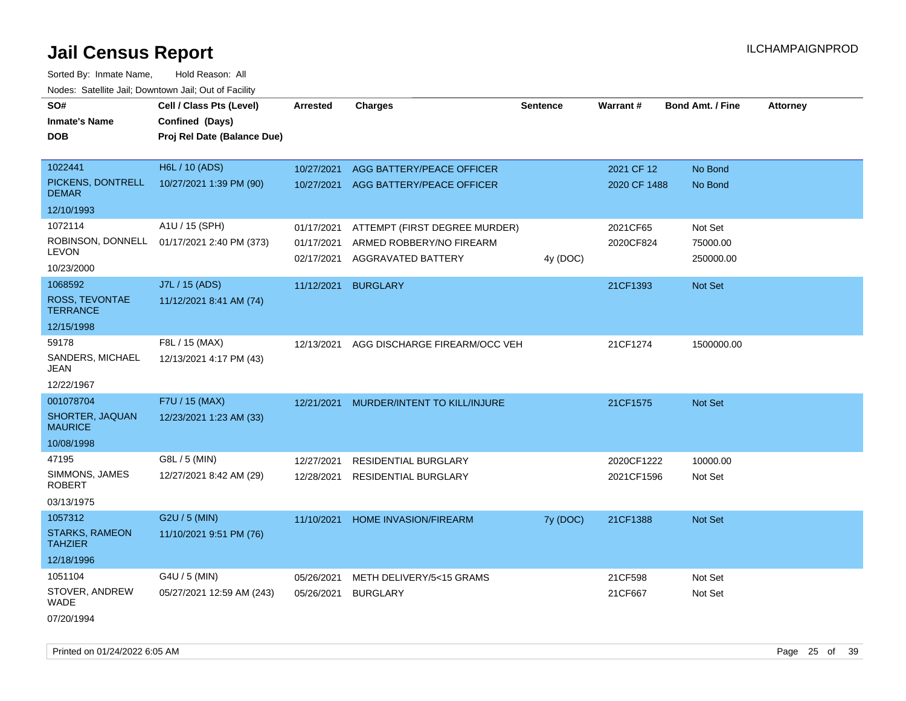Sorted By: Inmate Name, Hold Reason: All Nodes: Satellite Jail; Downtown Jail; Out of Facility

| SO#<br><b>Inmate's Name</b><br><b>DOB</b> | Cell / Class Pts (Level)<br>Confined (Days)<br>Proj Rel Date (Balance Due) | Arrested                 | <b>Charges</b>                                 | <b>Sentence</b> | Warrant#     | <b>Bond Amt. / Fine</b> | <b>Attorney</b> |
|-------------------------------------------|----------------------------------------------------------------------------|--------------------------|------------------------------------------------|-----------------|--------------|-------------------------|-----------------|
| 1022441                                   | H6L / 10 (ADS)                                                             | 10/27/2021               | AGG BATTERY/PEACE OFFICER                      |                 | 2021 CF 12   | No Bond                 |                 |
| PICKENS, DONTRELL<br><b>DEMAR</b>         | 10/27/2021 1:39 PM (90)                                                    | 10/27/2021               | AGG BATTERY/PEACE OFFICER                      |                 | 2020 CF 1488 | No Bond                 |                 |
| 12/10/1993                                |                                                                            |                          |                                                |                 |              |                         |                 |
| 1072114                                   | A1U / 15 (SPH)                                                             | 01/17/2021               | ATTEMPT (FIRST DEGREE MURDER)                  |                 | 2021CF65     | Not Set                 |                 |
| ROBINSON, DONNELL<br>LEVON                | 01/17/2021 2:40 PM (373)                                                   | 01/17/2021<br>02/17/2021 | ARMED ROBBERY/NO FIREARM<br>AGGRAVATED BATTERY | 4y (DOC)        | 2020CF824    | 75000.00<br>250000.00   |                 |
| 10/23/2000                                |                                                                            |                          |                                                |                 |              |                         |                 |
| 1068592                                   | J7L / 15 (ADS)                                                             | 11/12/2021               | <b>BURGLARY</b>                                |                 | 21CF1393     | Not Set                 |                 |
| <b>ROSS, TEVONTAE</b><br><b>TERRANCE</b>  | 11/12/2021 8:41 AM (74)                                                    |                          |                                                |                 |              |                         |                 |
| 12/15/1998                                |                                                                            |                          |                                                |                 |              |                         |                 |
| 59178                                     | F8L / 15 (MAX)                                                             | 12/13/2021               | AGG DISCHARGE FIREARM/OCC VEH                  |                 | 21CF1274     | 1500000.00              |                 |
| SANDERS, MICHAEL<br>JEAN                  | 12/13/2021 4:17 PM (43)                                                    |                          |                                                |                 |              |                         |                 |
| 12/22/1967                                |                                                                            |                          |                                                |                 |              |                         |                 |
| 001078704                                 | F7U / 15 (MAX)                                                             | 12/21/2021               | MURDER/INTENT TO KILL/INJURE                   |                 | 21CF1575     | <b>Not Set</b>          |                 |
| SHORTER, JAQUAN<br><b>MAURICE</b>         | 12/23/2021 1:23 AM (33)                                                    |                          |                                                |                 |              |                         |                 |
| 10/08/1998                                |                                                                            |                          |                                                |                 |              |                         |                 |
| 47195                                     | G8L / 5 (MIN)                                                              | 12/27/2021               | <b>RESIDENTIAL BURGLARY</b>                    |                 | 2020CF1222   | 10000.00                |                 |
| SIMMONS, JAMES<br><b>ROBERT</b>           | 12/27/2021 8:42 AM (29)                                                    | 12/28/2021               | RESIDENTIAL BURGLARY                           |                 | 2021CF1596   | Not Set                 |                 |
| 03/13/1975                                |                                                                            |                          |                                                |                 |              |                         |                 |
| 1057312                                   | G2U / 5 (MIN)                                                              | 11/10/2021               | <b>HOME INVASION/FIREARM</b>                   | 7y (DOC)        | 21CF1388     | <b>Not Set</b>          |                 |
| <b>STARKS, RAMEON</b><br><b>TAHZIER</b>   | 11/10/2021 9:51 PM (76)                                                    |                          |                                                |                 |              |                         |                 |
| 12/18/1996                                |                                                                            |                          |                                                |                 |              |                         |                 |
| 1051104                                   | G4U / 5 (MIN)                                                              | 05/26/2021               | METH DELIVERY/5<15 GRAMS                       |                 | 21CF598      | Not Set                 |                 |
| STOVER, ANDREW<br>WADE                    | 05/27/2021 12:59 AM (243)                                                  | 05/26/2021               | <b>BURGLARY</b>                                |                 | 21CF667      | Not Set                 |                 |
|                                           |                                                                            |                          |                                                |                 |              |                         |                 |

07/20/1994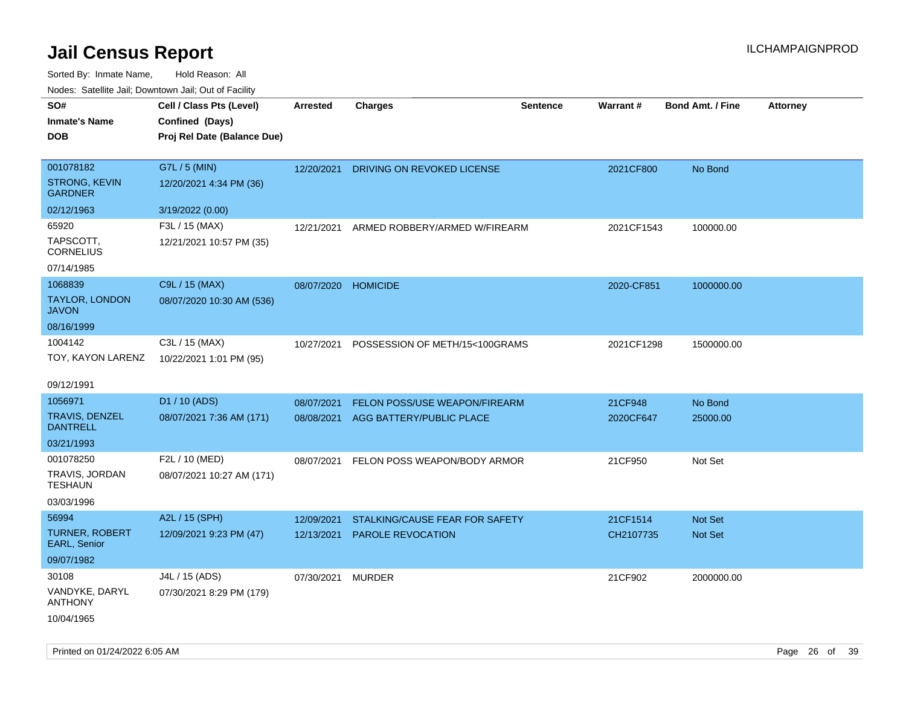| roaco. Calcinio dan, Downtown dan, Cal or Fability |                             |                     |                                |                 |                 |                         |                 |
|----------------------------------------------------|-----------------------------|---------------------|--------------------------------|-----------------|-----------------|-------------------------|-----------------|
| SO#                                                | Cell / Class Pts (Level)    | Arrested            | <b>Charges</b>                 | <b>Sentence</b> | <b>Warrant#</b> | <b>Bond Amt. / Fine</b> | <b>Attorney</b> |
| Inmate's Name                                      | Confined (Days)             |                     |                                |                 |                 |                         |                 |
| <b>DOB</b>                                         | Proj Rel Date (Balance Due) |                     |                                |                 |                 |                         |                 |
|                                                    |                             |                     |                                |                 |                 |                         |                 |
| 001078182                                          | G7L / 5 (MIN)               | 12/20/2021          | DRIVING ON REVOKED LICENSE     |                 | 2021CF800       | No Bond                 |                 |
| <b>STRONG, KEVIN</b><br><b>GARDNER</b>             | 12/20/2021 4:34 PM (36)     |                     |                                |                 |                 |                         |                 |
| 02/12/1963                                         | 3/19/2022 (0.00)            |                     |                                |                 |                 |                         |                 |
| 65920                                              | F3L / 15 (MAX)              | 12/21/2021          | ARMED ROBBERY/ARMED W/FIREARM  |                 | 2021CF1543      | 100000.00               |                 |
| TAPSCOTT,<br><b>CORNELIUS</b>                      | 12/21/2021 10:57 PM (35)    |                     |                                |                 |                 |                         |                 |
| 07/14/1985                                         |                             |                     |                                |                 |                 |                         |                 |
| 1068839                                            | C9L / 15 (MAX)              | 08/07/2020 HOMICIDE |                                |                 | 2020-CF851      | 1000000.00              |                 |
| TAYLOR, LONDON<br>JAVON                            | 08/07/2020 10:30 AM (536)   |                     |                                |                 |                 |                         |                 |
| 08/16/1999                                         |                             |                     |                                |                 |                 |                         |                 |
| 1004142                                            | C3L / 15 (MAX)              | 10/27/2021          | POSSESSION OF METH/15<100GRAMS |                 | 2021CF1298      | 1500000.00              |                 |
| TOY, KAYON LARENZ                                  | 10/22/2021 1:01 PM (95)     |                     |                                |                 |                 |                         |                 |
|                                                    |                             |                     |                                |                 |                 |                         |                 |
| 09/12/1991                                         |                             |                     |                                |                 |                 |                         |                 |
| 1056971                                            | D1 / 10 (ADS)               | 08/07/2021          | FELON POSS/USE WEAPON/FIREARM  |                 | 21CF948         | No Bond                 |                 |
| TRAVIS, DENZEL<br>DANTRELL                         | 08/07/2021 7:36 AM (171)    | 08/08/2021          | AGG BATTERY/PUBLIC PLACE       |                 | 2020CF647       | 25000.00                |                 |
| 03/21/1993                                         |                             |                     |                                |                 |                 |                         |                 |
| 001078250                                          | F2L / 10 (MED)              | 08/07/2021          | FELON POSS WEAPON/BODY ARMOR   |                 | 21CF950         | Not Set                 |                 |
| TRAVIS, JORDAN<br>TESHAUN                          | 08/07/2021 10:27 AM (171)   |                     |                                |                 |                 |                         |                 |
| 03/03/1996                                         |                             |                     |                                |                 |                 |                         |                 |
| 56994                                              | A2L / 15 (SPH)              | 12/09/2021          | STALKING/CAUSE FEAR FOR SAFETY |                 | 21CF1514        | <b>Not Set</b>          |                 |
| <b>TURNER, ROBERT</b><br>EARL, Senior              | 12/09/2021 9:23 PM (47)     | 12/13/2021          | <b>PAROLE REVOCATION</b>       |                 | CH2107735       | <b>Not Set</b>          |                 |
| 09/07/1982                                         |                             |                     |                                |                 |                 |                         |                 |
| 30108                                              | J4L / 15 (ADS)              | 07/30/2021          | <b>MURDER</b>                  |                 | 21CF902         | 2000000.00              |                 |
| VANDYKE, DARYL<br>ANTHONY                          | 07/30/2021 8:29 PM (179)    |                     |                                |                 |                 |                         |                 |
| 10/04/1965                                         |                             |                     |                                |                 |                 |                         |                 |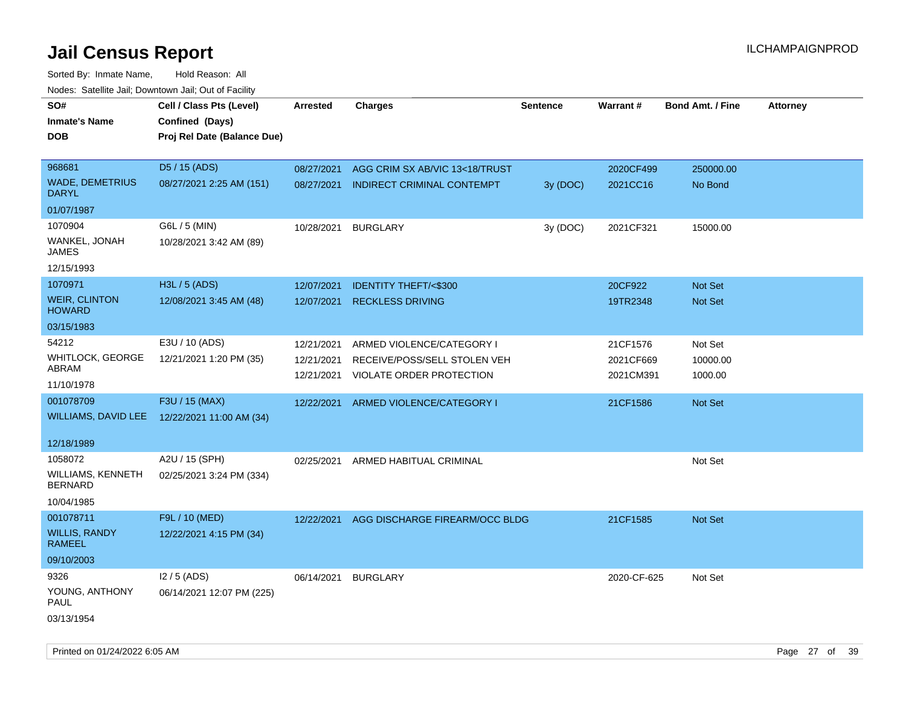Sorted By: Inmate Name, Hold Reason: All Nodes: Satellite Jail; Downtown Jail; Out of Facility

| roaco. Catolino cali, Downtown cali, Out of Fability |                                              |            |                                    |                 |             |                         |                 |
|------------------------------------------------------|----------------------------------------------|------------|------------------------------------|-----------------|-------------|-------------------------|-----------------|
| SO#                                                  | Cell / Class Pts (Level)                     | Arrested   | <b>Charges</b>                     | <b>Sentence</b> | Warrant#    | <b>Bond Amt. / Fine</b> | <b>Attorney</b> |
| <b>Inmate's Name</b>                                 | Confined (Days)                              |            |                                    |                 |             |                         |                 |
| <b>DOB</b>                                           | Proj Rel Date (Balance Due)                  |            |                                    |                 |             |                         |                 |
|                                                      |                                              |            |                                    |                 |             |                         |                 |
| 968681                                               | D5 / 15 (ADS)                                | 08/27/2021 | AGG CRIM SX AB/VIC 13<18/TRUST     |                 | 2020CF499   | 250000.00               |                 |
| <b>WADE, DEMETRIUS</b><br><b>DARYL</b>               | 08/27/2021 2:25 AM (151)                     | 08/27/2021 | INDIRECT CRIMINAL CONTEMPT         | 3y (DOC)        | 2021CC16    | No Bond                 |                 |
| 01/07/1987                                           |                                              |            |                                    |                 |             |                         |                 |
| 1070904                                              | G6L / 5 (MIN)                                | 10/28/2021 | <b>BURGLARY</b>                    | 3y (DOC)        | 2021CF321   | 15000.00                |                 |
| WANKEL, JONAH<br>JAMES                               | 10/28/2021 3:42 AM (89)                      |            |                                    |                 |             |                         |                 |
| 12/15/1993                                           |                                              |            |                                    |                 |             |                         |                 |
| 1070971                                              | H3L / 5 (ADS)                                | 12/07/2021 | <b>IDENTITY THEFT/&lt;\$300</b>    |                 | 20CF922     | Not Set                 |                 |
| <b>WEIR, CLINTON</b><br><b>HOWARD</b>                | 12/08/2021 3:45 AM (48)                      | 12/07/2021 | <b>RECKLESS DRIVING</b>            |                 | 19TR2348    | Not Set                 |                 |
| 03/15/1983                                           |                                              |            |                                    |                 |             |                         |                 |
| 54212                                                | E3U / 10 (ADS)                               | 12/21/2021 | ARMED VIOLENCE/CATEGORY I          |                 | 21CF1576    | Not Set                 |                 |
| <b>WHITLOCK, GEORGE</b>                              | 12/21/2021 1:20 PM (35)                      | 12/21/2021 | RECEIVE/POSS/SELL STOLEN VEH       |                 | 2021CF669   | 10000.00                |                 |
| ABRAM                                                |                                              | 12/21/2021 | <b>VIOLATE ORDER PROTECTION</b>    |                 | 2021CM391   | 1000.00                 |                 |
| 11/10/1978                                           |                                              |            |                                    |                 |             |                         |                 |
| 001078709                                            | F3U / 15 (MAX)                               | 12/22/2021 | ARMED VIOLENCE/CATEGORY I          |                 | 21CF1586    | Not Set                 |                 |
|                                                      | WILLIAMS, DAVID LEE 12/22/2021 11:00 AM (34) |            |                                    |                 |             |                         |                 |
|                                                      |                                              |            |                                    |                 |             |                         |                 |
| 12/18/1989                                           |                                              |            |                                    |                 |             |                         |                 |
| 1058072                                              | A2U / 15 (SPH)                               |            | 02/25/2021 ARMED HABITUAL CRIMINAL |                 |             | Not Set                 |                 |
| WILLIAMS, KENNETH<br><b>BERNARD</b>                  | 02/25/2021 3:24 PM (334)                     |            |                                    |                 |             |                         |                 |
| 10/04/1985                                           |                                              |            |                                    |                 |             |                         |                 |
| 001078711                                            | F9L / 10 (MED)                               | 12/22/2021 | AGG DISCHARGE FIREARM/OCC BLDG     |                 | 21CF1585    | Not Set                 |                 |
| <b>WILLIS, RANDY</b><br><b>RAMEEL</b>                | 12/22/2021 4:15 PM (34)                      |            |                                    |                 |             |                         |                 |
| 09/10/2003                                           |                                              |            |                                    |                 |             |                         |                 |
| 9326                                                 | I2 / 5 (ADS)                                 | 06/14/2021 | <b>BURGLARY</b>                    |                 | 2020-CF-625 | Not Set                 |                 |
| YOUNG, ANTHONY<br><b>PAUL</b>                        | 06/14/2021 12:07 PM (225)                    |            |                                    |                 |             |                         |                 |
| 03/13/1954                                           |                                              |            |                                    |                 |             |                         |                 |

Printed on 01/24/2022 6:05 AM Page 27 of 39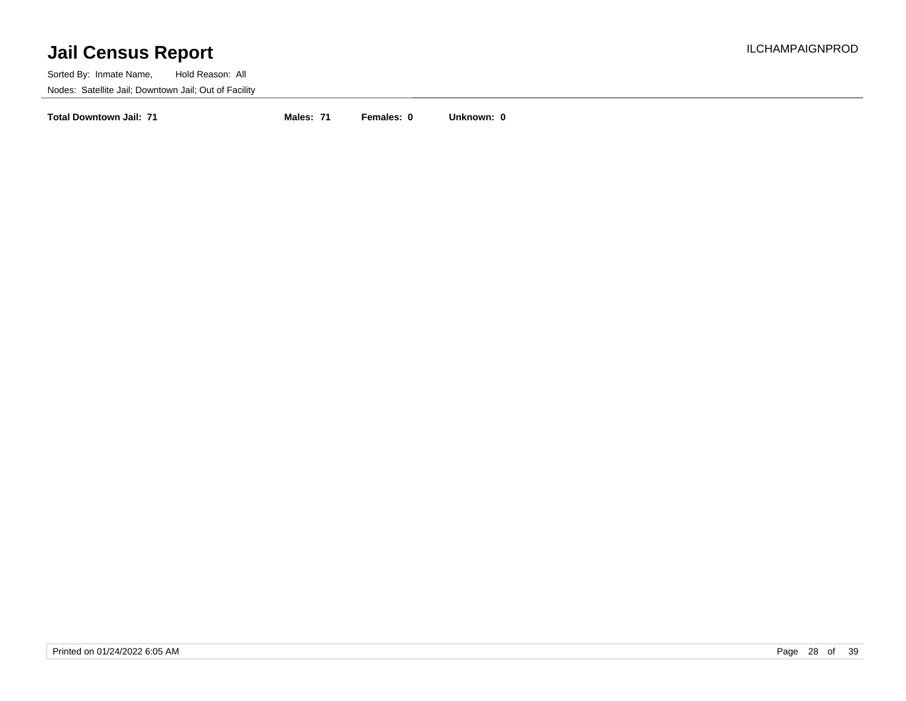Sorted By: Inmate Name, Hold Reason: All Nodes: Satellite Jail; Downtown Jail; Out of Facility

**Total Downtown Jail: 71 Males: 71 Females: 0 Unknown: 0**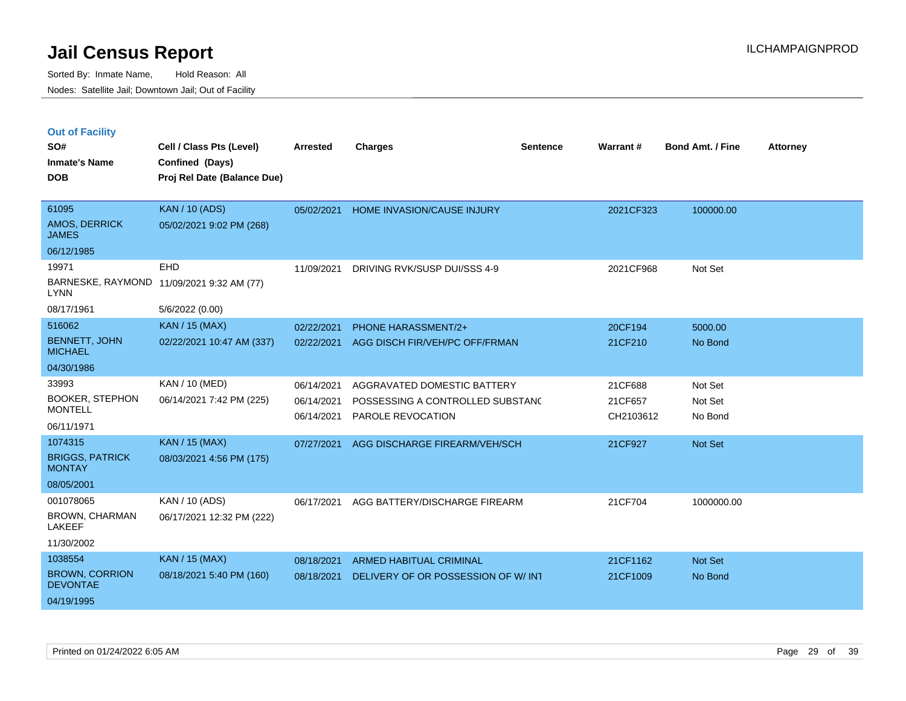|  | <b>Out of Facility</b> |  |
|--|------------------------|--|
|  |                        |  |

| SO#<br><b>Inmate's Name</b><br><b>DOB</b> | Cell / Class Pts (Level)<br>Confined (Days)<br>Proj Rel Date (Balance Due) | <b>Arrested</b> | <b>Charges</b>                     | <b>Sentence</b> | Warrant#  | <b>Bond Amt. / Fine</b> | <b>Attorney</b> |
|-------------------------------------------|----------------------------------------------------------------------------|-----------------|------------------------------------|-----------------|-----------|-------------------------|-----------------|
|                                           |                                                                            |                 |                                    |                 |           |                         |                 |
| 61095                                     | <b>KAN / 10 (ADS)</b>                                                      | 05/02/2021      | HOME INVASION/CAUSE INJURY         |                 | 2021CF323 | 100000.00               |                 |
| AMOS, DERRICK<br><b>JAMES</b>             | 05/02/2021 9:02 PM (268)                                                   |                 |                                    |                 |           |                         |                 |
| 06/12/1985                                |                                                                            |                 |                                    |                 |           |                         |                 |
| 19971                                     | <b>EHD</b>                                                                 | 11/09/2021      | DRIVING RVK/SUSP DUI/SSS 4-9       |                 | 2021CF968 | Not Set                 |                 |
| <b>LYNN</b>                               | BARNESKE, RAYMOND 11/09/2021 9:32 AM (77)                                  |                 |                                    |                 |           |                         |                 |
| 08/17/1961                                | 5/6/2022 (0.00)                                                            |                 |                                    |                 |           |                         |                 |
| 516062                                    | <b>KAN / 15 (MAX)</b>                                                      | 02/22/2021      | <b>PHONE HARASSMENT/2+</b>         |                 | 20CF194   | 5000.00                 |                 |
| <b>BENNETT, JOHN</b><br><b>MICHAEL</b>    | 02/22/2021 10:47 AM (337)                                                  | 02/22/2021      | AGG DISCH FIR/VEH/PC OFF/FRMAN     |                 | 21CF210   | No Bond                 |                 |
| 04/30/1986                                |                                                                            |                 |                                    |                 |           |                         |                 |
| 33993                                     | KAN / 10 (MED)                                                             | 06/14/2021      | AGGRAVATED DOMESTIC BATTERY        |                 | 21CF688   | Not Set                 |                 |
| <b>BOOKER, STEPHON</b>                    | 06/14/2021 7:42 PM (225)                                                   | 06/14/2021      | POSSESSING A CONTROLLED SUBSTAND   |                 | 21CF657   | Not Set                 |                 |
| <b>MONTELL</b>                            |                                                                            | 06/14/2021      | <b>PAROLE REVOCATION</b>           |                 | CH2103612 | No Bond                 |                 |
| 06/11/1971                                |                                                                            |                 |                                    |                 |           |                         |                 |
| 1074315                                   | <b>KAN / 15 (MAX)</b>                                                      | 07/27/2021      | AGG DISCHARGE FIREARM/VEH/SCH      |                 | 21CF927   | Not Set                 |                 |
| <b>BRIGGS, PATRICK</b><br><b>MONTAY</b>   | 08/03/2021 4:56 PM (175)                                                   |                 |                                    |                 |           |                         |                 |
| 08/05/2001                                |                                                                            |                 |                                    |                 |           |                         |                 |
| 001078065                                 | KAN / 10 (ADS)                                                             | 06/17/2021      | AGG BATTERY/DISCHARGE FIREARM      |                 | 21CF704   | 1000000.00              |                 |
| BROWN, CHARMAN<br><b>LAKEEF</b>           | 06/17/2021 12:32 PM (222)                                                  |                 |                                    |                 |           |                         |                 |
| 11/30/2002                                |                                                                            |                 |                                    |                 |           |                         |                 |
| 1038554                                   | <b>KAN / 15 (MAX)</b>                                                      | 08/18/2021      | <b>ARMED HABITUAL CRIMINAL</b>     |                 | 21CF1162  | Not Set                 |                 |
| <b>BROWN, CORRION</b><br><b>DEVONTAE</b>  | 08/18/2021 5:40 PM (160)                                                   | 08/18/2021      | DELIVERY OF OR POSSESSION OF W/INT |                 | 21CF1009  | No Bond                 |                 |
| 04/19/1995                                |                                                                            |                 |                                    |                 |           |                         |                 |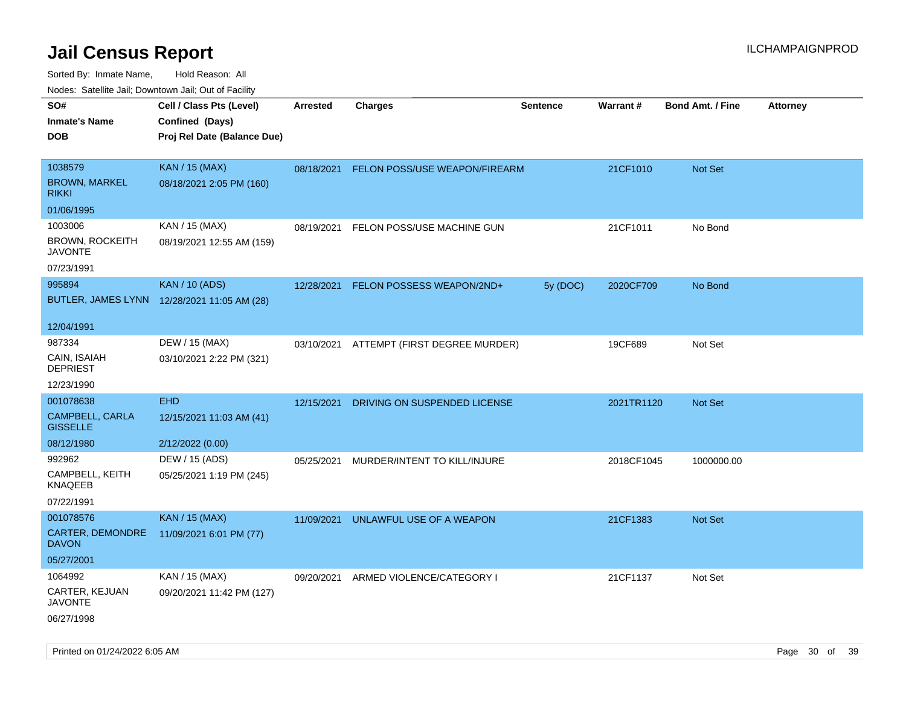| rouco. Calcinic Jan, Downtown Jan, Out of Facility   |                                                                            |                 |                                          |                 |            |                         |                 |
|------------------------------------------------------|----------------------------------------------------------------------------|-----------------|------------------------------------------|-----------------|------------|-------------------------|-----------------|
| SO#<br>Inmate's Name<br><b>DOB</b>                   | Cell / Class Pts (Level)<br>Confined (Days)<br>Proj Rel Date (Balance Due) | <b>Arrested</b> | <b>Charges</b>                           | <b>Sentence</b> | Warrant#   | <b>Bond Amt. / Fine</b> | <b>Attorney</b> |
|                                                      |                                                                            |                 |                                          |                 |            |                         |                 |
| 1038579<br><b>BROWN, MARKEL</b><br>rikki             | <b>KAN / 15 (MAX)</b><br>08/18/2021 2:05 PM (160)                          |                 | 08/18/2021 FELON POSS/USE WEAPON/FIREARM |                 | 21CF1010   | Not Set                 |                 |
| 01/06/1995                                           |                                                                            |                 |                                          |                 |            |                         |                 |
| 1003006<br>BROWN, ROCKEITH<br><b>JAVONTE</b>         | KAN / 15 (MAX)<br>08/19/2021 12:55 AM (159)                                | 08/19/2021      | FELON POSS/USE MACHINE GUN               |                 | 21CF1011   | No Bond                 |                 |
| 07/23/1991                                           |                                                                            |                 |                                          |                 |            |                         |                 |
| 995894                                               | <b>KAN / 10 (ADS)</b><br>BUTLER, JAMES LYNN 12/28/2021 11:05 AM (28)       | 12/28/2021      | FELON POSSESS WEAPON/2ND+                | 5y (DOC)        | 2020CF709  | No Bond                 |                 |
| 12/04/1991                                           |                                                                            |                 |                                          |                 |            |                         |                 |
| 987334<br>CAIN, ISAIAH<br>DEPRIEST                   | DEW / 15 (MAX)<br>03/10/2021 2:22 PM (321)                                 |                 | 03/10/2021 ATTEMPT (FIRST DEGREE MURDER) |                 | 19CF689    | Not Set                 |                 |
| 12/23/1990                                           |                                                                            |                 |                                          |                 |            |                         |                 |
| 001078638                                            | <b>EHD</b>                                                                 | 12/15/2021      | DRIVING ON SUSPENDED LICENSE             |                 | 2021TR1120 | <b>Not Set</b>          |                 |
| CAMPBELL, CARLA<br><b>GISSELLE</b>                   | 12/15/2021 11:03 AM (41)                                                   |                 |                                          |                 |            |                         |                 |
| 08/12/1980                                           | 2/12/2022 (0.00)                                                           |                 |                                          |                 |            |                         |                 |
| 992962                                               | DEW / 15 (ADS)                                                             | 05/25/2021      | MURDER/INTENT TO KILL/INJURE             |                 | 2018CF1045 | 1000000.00              |                 |
| CAMPBELL, KEITH<br>KNAQEEB                           | 05/25/2021 1:19 PM (245)                                                   |                 |                                          |                 |            |                         |                 |
| 07/22/1991                                           |                                                                            |                 |                                          |                 |            |                         |                 |
| 001078576<br><b>CARTER, DEMONDRE</b><br><b>DAVON</b> | <b>KAN / 15 (MAX)</b><br>11/09/2021 6:01 PM (77)                           | 11/09/2021      | UNLAWFUL USE OF A WEAPON                 |                 | 21CF1383   | <b>Not Set</b>          |                 |
| 05/27/2001                                           |                                                                            |                 |                                          |                 |            |                         |                 |
| 1064992                                              | KAN / 15 (MAX)                                                             | 09/20/2021      | ARMED VIOLENCE/CATEGORY I                |                 | 21CF1137   | Not Set                 |                 |
| CARTER, KEJUAN<br>JAVONTE                            | 09/20/2021 11:42 PM (127)                                                  |                 |                                          |                 |            |                         |                 |
| 06/27/1998                                           |                                                                            |                 |                                          |                 |            |                         |                 |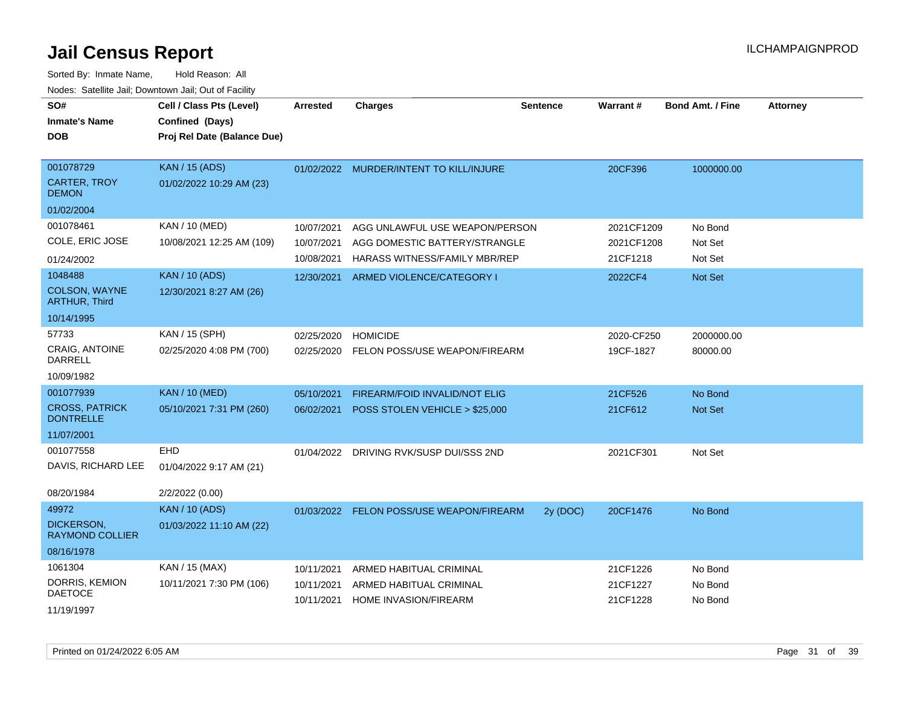| SO#<br><b>Inmate's Name</b><br><b>DOB</b>                      | Cell / Class Pts (Level)<br>Confined (Days)<br>Proj Rel Date (Balance Due) | Arrested                               | <b>Charges</b>                                                                                          | <b>Sentence</b> | <b>Warrant#</b>                      | <b>Bond Amt. / Fine</b>       | <b>Attorney</b> |
|----------------------------------------------------------------|----------------------------------------------------------------------------|----------------------------------------|---------------------------------------------------------------------------------------------------------|-----------------|--------------------------------------|-------------------------------|-----------------|
| 001078729<br><b>CARTER, TROY</b><br><b>DEMON</b>               | <b>KAN / 15 (ADS)</b><br>01/02/2022 10:29 AM (23)                          |                                        | 01/02/2022 MURDER/INTENT TO KILL/INJURE                                                                 |                 | 20CF396                              | 1000000.00                    |                 |
| 01/02/2004                                                     |                                                                            |                                        |                                                                                                         |                 |                                      |                               |                 |
| 001078461<br>COLE, ERIC JOSE<br>01/24/2002                     | KAN / 10 (MED)<br>10/08/2021 12:25 AM (109)                                | 10/07/2021<br>10/07/2021<br>10/08/2021 | AGG UNLAWFUL USE WEAPON/PERSON<br>AGG DOMESTIC BATTERY/STRANGLE<br><b>HARASS WITNESS/FAMILY MBR/REP</b> |                 | 2021CF1209<br>2021CF1208<br>21CF1218 | No Bond<br>Not Set<br>Not Set |                 |
| 1048488<br>COLSON, WAYNE<br><b>ARTHUR, Third</b><br>10/14/1995 | <b>KAN / 10 (ADS)</b><br>12/30/2021 8:27 AM (26)                           | 12/30/2021                             | ARMED VIOLENCE/CATEGORY I                                                                               |                 | 2022CF4                              | Not Set                       |                 |
| 57733<br><b>CRAIG. ANTOINE</b><br>DARRELL<br>10/09/1982        | KAN / 15 (SPH)<br>02/25/2020 4:08 PM (700)                                 | 02/25/2020<br>02/25/2020               | <b>HOMICIDE</b><br>FELON POSS/USE WEAPON/FIREARM                                                        |                 | 2020-CF250<br>19CF-1827              | 2000000.00<br>80000.00        |                 |
| 001077939                                                      | <b>KAN / 10 (MED)</b>                                                      | 05/10/2021                             | FIREARM/FOID INVALID/NOT ELIG                                                                           |                 | 21CF526                              | No Bond                       |                 |
| <b>CROSS, PATRICK</b><br><b>DONTRELLE</b>                      | 05/10/2021 7:31 PM (260)                                                   | 06/02/2021                             | POSS STOLEN VEHICLE > \$25,000                                                                          |                 | 21CF612                              | Not Set                       |                 |
| 11/07/2001                                                     |                                                                            |                                        |                                                                                                         |                 |                                      |                               |                 |
| 001077558<br>DAVIS, RICHARD LEE<br>08/20/1984                  | EHD<br>01/04/2022 9:17 AM (21)<br>2/2/2022 (0.00)                          |                                        | 01/04/2022 DRIVING RVK/SUSP DUI/SSS 2ND                                                                 |                 | 2021CF301                            | Not Set                       |                 |
| 49972<br><b>DICKERSON.</b><br><b>RAYMOND COLLIER</b>           | <b>KAN / 10 (ADS)</b><br>01/03/2022 11:10 AM (22)                          |                                        | 01/03/2022 FELON POSS/USE WEAPON/FIREARM                                                                | 2y (DOC)        | 20CF1476                             | No Bond                       |                 |
| 08/16/1978                                                     |                                                                            |                                        |                                                                                                         |                 |                                      |                               |                 |
| 1061304<br>DORRIS, KEMION<br><b>DAETOCE</b><br>11/19/1997      | KAN / 15 (MAX)<br>10/11/2021 7:30 PM (106)                                 | 10/11/2021<br>10/11/2021<br>10/11/2021 | ARMED HABITUAL CRIMINAL<br>ARMED HABITUAL CRIMINAL<br><b>HOME INVASION/FIREARM</b>                      |                 | 21CF1226<br>21CF1227<br>21CF1228     | No Bond<br>No Bond<br>No Bond |                 |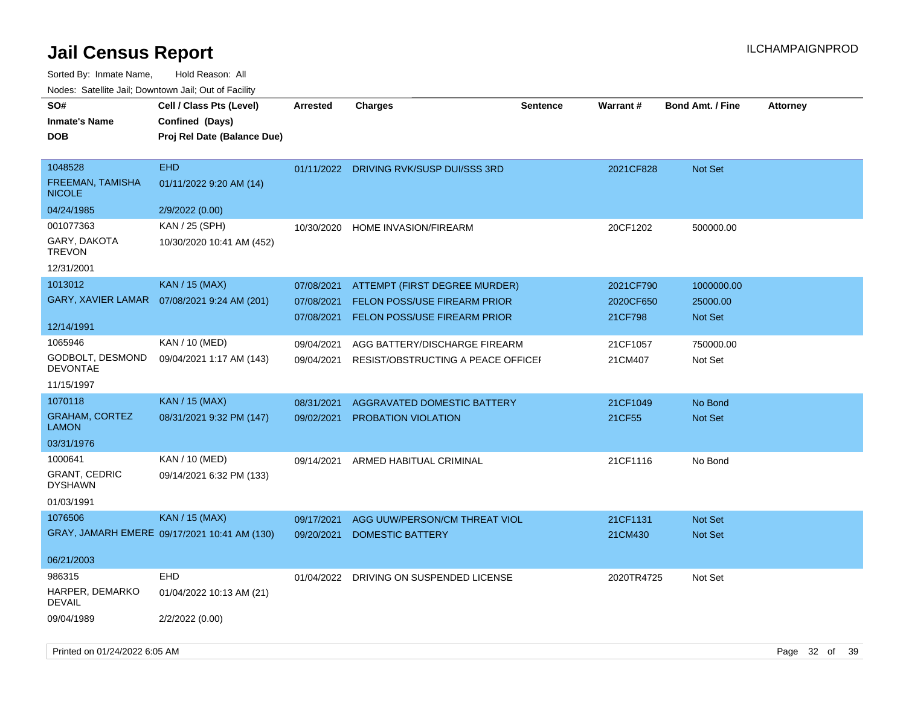Sorted By: Inmate Name, Hold Reason: All Nodes: Satellite Jail; Downtown Jail; Out of Facility

| SO#                                      | Cell / Class Pts (Level)                     | <b>Arrested</b> | <b>Charges</b>                          | <b>Sentence</b> | <b>Warrant#</b> | <b>Bond Amt. / Fine</b> | <b>Attorney</b> |
|------------------------------------------|----------------------------------------------|-----------------|-----------------------------------------|-----------------|-----------------|-------------------------|-----------------|
| <b>Inmate's Name</b>                     | Confined (Days)                              |                 |                                         |                 |                 |                         |                 |
| <b>DOB</b>                               | Proj Rel Date (Balance Due)                  |                 |                                         |                 |                 |                         |                 |
|                                          |                                              |                 |                                         |                 |                 |                         |                 |
| 1048528                                  | <b>EHD</b>                                   |                 | 01/11/2022 DRIVING RVK/SUSP DUI/SSS 3RD |                 | 2021CF828       | <b>Not Set</b>          |                 |
| <b>FREEMAN, TAMISHA</b><br><b>NICOLE</b> | 01/11/2022 9:20 AM (14)                      |                 |                                         |                 |                 |                         |                 |
| 04/24/1985                               | 2/9/2022 (0.00)                              |                 |                                         |                 |                 |                         |                 |
| 001077363                                | KAN / 25 (SPH)                               | 10/30/2020      | HOME INVASION/FIREARM                   |                 | 20CF1202        | 500000.00               |                 |
| GARY, DAKOTA<br><b>TREVON</b>            | 10/30/2020 10:41 AM (452)                    |                 |                                         |                 |                 |                         |                 |
| 12/31/2001                               |                                              |                 |                                         |                 |                 |                         |                 |
| 1013012                                  | <b>KAN / 15 (MAX)</b>                        | 07/08/2021      | ATTEMPT (FIRST DEGREE MURDER)           |                 | 2021CF790       | 1000000.00              |                 |
| <b>GARY, XAVIER LAMAR</b>                | 07/08/2021 9:24 AM (201)                     | 07/08/2021      | <b>FELON POSS/USE FIREARM PRIOR</b>     |                 | 2020CF650       | 25000.00                |                 |
|                                          |                                              | 07/08/2021      | <b>FELON POSS/USE FIREARM PRIOR</b>     |                 | 21CF798         | Not Set                 |                 |
| 12/14/1991                               |                                              |                 |                                         |                 |                 |                         |                 |
| 1065946                                  | KAN / 10 (MED)                               | 09/04/2021      | AGG BATTERY/DISCHARGE FIREARM           |                 | 21CF1057        | 750000.00               |                 |
| GODBOLT, DESMOND<br><b>DEVONTAE</b>      | 09/04/2021 1:17 AM (143)                     | 09/04/2021      | RESIST/OBSTRUCTING A PEACE OFFICEI      |                 | 21CM407         | Not Set                 |                 |
| 11/15/1997                               |                                              |                 |                                         |                 |                 |                         |                 |
| 1070118                                  | <b>KAN / 15 (MAX)</b>                        | 08/31/2021      | AGGRAVATED DOMESTIC BATTERY             |                 | 21CF1049        | No Bond                 |                 |
| <b>GRAHAM, CORTEZ</b><br><b>LAMON</b>    | 08/31/2021 9:32 PM (147)                     | 09/02/2021      | PROBATION VIOLATION                     |                 | 21CF55          | Not Set                 |                 |
| 03/31/1976                               |                                              |                 |                                         |                 |                 |                         |                 |
| 1000641                                  | KAN / 10 (MED)                               | 09/14/2021      | ARMED HABITUAL CRIMINAL                 |                 | 21CF1116        | No Bond                 |                 |
| <b>GRANT, CEDRIC</b><br><b>DYSHAWN</b>   | 09/14/2021 6:32 PM (133)                     |                 |                                         |                 |                 |                         |                 |
| 01/03/1991                               |                                              |                 |                                         |                 |                 |                         |                 |
| 1076506                                  | <b>KAN / 15 (MAX)</b>                        | 09/17/2021      | AGG UUW/PERSON/CM THREAT VIOL           |                 | 21CF1131        | Not Set                 |                 |
|                                          | GRAY, JAMARH EMERE 09/17/2021 10:41 AM (130) | 09/20/2021      | <b>DOMESTIC BATTERY</b>                 |                 | 21CM430         | <b>Not Set</b>          |                 |
| 06/21/2003                               |                                              |                 |                                         |                 |                 |                         |                 |
| 986315                                   | <b>EHD</b>                                   | 01/04/2022      | DRIVING ON SUSPENDED LICENSE            |                 | 2020TR4725      | Not Set                 |                 |
| HARPER, DEMARKO<br><b>DEVAIL</b>         | 01/04/2022 10:13 AM (21)                     |                 |                                         |                 |                 |                         |                 |
| 09/04/1989                               | 2/2/2022 (0.00)                              |                 |                                         |                 |                 |                         |                 |

Printed on 01/24/2022 6:05 AM Page 32 of 39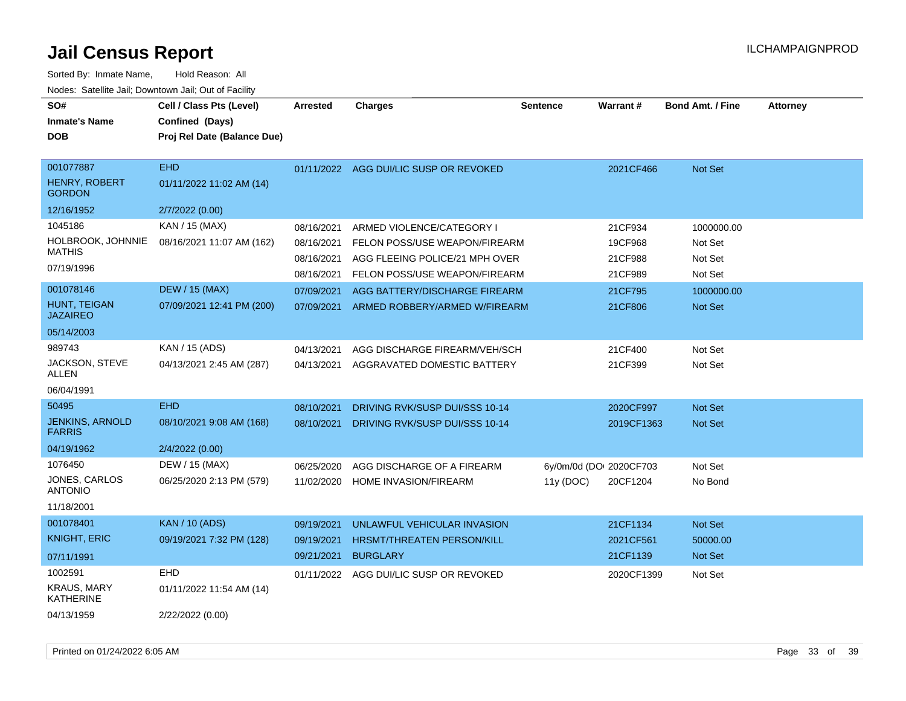| SO#<br><b>Inmate's Name</b><br><b>DOB</b>          | Cell / Class Pts (Level)<br>Confined (Days)<br>Proj Rel Date (Balance Due) | <b>Arrested</b>          | <b>Charges</b>                                                  | <b>Sentence</b>         | <b>Warrant#</b>    | <b>Bond Amt. / Fine</b> | <b>Attorney</b> |
|----------------------------------------------------|----------------------------------------------------------------------------|--------------------------|-----------------------------------------------------------------|-------------------------|--------------------|-------------------------|-----------------|
| 001077887<br><b>HENRY, ROBERT</b><br><b>GORDON</b> | EHD.<br>01/11/2022 11:02 AM (14)                                           |                          | 01/11/2022 AGG DUI/LIC SUSP OR REVOKED                          |                         | 2021CF466          | <b>Not Set</b>          |                 |
| 12/16/1952                                         | 2/7/2022 (0.00)                                                            |                          |                                                                 |                         |                    |                         |                 |
| 1045186<br>HOLBROOK, JOHNNIE<br><b>MATHIS</b>      | KAN / 15 (MAX)<br>08/16/2021 11:07 AM (162)                                | 08/16/2021<br>08/16/2021 | ARMED VIOLENCE/CATEGORY I<br>FELON POSS/USE WEAPON/FIREARM      |                         | 21CF934<br>19CF968 | 1000000.00<br>Not Set   |                 |
| 07/19/1996                                         |                                                                            | 08/16/2021<br>08/16/2021 | AGG FLEEING POLICE/21 MPH OVER<br>FELON POSS/USE WEAPON/FIREARM |                         | 21CF988<br>21CF989 | Not Set<br>Not Set      |                 |
| 001078146                                          | <b>DEW / 15 (MAX)</b>                                                      | 07/09/2021               | AGG BATTERY/DISCHARGE FIREARM                                   |                         | 21CF795            | 1000000.00              |                 |
| HUNT, TEIGAN<br><b>JAZAIREO</b>                    | 07/09/2021 12:41 PM (200)                                                  | 07/09/2021               | ARMED ROBBERY/ARMED W/FIREARM                                   |                         | 21CF806            | Not Set                 |                 |
| 05/14/2003                                         |                                                                            |                          |                                                                 |                         |                    |                         |                 |
| 989743                                             | KAN / 15 (ADS)                                                             | 04/13/2021               | AGG DISCHARGE FIREARM/VEH/SCH                                   |                         | 21CF400            | Not Set                 |                 |
| JACKSON, STEVE<br>ALLEN                            | 04/13/2021 2:45 AM (287)                                                   | 04/13/2021               | AGGRAVATED DOMESTIC BATTERY                                     |                         | 21CF399            | Not Set                 |                 |
| 06/04/1991                                         |                                                                            |                          |                                                                 |                         |                    |                         |                 |
| 50495                                              | <b>EHD</b>                                                                 | 08/10/2021               | DRIVING RVK/SUSP DUI/SSS 10-14                                  |                         | 2020CF997          | <b>Not Set</b>          |                 |
| <b>JENKINS, ARNOLD</b><br><b>FARRIS</b>            | 08/10/2021 9:08 AM (168)                                                   | 08/10/2021               | DRIVING RVK/SUSP DUI/SSS 10-14                                  |                         | 2019CF1363         | <b>Not Set</b>          |                 |
| 04/19/1962                                         | 2/4/2022 (0.00)                                                            |                          |                                                                 |                         |                    |                         |                 |
| 1076450                                            | DEW / 15 (MAX)                                                             | 06/25/2020               | AGG DISCHARGE OF A FIREARM                                      | 6y/0m/0d (DOI 2020CF703 |                    | Not Set                 |                 |
| JONES, CARLOS<br><b>ANTONIO</b>                    | 06/25/2020 2:13 PM (579)                                                   | 11/02/2020               | HOME INVASION/FIREARM                                           | 11y (DOC)               | 20CF1204           | No Bond                 |                 |
| 11/18/2001                                         |                                                                            |                          |                                                                 |                         |                    |                         |                 |
| 001078401                                          | <b>KAN</b> / 10 (ADS)                                                      | 09/19/2021               | UNLAWFUL VEHICULAR INVASION                                     |                         | 21CF1134           | Not Set                 |                 |
| <b>KNIGHT, ERIC</b>                                | 09/19/2021 7:32 PM (128)                                                   | 09/19/2021               | <b>HRSMT/THREATEN PERSON/KILL</b>                               |                         | 2021CF561          | 50000.00                |                 |
| 07/11/1991                                         |                                                                            | 09/21/2021               | <b>BURGLARY</b>                                                 |                         | 21CF1139           | <b>Not Set</b>          |                 |
| 1002591                                            | EHD                                                                        | 01/11/2022               | AGG DUI/LIC SUSP OR REVOKED                                     |                         | 2020CF1399         | Not Set                 |                 |
| <b>KRAUS, MARY</b><br><b>KATHERINE</b>             | 01/11/2022 11:54 AM (14)                                                   |                          |                                                                 |                         |                    |                         |                 |
| 04/13/1959                                         | 2/22/2022 (0.00)                                                           |                          |                                                                 |                         |                    |                         |                 |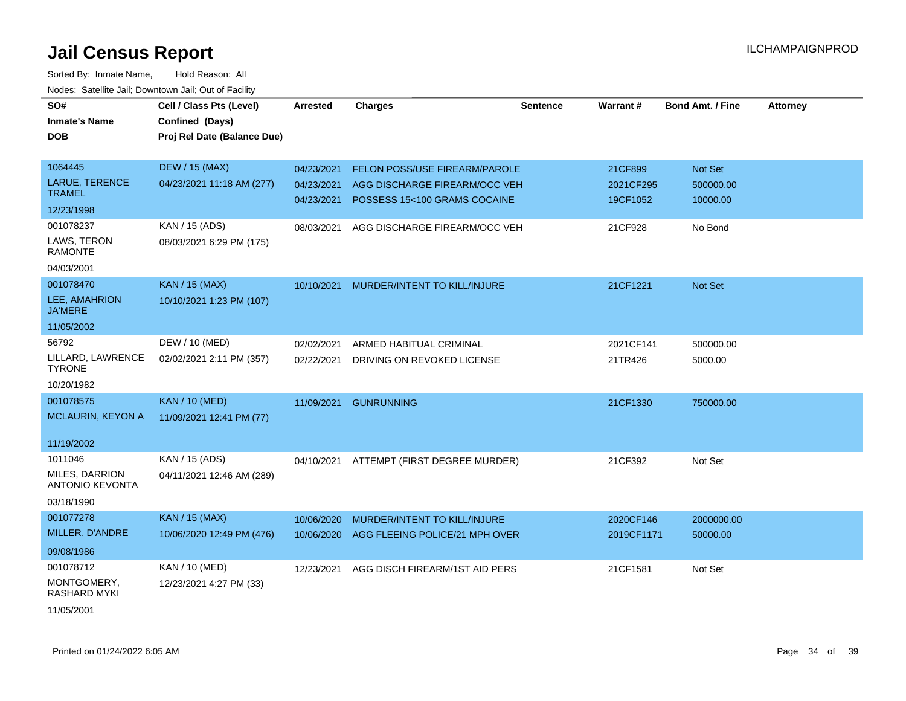| SO#                                      | Cell / Class Pts (Level)    | <b>Arrested</b> | <b>Charges</b>                 | Sentence | Warrant#   | <b>Bond Amt. / Fine</b> | <b>Attorney</b> |
|------------------------------------------|-----------------------------|-----------------|--------------------------------|----------|------------|-------------------------|-----------------|
| <b>Inmate's Name</b>                     | Confined (Days)             |                 |                                |          |            |                         |                 |
| <b>DOB</b>                               | Proj Rel Date (Balance Due) |                 |                                |          |            |                         |                 |
|                                          |                             |                 |                                |          |            |                         |                 |
| 1064445                                  | <b>DEW / 15 (MAX)</b>       | 04/23/2021      | FELON POSS/USE FIREARM/PAROLE  |          | 21CF899    | Not Set                 |                 |
| <b>LARUE, TERENCE</b>                    | 04/23/2021 11:18 AM (277)   | 04/23/2021      | AGG DISCHARGE FIREARM/OCC VEH  |          | 2021CF295  | 500000.00               |                 |
| <b>TRAMEL</b>                            |                             | 04/23/2021      | POSSESS 15<100 GRAMS COCAINE   |          | 19CF1052   | 10000.00                |                 |
| 12/23/1998                               |                             |                 |                                |          |            |                         |                 |
| 001078237                                | KAN / 15 (ADS)              | 08/03/2021      | AGG DISCHARGE FIREARM/OCC VEH  |          | 21CF928    | No Bond                 |                 |
| LAWS, TERON<br><b>RAMONTE</b>            | 08/03/2021 6:29 PM (175)    |                 |                                |          |            |                         |                 |
| 04/03/2001                               |                             |                 |                                |          |            |                         |                 |
| 001078470                                | <b>KAN / 15 (MAX)</b>       | 10/10/2021      | MURDER/INTENT TO KILL/INJURE   |          | 21CF1221   | Not Set                 |                 |
| LEE, AMAHRION<br><b>JA'MERE</b>          | 10/10/2021 1:23 PM (107)    |                 |                                |          |            |                         |                 |
| 11/05/2002                               |                             |                 |                                |          |            |                         |                 |
| 56792                                    | DEW / 10 (MED)              | 02/02/2021      | ARMED HABITUAL CRIMINAL        |          | 2021CF141  | 500000.00               |                 |
| LILLARD, LAWRENCE<br><b>TYRONE</b>       | 02/02/2021 2:11 PM (357)    | 02/22/2021      | DRIVING ON REVOKED LICENSE     |          | 21TR426    | 5000.00                 |                 |
| 10/20/1982                               |                             |                 |                                |          |            |                         |                 |
| 001078575                                | <b>KAN / 10 (MED)</b>       | 11/09/2021      | <b>GUNRUNNING</b>              |          | 21CF1330   | 750000.00               |                 |
| MCLAURIN, KEYON A                        | 11/09/2021 12:41 PM (77)    |                 |                                |          |            |                         |                 |
|                                          |                             |                 |                                |          |            |                         |                 |
| 11/19/2002                               |                             |                 |                                |          |            |                         |                 |
| 1011046                                  | KAN / 15 (ADS)              | 04/10/2021      | ATTEMPT (FIRST DEGREE MURDER)  |          | 21CF392    | Not Set                 |                 |
| MILES, DARRION<br><b>ANTONIO KEVONTA</b> | 04/11/2021 12:46 AM (289)   |                 |                                |          |            |                         |                 |
| 03/18/1990                               |                             |                 |                                |          |            |                         |                 |
| 001077278                                | <b>KAN / 15 (MAX)</b>       | 10/06/2020      | MURDER/INTENT TO KILL/INJURE   |          | 2020CF146  | 2000000.00              |                 |
| MILLER, D'ANDRE                          | 10/06/2020 12:49 PM (476)   | 10/06/2020      | AGG FLEEING POLICE/21 MPH OVER |          | 2019CF1171 | 50000.00                |                 |
| 09/08/1986                               |                             |                 |                                |          |            |                         |                 |
| 001078712                                | KAN / 10 (MED)              | 12/23/2021      | AGG DISCH FIREARM/1ST AID PERS |          | 21CF1581   | Not Set                 |                 |
| MONTGOMERY,<br><b>RASHARD MYKI</b>       | 12/23/2021 4:27 PM (33)     |                 |                                |          |            |                         |                 |
| 11/05/2001                               |                             |                 |                                |          |            |                         |                 |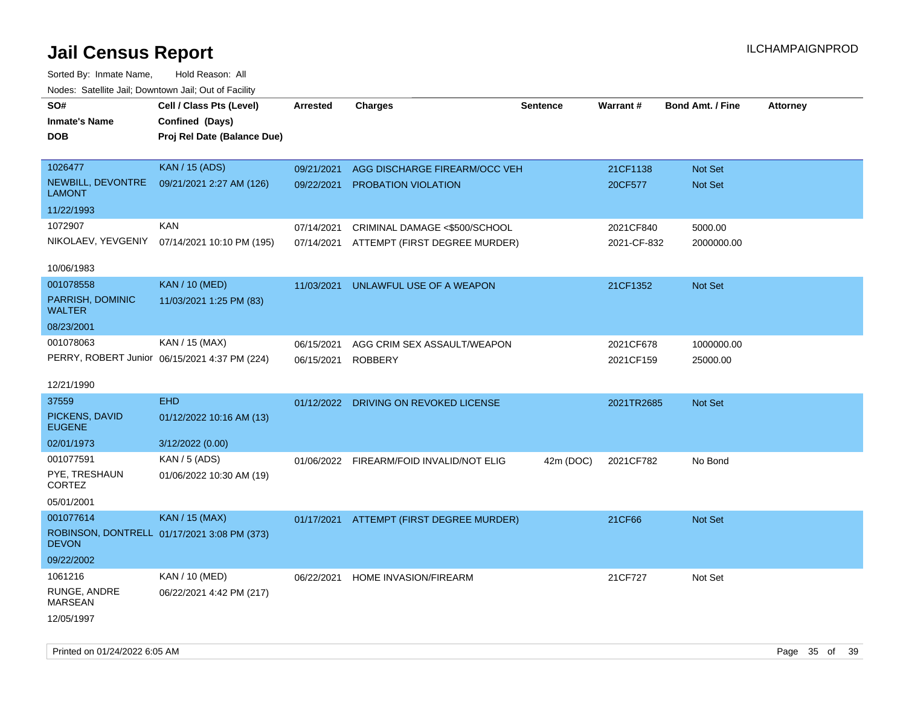Sorted By: Inmate Name, Hold Reason: All Nodes: Satellite Jail; Downtown Jail; Out of Facility

| i vuuto. Talelille Jall, Dowlltowii Jall, Out of Facility |                                               |                 |                                          |                 |             |                         |                 |
|-----------------------------------------------------------|-----------------------------------------------|-----------------|------------------------------------------|-----------------|-------------|-------------------------|-----------------|
| SO#                                                       | Cell / Class Pts (Level)                      | <b>Arrested</b> | <b>Charges</b>                           | <b>Sentence</b> | Warrant#    | <b>Bond Amt. / Fine</b> | <b>Attorney</b> |
| <b>Inmate's Name</b>                                      | Confined (Days)                               |                 |                                          |                 |             |                         |                 |
| <b>DOB</b>                                                | Proj Rel Date (Balance Due)                   |                 |                                          |                 |             |                         |                 |
|                                                           |                                               |                 |                                          |                 |             |                         |                 |
| 1026477                                                   | <b>KAN / 15 (ADS)</b>                         | 09/21/2021      | AGG DISCHARGE FIREARM/OCC VEH            |                 | 21CF1138    | Not Set                 |                 |
| NEWBILL, DEVONTRE<br><b>LAMONT</b>                        | 09/21/2021 2:27 AM (126)                      | 09/22/2021      | <b>PROBATION VIOLATION</b>               |                 | 20CF577     | Not Set                 |                 |
| 11/22/1993                                                |                                               |                 |                                          |                 |             |                         |                 |
| 1072907                                                   | <b>KAN</b>                                    | 07/14/2021      | CRIMINAL DAMAGE <\$500/SCHOOL            |                 | 2021CF840   | 5000.00                 |                 |
| NIKOLAEV, YEVGENIY                                        | 07/14/2021 10:10 PM (195)                     |                 | 07/14/2021 ATTEMPT (FIRST DEGREE MURDER) |                 | 2021-CF-832 | 2000000.00              |                 |
|                                                           |                                               |                 |                                          |                 |             |                         |                 |
| 10/06/1983                                                |                                               |                 |                                          |                 |             |                         |                 |
| 001078558                                                 | <b>KAN / 10 (MED)</b>                         | 11/03/2021      | UNLAWFUL USE OF A WEAPON                 |                 | 21CF1352    | Not Set                 |                 |
| PARRISH, DOMINIC<br><b>WALTER</b>                         | 11/03/2021 1:25 PM (83)                       |                 |                                          |                 |             |                         |                 |
| 08/23/2001                                                |                                               |                 |                                          |                 |             |                         |                 |
| 001078063                                                 | KAN / 15 (MAX)                                | 06/15/2021      | AGG CRIM SEX ASSAULT/WEAPON              |                 | 2021CF678   | 1000000.00              |                 |
|                                                           | PERRY, ROBERT Junior 06/15/2021 4:37 PM (224) | 06/15/2021      | <b>ROBBERY</b>                           |                 | 2021CF159   | 25000.00                |                 |
|                                                           |                                               |                 |                                          |                 |             |                         |                 |
| 12/21/1990                                                |                                               |                 |                                          |                 |             |                         |                 |
| 37559                                                     | <b>EHD</b>                                    |                 | 01/12/2022 DRIVING ON REVOKED LICENSE    |                 | 2021TR2685  | Not Set                 |                 |
| PICKENS, DAVID<br><b>EUGENE</b>                           | 01/12/2022 10:16 AM (13)                      |                 |                                          |                 |             |                         |                 |
| 02/01/1973                                                | 3/12/2022 (0.00)                              |                 |                                          |                 |             |                         |                 |
| 001077591                                                 | KAN / 5 (ADS)                                 |                 | 01/06/2022 FIREARM/FOID INVALID/NOT ELIG | 42m (DOC)       | 2021CF782   | No Bond                 |                 |
| PYE, TRESHAUN<br>CORTEZ                                   | 01/06/2022 10:30 AM (19)                      |                 |                                          |                 |             |                         |                 |
| 05/01/2001                                                |                                               |                 |                                          |                 |             |                         |                 |
| 001077614                                                 | <b>KAN / 15 (MAX)</b>                         |                 | 01/17/2021 ATTEMPT (FIRST DEGREE MURDER) |                 | 21CF66      | Not Set                 |                 |
| <b>DEVON</b>                                              | ROBINSON, DONTRELL 01/17/2021 3:08 PM (373)   |                 |                                          |                 |             |                         |                 |
| 09/22/2002                                                |                                               |                 |                                          |                 |             |                         |                 |
| 1061216                                                   | KAN / 10 (MED)                                |                 | 06/22/2021 HOME INVASION/FIREARM         |                 | 21CF727     | Not Set                 |                 |
| RUNGE, ANDRE                                              | 06/22/2021 4:42 PM (217)                      |                 |                                          |                 |             |                         |                 |
| <b>MARSEAN</b>                                            |                                               |                 |                                          |                 |             |                         |                 |
| 12/05/1997                                                |                                               |                 |                                          |                 |             |                         |                 |
|                                                           |                                               |                 |                                          |                 |             |                         |                 |

Printed on 01/24/2022 6:05 AM Page 35 of 39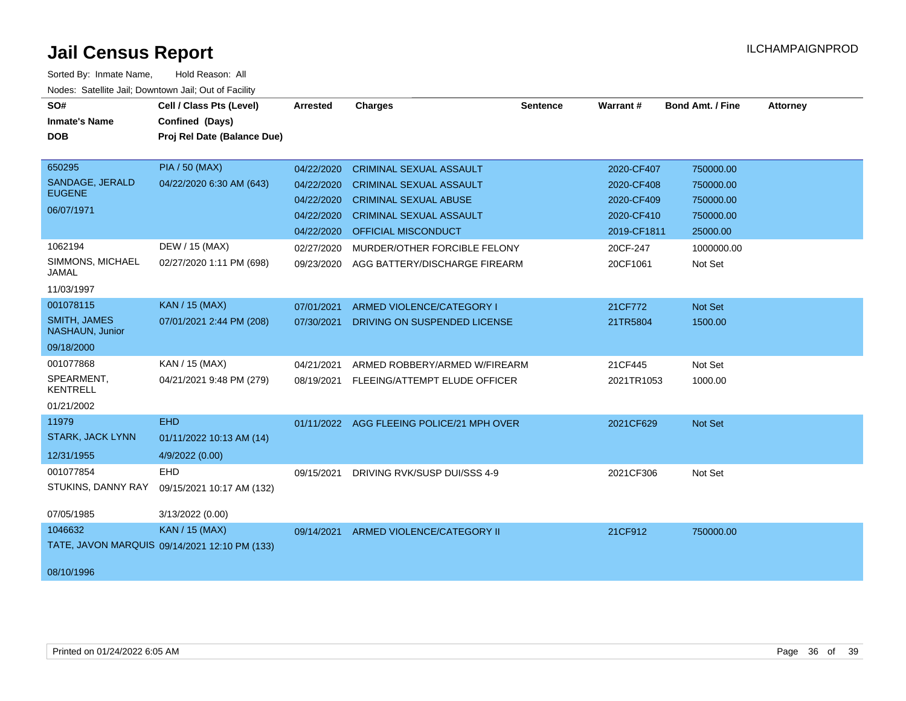| SO#                                    | Cell / Class Pts (Level)                      | <b>Arrested</b> | <b>Charges</b>                            | <b>Sentence</b> | <b>Warrant#</b> | <b>Bond Amt. / Fine</b> | <b>Attorney</b> |
|----------------------------------------|-----------------------------------------------|-----------------|-------------------------------------------|-----------------|-----------------|-------------------------|-----------------|
| <b>Inmate's Name</b>                   | Confined (Days)                               |                 |                                           |                 |                 |                         |                 |
| <b>DOB</b>                             | Proj Rel Date (Balance Due)                   |                 |                                           |                 |                 |                         |                 |
|                                        |                                               |                 |                                           |                 |                 |                         |                 |
| 650295                                 | <b>PIA / 50 (MAX)</b>                         | 04/22/2020      | <b>CRIMINAL SEXUAL ASSAULT</b>            |                 | 2020-CF407      | 750000.00               |                 |
| SANDAGE, JERALD                        | 04/22/2020 6:30 AM (643)                      | 04/22/2020      | <b>CRIMINAL SEXUAL ASSAULT</b>            |                 | 2020-CF408      | 750000.00               |                 |
| <b>EUGENE</b>                          |                                               | 04/22/2020      | <b>CRIMINAL SEXUAL ABUSE</b>              |                 | 2020-CF409      | 750000.00               |                 |
| 06/07/1971                             |                                               | 04/22/2020      | <b>CRIMINAL SEXUAL ASSAULT</b>            |                 | 2020-CF410      | 750000.00               |                 |
|                                        |                                               | 04/22/2020      | <b>OFFICIAL MISCONDUCT</b>                |                 | 2019-CF1811     | 25000.00                |                 |
| 1062194                                | DEW / 15 (MAX)                                | 02/27/2020      | MURDER/OTHER FORCIBLE FELONY              |                 | 20CF-247        | 1000000.00              |                 |
| SIMMONS, MICHAEL<br><b>JAMAL</b>       | 02/27/2020 1:11 PM (698)                      | 09/23/2020      | AGG BATTERY/DISCHARGE FIREARM             |                 | 20CF1061        | Not Set                 |                 |
| 11/03/1997                             |                                               |                 |                                           |                 |                 |                         |                 |
| 001078115                              | <b>KAN / 15 (MAX)</b>                         | 07/01/2021      | ARMED VIOLENCE/CATEGORY I                 |                 | 21CF772         | Not Set                 |                 |
| <b>SMITH, JAMES</b><br>NASHAUN, Junior | 07/01/2021 2:44 PM (208)                      | 07/30/2021      | DRIVING ON SUSPENDED LICENSE              |                 | 21TR5804        | 1500.00                 |                 |
| 09/18/2000                             |                                               |                 |                                           |                 |                 |                         |                 |
| 001077868                              | KAN / 15 (MAX)                                | 04/21/2021      | ARMED ROBBERY/ARMED W/FIREARM             |                 | 21CF445         | Not Set                 |                 |
| SPEARMENT,<br><b>KENTRELL</b>          | 04/21/2021 9:48 PM (279)                      | 08/19/2021      | FLEEING/ATTEMPT ELUDE OFFICER             |                 | 2021TR1053      | 1000.00                 |                 |
| 01/21/2002                             |                                               |                 |                                           |                 |                 |                         |                 |
| 11979                                  | <b>EHD</b>                                    |                 | 01/11/2022 AGG FLEEING POLICE/21 MPH OVER |                 | 2021CF629       | Not Set                 |                 |
| <b>STARK, JACK LYNN</b>                | 01/11/2022 10:13 AM (14)                      |                 |                                           |                 |                 |                         |                 |
| 12/31/1955                             | 4/9/2022 (0.00)                               |                 |                                           |                 |                 |                         |                 |
| 001077854                              | <b>EHD</b>                                    | 09/15/2021      | DRIVING RVK/SUSP DUI/SSS 4-9              |                 | 2021CF306       | Not Set                 |                 |
| STUKINS, DANNY RAY                     | 09/15/2021 10:17 AM (132)                     |                 |                                           |                 |                 |                         |                 |
| 07/05/1985                             | 3/13/2022 (0.00)                              |                 |                                           |                 |                 |                         |                 |
| 1046632                                | <b>KAN / 15 (MAX)</b>                         | 09/14/2021      | ARMED VIOLENCE/CATEGORY II                |                 | 21CF912         | 750000.00               |                 |
|                                        | TATE, JAVON MARQUIS 09/14/2021 12:10 PM (133) |                 |                                           |                 |                 |                         |                 |
| 08/10/1996                             |                                               |                 |                                           |                 |                 |                         |                 |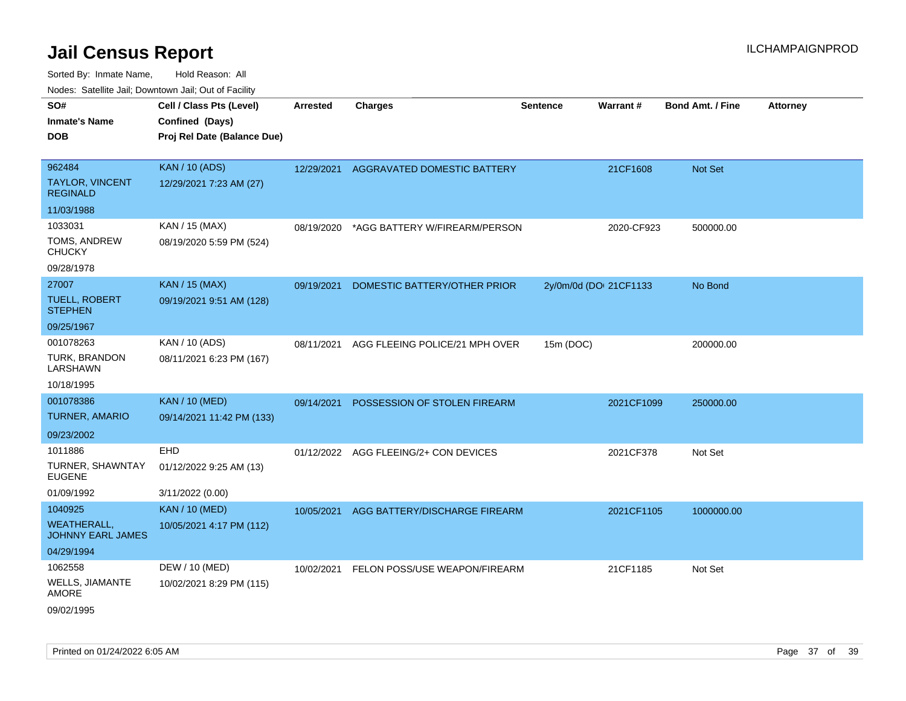| SO#<br>Inmate's Name             | Cell / Class Pts (Level)<br>Confined (Days) | <b>Arrested</b> | <b>Charges</b>                         | <b>Sentence</b> | Warrant#               | <b>Bond Amt. / Fine</b> | <b>Attorney</b> |
|----------------------------------|---------------------------------------------|-----------------|----------------------------------------|-----------------|------------------------|-------------------------|-----------------|
| DOB                              | Proj Rel Date (Balance Due)                 |                 |                                        |                 |                        |                         |                 |
| 962484                           | <b>KAN / 10 (ADS)</b>                       |                 | 12/29/2021 AGGRAVATED DOMESTIC BATTERY |                 | 21CF1608               | <b>Not Set</b>          |                 |
| TAYLOR, VINCENT<br>REGINALD      | 12/29/2021 7:23 AM (27)                     |                 |                                        |                 |                        |                         |                 |
| 11/03/1988                       |                                             |                 |                                        |                 |                        |                         |                 |
| 1033031                          | KAN / 15 (MAX)                              | 08/19/2020      | *AGG BATTERY W/FIREARM/PERSON          |                 | 2020-CF923             | 500000.00               |                 |
| TOMS, ANDREW<br>CHUCKY           | 08/19/2020 5:59 PM (524)                    |                 |                                        |                 |                        |                         |                 |
| 09/28/1978                       |                                             |                 |                                        |                 |                        |                         |                 |
| 27007                            | <b>KAN / 15 (MAX)</b>                       | 09/19/2021      | DOMESTIC BATTERY/OTHER PRIOR           |                 | 2y/0m/0d (DOI 21CF1133 | No Bond                 |                 |
| TUELL, ROBERT<br><b>STEPHEN</b>  | 09/19/2021 9:51 AM (128)                    |                 |                                        |                 |                        |                         |                 |
| 09/25/1967                       |                                             |                 |                                        |                 |                        |                         |                 |
| 001078263                        | KAN / 10 (ADS)                              | 08/11/2021      | AGG FLEEING POLICE/21 MPH OVER         | 15m (DOC)       |                        | 200000.00               |                 |
| TURK, BRANDON<br>LARSHAWN        | 08/11/2021 6:23 PM (167)                    |                 |                                        |                 |                        |                         |                 |
| 10/18/1995                       |                                             |                 |                                        |                 |                        |                         |                 |
| 001078386                        | <b>KAN / 10 (MED)</b>                       | 09/14/2021      | POSSESSION OF STOLEN FIREARM           |                 | 2021CF1099             | 250000.00               |                 |
| <b>TURNER, AMARIO</b>            | 09/14/2021 11:42 PM (133)                   |                 |                                        |                 |                        |                         |                 |
| 09/23/2002                       |                                             |                 |                                        |                 |                        |                         |                 |
| 1011886                          | EHD                                         |                 | 01/12/2022 AGG FLEEING/2+ CON DEVICES  |                 | 2021CF378              | Not Set                 |                 |
| TURNER, SHAWNTAY<br>EUGENE       | 01/12/2022 9:25 AM (13)                     |                 |                                        |                 |                        |                         |                 |
| 01/09/1992                       | 3/11/2022 (0.00)                            |                 |                                        |                 |                        |                         |                 |
| 1040925                          | <b>KAN / 10 (MED)</b>                       | 10/05/2021      | AGG BATTERY/DISCHARGE FIREARM          |                 | 2021CF1105             | 1000000.00              |                 |
| WEATHERALL,<br>JOHNNY EARL JAMES | 10/05/2021 4:17 PM (112)                    |                 |                                        |                 |                        |                         |                 |
| 04/29/1994                       |                                             |                 |                                        |                 |                        |                         |                 |
| 1062558                          | DEW / 10 (MED)                              | 10/02/2021      | FELON POSS/USE WEAPON/FIREARM          |                 | 21CF1185               | Not Set                 |                 |
| WELLS, JIAMANTE<br>AMORE         | 10/02/2021 8:29 PM (115)                    |                 |                                        |                 |                        |                         |                 |
| 09/02/1995                       |                                             |                 |                                        |                 |                        |                         |                 |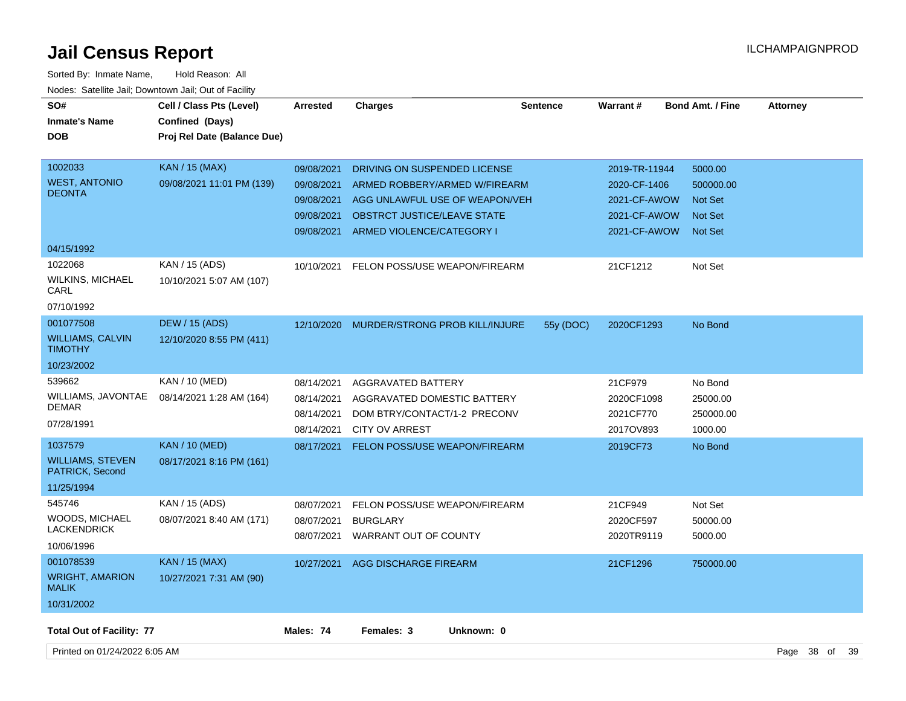| SO#<br><b>Inmate's Name</b><br><b>DOB</b>                           | Cell / Class Pts (Level)<br>Confined (Days)<br>Proj Rel Date (Balance Due) | <b>Arrested</b>                                                    | <b>Charges</b>                                                                                                                                              | <b>Sentence</b> | <b>Warrant#</b>                                                               | <b>Bond Amt. / Fine</b>                                                    | <b>Attorney</b>    |
|---------------------------------------------------------------------|----------------------------------------------------------------------------|--------------------------------------------------------------------|-------------------------------------------------------------------------------------------------------------------------------------------------------------|-----------------|-------------------------------------------------------------------------------|----------------------------------------------------------------------------|--------------------|
| 1002033<br><b>WEST, ANTONIO</b><br><b>DEONTA</b>                    | <b>KAN / 15 (MAX)</b><br>09/08/2021 11:01 PM (139)                         | 09/08/2021<br>09/08/2021<br>09/08/2021<br>09/08/2021<br>09/08/2021 | DRIVING ON SUSPENDED LICENSE<br>ARMED ROBBERY/ARMED W/FIREARM<br>AGG UNLAWFUL USE OF WEAPON/VEH<br>OBSTRCT JUSTICE/LEAVE STATE<br>ARMED VIOLENCE/CATEGORY I |                 | 2019-TR-11944<br>2020-CF-1406<br>2021-CF-AWOW<br>2021-CF-AWOW<br>2021-CF-AWOW | 5000.00<br>500000.00<br><b>Not Set</b><br><b>Not Set</b><br><b>Not Set</b> |                    |
| 04/15/1992                                                          |                                                                            |                                                                    |                                                                                                                                                             |                 |                                                                               |                                                                            |                    |
| 1022068<br><b>WILKINS, MICHAEL</b><br>CARL<br>07/10/1992            | KAN / 15 (ADS)<br>10/10/2021 5:07 AM (107)                                 | 10/10/2021                                                         | FELON POSS/USE WEAPON/FIREARM                                                                                                                               |                 | 21CF1212                                                                      | Not Set                                                                    |                    |
| 001077508                                                           | <b>DEW / 15 (ADS)</b>                                                      | 12/10/2020                                                         | MURDER/STRONG PROB KILL/INJURE                                                                                                                              | 55y (DOC)       | 2020CF1293                                                                    | No Bond                                                                    |                    |
| <b>WILLIAMS, CALVIN</b><br><b>TIMOTHY</b>                           | 12/10/2020 8:55 PM (411)                                                   |                                                                    |                                                                                                                                                             |                 |                                                                               |                                                                            |                    |
| 10/23/2002                                                          |                                                                            |                                                                    |                                                                                                                                                             |                 |                                                                               |                                                                            |                    |
| 539662<br>WILLIAMS, JAVONTAE<br><b>DEMAR</b><br>07/28/1991          | KAN / 10 (MED)<br>08/14/2021 1:28 AM (164)                                 | 08/14/2021<br>08/14/2021<br>08/14/2021<br>08/14/2021               | <b>AGGRAVATED BATTERY</b><br>AGGRAVATED DOMESTIC BATTERY<br>DOM BTRY/CONTACT/1-2 PRECONV<br><b>CITY OV ARREST</b>                                           |                 | 21CF979<br>2020CF1098<br>2021CF770<br>2017OV893                               | No Bond<br>25000.00<br>250000.00<br>1000.00                                |                    |
| 1037579<br><b>WILLIAMS, STEVEN</b><br>PATRICK, Second<br>11/25/1994 | <b>KAN / 10 (MED)</b><br>08/17/2021 8:16 PM (161)                          | 08/17/2021                                                         | <b>FELON POSS/USE WEAPON/FIREARM</b>                                                                                                                        |                 | 2019CF73                                                                      | No Bond                                                                    |                    |
| 545746<br><b>WOODS, MICHAEL</b><br><b>LACKENDRICK</b><br>10/06/1996 | KAN / 15 (ADS)<br>08/07/2021 8:40 AM (171)                                 | 08/07/2021<br>08/07/2021                                           | FELON POSS/USE WEAPON/FIREARM<br><b>BURGLARY</b><br>08/07/2021 WARRANT OUT OF COUNTY                                                                        |                 | 21CF949<br>2020CF597<br>2020TR9119                                            | Not Set<br>50000.00<br>5000.00                                             |                    |
| 001078539<br><b>WRIGHT, AMARION</b><br><b>MALIK</b><br>10/31/2002   | <b>KAN / 15 (MAX)</b><br>10/27/2021 7:31 AM (90)                           | 10/27/2021                                                         | AGG DISCHARGE FIREARM                                                                                                                                       |                 | 21CF1296                                                                      | 750000.00                                                                  |                    |
| <b>Total Out of Facility: 77</b>                                    |                                                                            | Males: 74                                                          | Females: 3<br>Unknown: 0                                                                                                                                    |                 |                                                                               |                                                                            |                    |
| Printed on 01/24/2022 6:05 AM                                       |                                                                            |                                                                    |                                                                                                                                                             |                 |                                                                               |                                                                            | Page 38 of<br>- 39 |